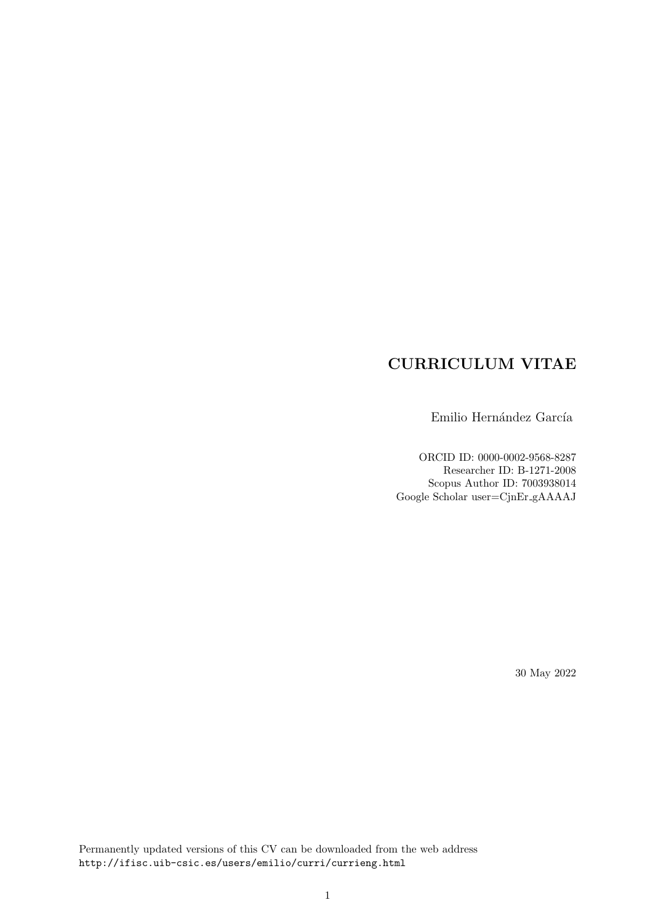# **CURRICULUM VITAE**

Emilio Hernández García

ORCID ID: 0000-0002-9568-8287 Researcher ID: B-1271-2008 Scopus Author ID: 7003938014 Google Scholar user=CjnEr gAAAAJ

30 May 2022

Permanently updated versions of this CV can be downloaded from the web address http://ifisc.uib-csic.es/users/emilio/curri/currieng.html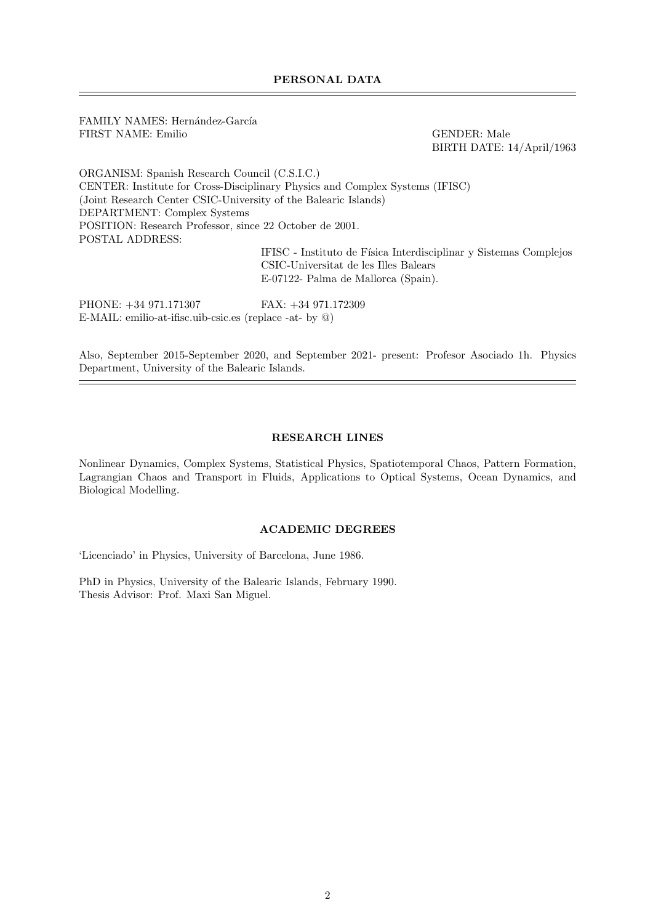FAMILY NAMES: Hernández-García FIRST NAME: Emilio GENDER: Male

BIRTH DATE: 14/April/1963

ORGANISM: Spanish Research Council (C.S.I.C.) CENTER: Institute for Cross-Disciplinary Physics and Complex Systems (IFISC) (Joint Research Center CSIC-University of the Balearic Islands) DEPARTMENT: Complex Systems POSITION: Research Professor, since 22 October de 2001. POSTAL ADDRESS:  $\operatorname{IFISC}$  - Instituto de Física Interdisciplinar y Sistemas Complejos

CSIC-Universitat de les Illes Balears E-07122- Palma de Mallorca (Spain).

PHONE: +34 971.171307 FAX: +34 971.172309 E-MAIL: emilio-at-ifisc.uib-csic.es (replace -at- by @)

Also, September 2015-September 2020, and September 2021- present: Profesor Asociado 1h. Physics Department, University of the Balearic Islands.

## **RESEARCH LINES**

Nonlinear Dynamics, Complex Systems, Statistical Physics, Spatiotemporal Chaos, Pattern Formation, Lagrangian Chaos and Transport in Fluids, Applications to Optical Systems, Ocean Dynamics, and Biological Modelling.

#### **ACADEMIC DEGREES**

'Licenciado' in Physics, University of Barcelona, June 1986.

PhD in Physics, University of the Balearic Islands, February 1990. Thesis Advisor: Prof. Maxi San Miguel.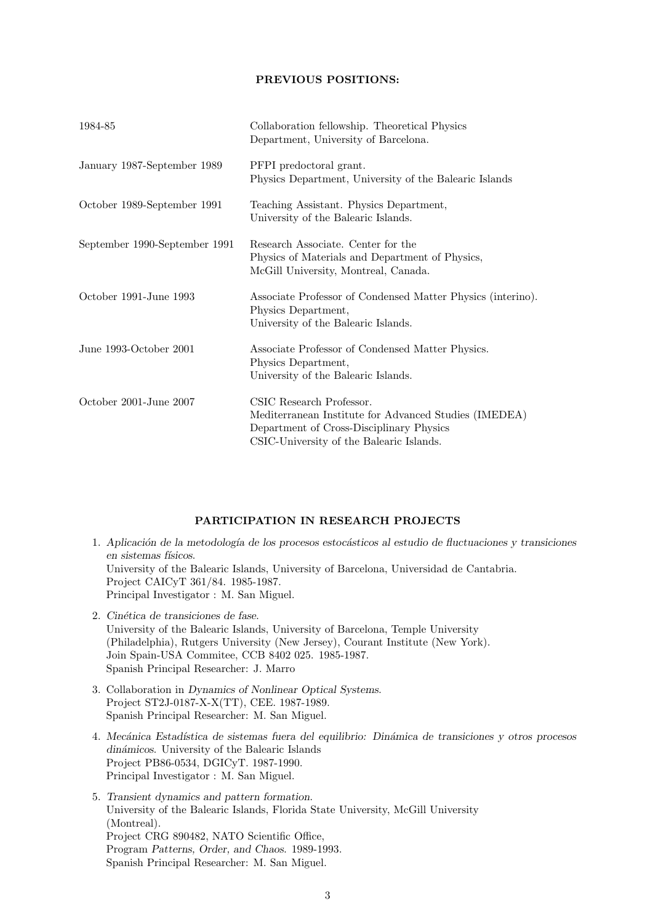# **PREVIOUS POSITIONS:**

| 1984-85                       | Collaboration fellowship. Theoretical Physics<br>Department, University of Barcelona.                                                                                     |
|-------------------------------|---------------------------------------------------------------------------------------------------------------------------------------------------------------------------|
| January 1987-September 1989   | PFPI predoctoral grant.<br>Physics Department, University of the Balearic Islands                                                                                         |
| October 1989-September 1991   | Teaching Assistant. Physics Department,<br>University of the Balearic Islands.                                                                                            |
| September 1990-September 1991 | Research Associate. Center for the<br>Physics of Materials and Department of Physics,<br>McGill University, Montreal, Canada.                                             |
| October 1991-June 1993        | Associate Professor of Condensed Matter Physics (interino).<br>Physics Department,<br>University of the Balearic Islands.                                                 |
| June 1993-October 2001        | Associate Professor of Condensed Matter Physics.<br>Physics Department,<br>University of the Balearic Islands.                                                            |
| October 2001-June 2007        | CSIC Research Professor.<br>Mediterranean Institute for Advanced Studies (IMEDEA)<br>Department of Cross-Disciplinary Physics<br>CSIC-University of the Balearic Islands. |

## **PARTICIPATION IN RESEARCH PROJECTS**

- 1. *Aplicaci´on de la metodolog´ıa de los procesos estoc´asticos al estudio de fluctuaciones y transiciones en sistemas f´ısicos*. University of the Balearic Islands, University of Barcelona, Universidad de Cantabria. Project CAICyT 361/84. 1985-1987. Principal Investigator : M. San Miguel.
- 2. *Cin´etica de transiciones de fase*. University of the Balearic Islands, University of Barcelona, Temple University (Philadelphia), Rutgers University (New Jersey), Courant Institute (New York). Join Spain-USA Commitee, CCB 8402 025. 1985-1987. Spanish Principal Researcher: J. Marro
- 3. Collaboration in *Dynamics of Nonlinear Optical Systems*. Project ST2J-0187-X-X(TT), CEE. 1987-1989. Spanish Principal Researcher: M. San Miguel.
- 4. *Mec´anica Estad´ıstica de sistemas fuera del equilibrio: Din´amica de transiciones y otros procesos din´amicos*. University of the Balearic Islands Project PB86-0534, DGICyT. 1987-1990. Principal Investigator : M. San Miguel.
- 5. *Transient dynamics and pattern formation*. University of the Balearic Islands, Florida State University, McGill University (Montreal). Project CRG 890482, NATO Scientific Office, Program *Patterns, Order, and Chaos*. 1989-1993. Spanish Principal Researcher: M. San Miguel.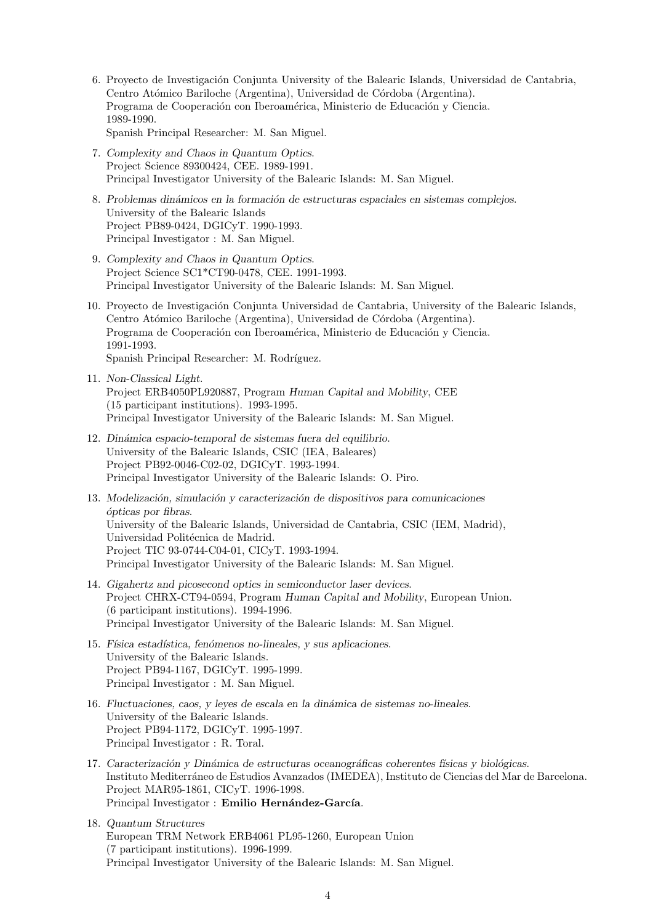- 6. Proyecto de Investigación Conjunta University of the Balearic Islands, Universidad de Cantabria, Centro Atómico Bariloche (Argentina), Universidad de Córdoba (Argentina). Programa de Cooperación con Iberoamérica, Ministerio de Educación y Ciencia. 1989-1990.
	- Spanish Principal Researcher: M. San Miguel.
- 7. *Complexity and Chaos in Quantum Optics*. Project Science 89300424, CEE. 1989-1991. Principal Investigator University of the Balearic Islands: M. San Miguel.
- 8. *Problemas din´amicos en la formaci´on de estructuras espaciales en sistemas complejos*. University of the Balearic Islands Project PB89-0424, DGICyT. 1990-1993. Principal Investigator : M. San Miguel.
- 9. *Complexity and Chaos in Quantum Optics*. Project Science SC1\*CT90-0478, CEE. 1991-1993. Principal Investigator University of the Balearic Islands: M. San Miguel.
- 10. Proyecto de Investigación Conjunta Universidad de Cantabria, University of the Balearic Islands, Centro Atómico Bariloche (Argentina), Universidad de Córdoba (Argentina). Programa de Cooperación con Iberoamérica, Ministerio de Educación y Ciencia. 1991-1993. Spanish Principal Researcher: M. Rodríguez.
- 11. *Non-Classical Light*. Project ERB4050PL920887, Program *Human Capital and Mobility*, CEE (15 participant institutions). 1993-1995. Principal Investigator University of the Balearic Islands: M. San Miguel.
- 12. *Din´amica espacio-temporal de sistemas fuera del equilibrio*. University of the Balearic Islands, CSIC (IEA, Baleares) Project PB92-0046-C02-02, DGICyT. 1993-1994. Principal Investigator University of the Balearic Islands: O. Piro.
- 13. *Modelización, simulación y caracterización de dispositivos para comunicaciones ´opticas por fibras*. University of the Balearic Islands, Universidad de Cantabria, CSIC (IEM, Madrid), Universidad Politécnica de Madrid. Project TIC 93-0744-C04-01, CICyT. 1993-1994. Principal Investigator University of the Balearic Islands: M. San Miguel.
- 14. *Gigahertz and picosecond optics in semiconductor laser devices*. Project CHRX-CT94-0594, Program *Human Capital and Mobility*, European Union. (6 participant institutions). 1994-1996. Principal Investigator University of the Balearic Islands: M. San Miguel.
- 15. *F´ısica estad´ıstica, fen´omenos no-lineales, y sus aplicaciones*. University of the Balearic Islands. Project PB94-1167, DGICyT. 1995-1999. Principal Investigator : M. San Miguel.
- 16. *Fluctuaciones, caos, y leyes de escala en la din´amica de sistemas no-lineales*. University of the Balearic Islands. Project PB94-1172, DGICyT. 1995-1997. Principal Investigator : R. Toral.
- 17. *Caracterización y Dinámica de estructuras oceanográficas coherentes físicas y biológicas.* Instituto Mediterráneo de Estudios Avanzados (IMEDEA), Instituto de Ciencias del Mar de Barcelona. Project MAR95-1861, CICyT. 1996-1998. Principal Investigator : Emilio Hernández-García.
- 18. *Quantum Structures* European TRM Network ERB4061 PL95-1260, European Union (7 participant institutions). 1996-1999. Principal Investigator University of the Balearic Islands: M. San Miguel.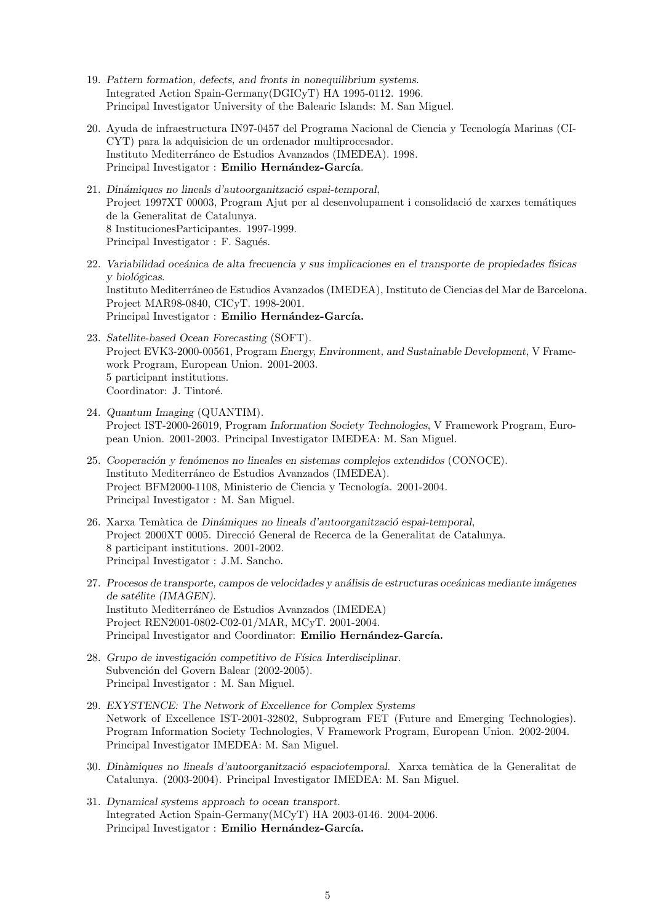- 19. *Pattern formation, defects, and fronts in nonequilibrium systems*. Integrated Action Spain-Germany(DGICyT) HA 1995-0112. 1996. Principal Investigator University of the Balearic Islands: M. San Miguel.
- 20. Ayuda de infraestructura IN97-0457 del Programa Nacional de Ciencia y Tecnología Marinas (CI-CYT) para la adquisicion de un ordenador multiprocesador. Instituto Mediterráneo de Estudios Avanzados (IMEDEA). 1998. Principal Investigator : **Emilio Hernández-García**.
- 21. *Din´amiques no lineals d'autoorganitzaci´o espai-temporal*, Project 1997XT 00003, Program Ajut per al desenvolupament i consolidació de xarxes temátiques de la Generalitat de Catalunya. 8 InstitucionesParticipantes. 1997-1999. Principal Investigator : F. Sagués.
- 22. *Variabilidad oce´anica de alta frecuencia y sus implicaciones en el transporte de propiedades f´ısicas y biol´ogicas*. Instituto Mediterráneo de Estudios Avanzados (IMEDEA), Instituto de Ciencias del Mar de Barcelona. Project MAR98-0840, CICyT. 1998-2001. Principal Investigator : Emilio Hernández-García.
- 23. *Satellite-based Ocean Forecasting* (SOFT). Project EVK3-2000-00561, Program *Energy, Environment, and Sustainable Development*, V Framework Program, European Union. 2001-2003. 5 participant institutions. Coordinator: J. Tintoré.
- 24. *Quantum Imaging* (QUANTIM). Project IST-2000-26019, Program *Information Society Technologies*, V Framework Program, European Union. 2001-2003. Principal Investigator IMEDEA: M. San Miguel.
- 25. *Cooperaci´on y fen´omenos no lineales en sistemas complejos extendidos* (CONOCE). Instituto Mediterráneo de Estudios Avanzados (IMEDEA). Project BFM2000-1108, Ministerio de Ciencia y Tecnología. 2001-2004. Principal Investigator : M. San Miguel.
- 26. Xarxa Temàtica de *Dinámiques no lineals d'autoorganització espai-temporal*, Project 2000XT 0005. Direcció General de Recerca de la Generalitat de Catalunya. 8 participant institutions. 2001-2002. Principal Investigator : J.M. Sancho.
- 27. Procesos de transporte, campos de velocidades y análisis de estructuras oceánicas mediante imágenes *de sat´elite (IMAGEN)*. Instituto Mediterráneo de Estudios Avanzados (IMEDEA) Project REN2001-0802-C02-01/MAR, MCyT. 2001-2004. Principal Investigator and Coordinator: Emilio Hernández-García.
- 28. *Grupo de investigaci´on competitivo de F´ısica Interdisciplinar*. Subvención del Govern Balear (2002-2005). Principal Investigator : M. San Miguel.
- 29. *EXYSTENCE: The Network of Excellence for Complex Systems* Network of Excellence IST-2001-32802, Subprogram FET (Future and Emerging Technologies). Program Information Society Technologies, V Framework Program, European Union. 2002-2004. Principal Investigator IMEDEA: M. San Miguel.
- 30. *Din`amiques no lineals d'autoorganitzaci´o espaciotemporal*. Xarxa tem`atica de la Generalitat de Catalunya. (2003-2004). Principal Investigator IMEDEA: M. San Miguel.
- 31. *Dynamical systems approach to ocean transport*. Integrated Action Spain-Germany(MCyT) HA 2003-0146. 2004-2006. Principal Investigator : Emilio Hernández-García.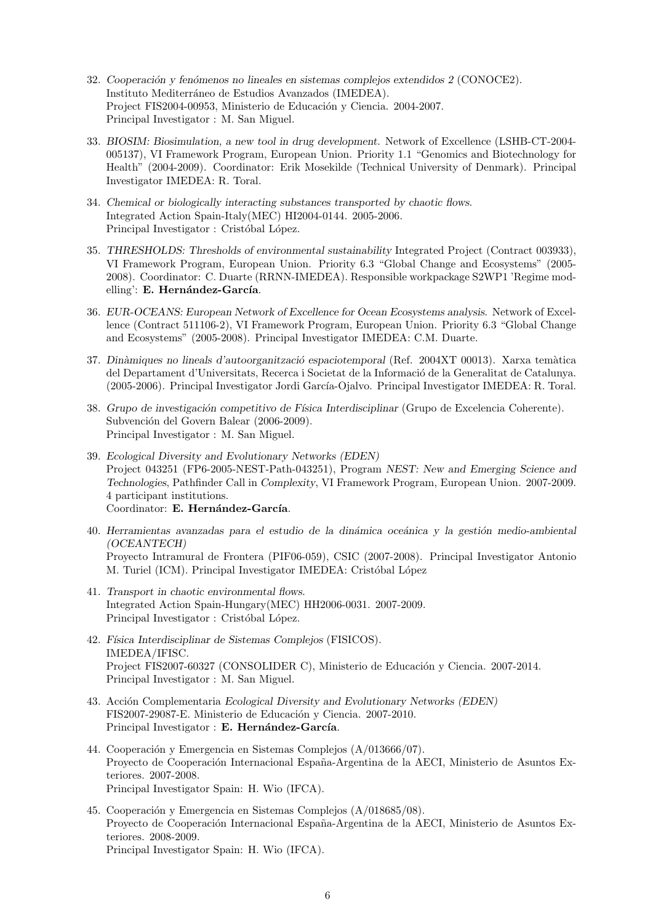- 32. *Cooperaci´on y fen´omenos no lineales en sistemas complejos extendidos 2* (CONOCE2). Instituto Mediterráneo de Estudios Avanzados (IMEDEA). Project FIS2004-00953, Ministerio de Educación y Ciencia. 2004-2007. Principal Investigator : M. San Miguel.
- 33. *BIOSIM: Biosimulation, a new tool in drug development*. Network of Excellence (LSHB-CT-2004- 005137), VI Framework Program, European Union. Priority 1.1 "Genomics and Biotechnology for Health" (2004-2009). Coordinator: Erik Mosekilde (Technical University of Denmark). Principal Investigator IMEDEA: R. Toral.
- 34. *Chemical or biologically interacting substances transported by chaotic flows*. Integrated Action Spain-Italy(MEC) HI2004-0144. 2005-2006. Principal Investigator : Cristóbal López.
- 35. *THRESHOLDS: Thresholds of environmental sustainability* Integrated Project (Contract 003933), VI Framework Program, European Union. Priority 6.3 "Global Change and Ecosystems" (2005- 2008). Coordinator: C. Duarte (RRNN-IMEDEA). Responsible workpackage S2WP1 'Regime modelling': E. Hernández-García.
- 36. *EUR-OCEANS: European Network of Excellence for Ocean Ecosystems analysis*. Network of Excellence (Contract 511106-2), VI Framework Program, European Union. Priority 6.3 "Global Change and Ecosystems" (2005-2008). Principal Investigator IMEDEA: C.M. Duarte.
- 37. *Din`amiques no lineals d'autoorganitzaci´o espaciotemporal* (Ref. 2004XT 00013). Xarxa tem`atica del Departament d'Universitats, Recerca i Societat de la Informació de la Generalitat de Catalunya. (2005-2006). Principal Investigator Jordi García-Ojalvo. Principal Investigator IMEDEA: R. Toral.
- 38. *Grupo de investigaci´on competitivo de F´ısica Interdisciplinar* (Grupo de Excelencia Coherente). Subvención del Govern Balear (2006-2009). Principal Investigator : M. San Miguel.
- 39. *Ecological Diversity and Evolutionary Networks (EDEN)* Project 043251 (FP6-2005-NEST-Path-043251), Program *NEST: New and Emerging Science and Technologies*, Pathfinder Call in *Complexity*, VI Framework Program, European Union. 2007-2009. 4 participant institutions. Coordinator: E. Hernández-García.
- 40. *Herramientas avanzadas para el estudio de la dinámica oceánica y la gestión medio-ambiental (OCEANTECH)* Proyecto Intramural de Frontera (PIF06-059), CSIC (2007-2008). Principal Investigator Antonio M. Turiel (ICM). Principal Investigator IMEDEA: Cristóbal López
- 41. *Transport in chaotic environmental flows*. Integrated Action Spain-Hungary(MEC) HH2006-0031. 2007-2009. Principal Investigator : Cristóbal López.
- 42. *F´ısica Interdisciplinar de Sistemas Complejos* (FISICOS). IMEDEA/IFISC. Project FIS2007-60327 (CONSOLIDER C), Ministerio de Educación y Ciencia. 2007-2014. Principal Investigator : M. San Miguel.
- 43. Acci´on Complementaria *Ecological Diversity and Evolutionary Networks (EDEN)* FIS2007-29087-E. Ministerio de Educación y Ciencia. 2007-2010. Principal Investigator : **E. Hernández-García**.
- 44. Cooperación y Emergencia en Sistemas Complejos (A/013666/07). Proyecto de Cooperación Internacional España-Argentina de la AECI, Ministerio de Asuntos Exteriores. 2007-2008. Principal Investigator Spain: H. Wio (IFCA).
- 45. Cooperación y Emergencia en Sistemas Complejos  $(A/018685/08)$ . Proyecto de Cooperación Internacional España-Argentina de la AECI, Ministerio de Asuntos Exteriores. 2008-2009. Principal Investigator Spain: H. Wio (IFCA).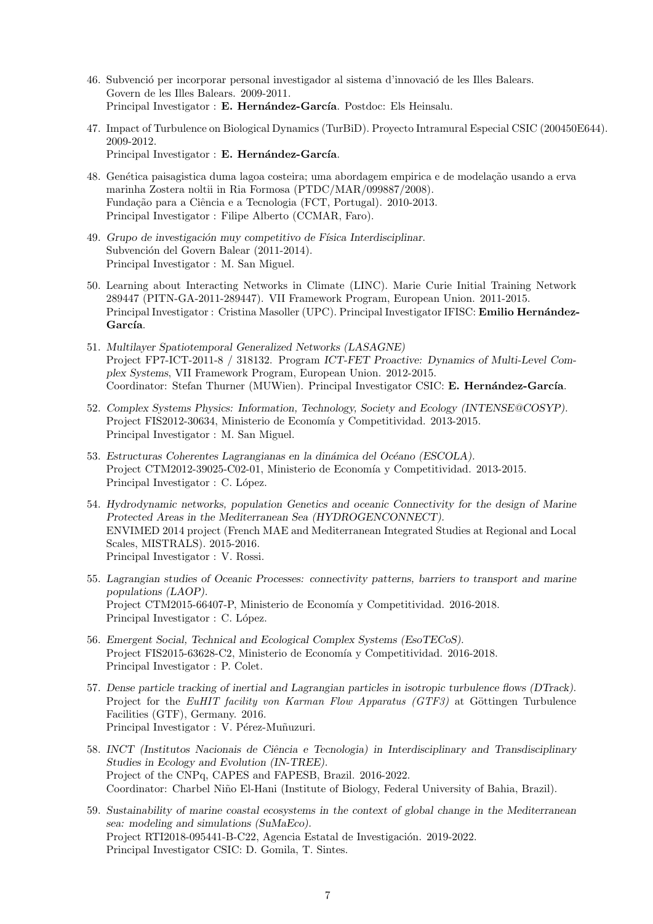- 46. Subvenció per incorporar personal investigador al sistema d'innovació de les Illes Balears. Govern de les Illes Balears. 2009-2011. Principal Investigator : **E. Hernández-García**. Postdoc: Els Heinsalu.
- 47. Impact of Turbulence on Biological Dynamics (TurBiD). Proyecto Intramural Especial CSIC (200450E644). 2009-2012. Principal Investigator : E. Hernández-García.
- 48. Genética paisagistica duma lagoa costeira; uma abordagem empirica e de modelação usando a erva marinha Zostera noltii in Ria Formosa (PTDC/MAR/099887/2008). Fundação para a Ciência e a Tecnologia (FCT, Portugal). 2010-2013. Principal Investigator : Filipe Alberto (CCMAR, Faro).
- 49. *Grupo de investigaci´on muy competitivo de F´ısica Interdisciplinar*. Subvención del Govern Balear (2011-2014). Principal Investigator : M. San Miguel.
- 50. Learning about Interacting Networks in Climate (LINC). Marie Curie Initial Training Network 289447 (PITN-GA-2011-289447). VII Framework Program, European Union. 2011-2015. Principal Investigator : Cristina Masoller (UPC). Principal Investigator IFISC: Emilio Hernández-García.
- 51. *Multilayer Spatiotemporal Generalized Networks (LASAGNE)* Project FP7-ICT-2011-8 / 318132. Program *ICT-FET Proactive: Dynamics of Multi-Level Complex Systems*, VII Framework Program, European Union. 2012-2015. Coordinator: Stefan Thurner (MUWien). Principal Investigator CSIC: E. Hernández-García.
- 52. *Complex Systems Physics: Information, Technology, Society and Ecology (INTENSE@COSYP).* Project FIS2012-30634, Ministerio de Economía y Competitividad. 2013-2015. Principal Investigator : M. San Miguel.
- 53. *Estructuras Coherentes Lagrangianas en la dinámica del Océano (ESCOLA).* Project CTM2012-39025-C02-01, Ministerio de Economía y Competitividad. 2013-2015. Principal Investigator : C. López.
- 54. *Hydrodynamic networks, population Genetics and oceanic Connectivity for the design of Marine Protected Areas in the Mediterranean Sea (HYDROGENCONNECT).* ENVIMED 2014 project (French MAE and Mediterranean Integrated Studies at Regional and Local Scales, MISTRALS). 2015-2016. Principal Investigator : V. Rossi.
- 55. *Lagrangian studies of Oceanic Processes: connectivity patterns, barriers to transport and marine populations (LAOP).* Project CTM2015-66407-P, Ministerio de Economía y Competitividad. 2016-2018. Principal Investigator : C. López.
- 56. *Emergent Social, Technical and Ecological Complex Systems (EsoTECoS).* Project FIS2015-63628-C2, Ministerio de Economía y Competitividad. 2016-2018. Principal Investigator : P. Colet.
- 57. *Dense particle tracking of inertial and Lagrangian particles in isotropic turbulence flows (DTrack).* Project for the *EuHIT facility von Karman Flow Apparatus (GTF3)* at Göttingen Turbulence Facilities (GTF), Germany. 2016. Principal Investigator : V. Pérez-Muñuzuri.
- 58. *INCT (Institutos Nacionais de Ciˆencia e Tecnologia) in Interdisciplinary and Transdisciplinary Studies in Ecology and Evolution (IN-TREE).* Project of the CNPq, CAPES and FAPESB, Brazil. 2016-2022. Coordinator: Charbel Niño El-Hani (Institute of Biology, Federal University of Bahia, Brazil).
- 59. *Sustainability of marine coastal ecosystems in the context of global change in the Mediterranean sea: modeling and simulations (SuMaEco).* Project RTI2018-095441-B-C22, Agencia Estatal de Investigación. 2019-2022. Principal Investigator CSIC: D. Gomila, T. Sintes.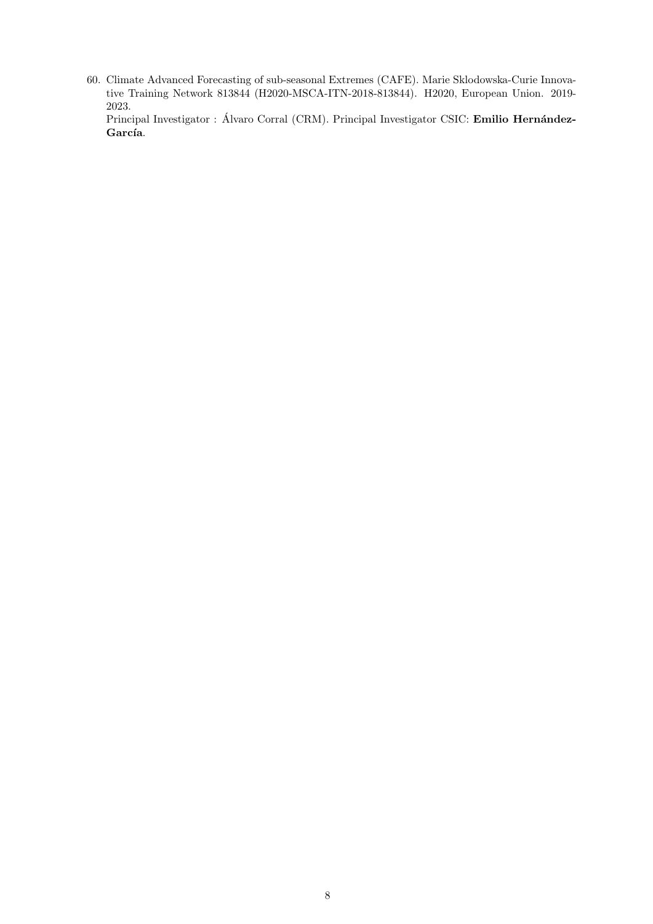60. Climate Advanced Forecasting of sub-seasonal Extremes (CAFE). Marie Sklodowska-Curie Innovative Training Network 813844 (H2020-MSCA-ITN-2018-813844). H2020, European Union. 2019- 2023.

Principal Investigator : Álvaro Corral (CRM). Principal Investigator CSIC: **Emilio Hernández-**García.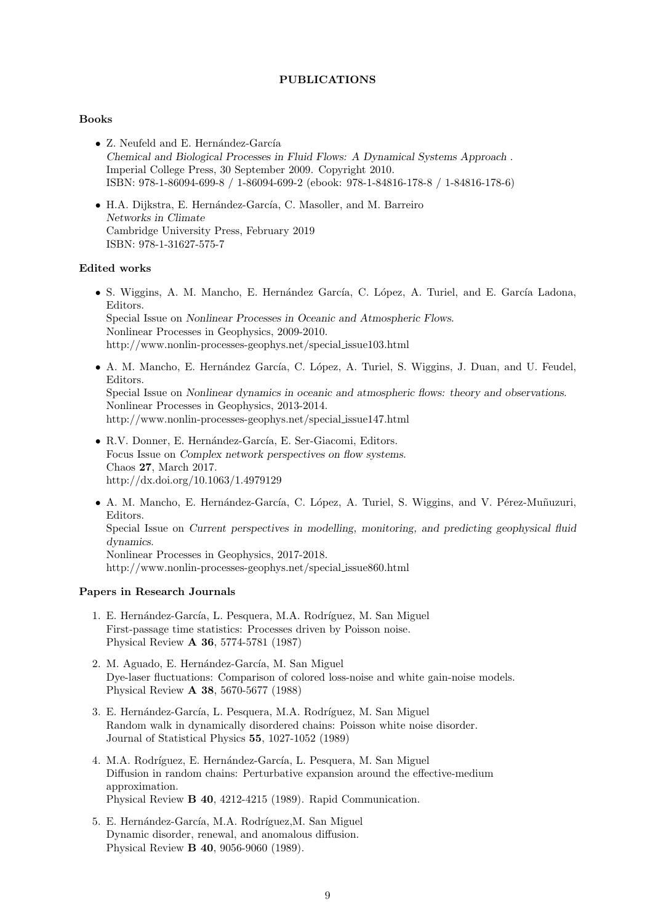## **PUBLICATIONS**

## **Books**

- Z. Neufeld and E. Hernández-García *Chemical and Biological Processes in Fluid Flows: A Dynamical Systems Approach* . Imperial College Press, 30 September 2009. Copyright 2010. ISBN: 978-1-86094-699-8 / 1-86094-699-2 (ebook: 978-1-84816-178-8 / 1-84816-178-6)
- H.A. Dijkstra, E. Hernández-García, C. Masoller, and M. Barreiro *Networks in Climate* Cambridge University Press, February 2019 ISBN: 978-1-31627-575-7

## **Edited works**

- S. Wiggins, A. M. Mancho, E. Hernández García, C. López, A. Turiel, and E. García Ladona, Editors. Special Issue on *Nonlinear Processes in Oceanic and Atmospheric Flows*. Nonlinear Processes in Geophysics, 2009-2010. http://www.nonlin-processes-geophys.net/special issue103.html
- A. M. Mancho, E. Hernández García, C. López, A. Turiel, S. Wiggins, J. Duan, and U. Feudel, Editors. Special Issue on *Nonlinear dynamics in oceanic and atmospheric flows: theory and observations*. Nonlinear Processes in Geophysics, 2013-2014. http://www.nonlin-processes-geophys.net/special issue147.html
- R.V. Donner, E. Hernández-García, E. Ser-Giacomi, Editors. Focus Issue on *Complex network perspectives on flow systems*. Chaos **27**, March 2017. http://dx.doi.org/10.1063/1.4979129
- A. M. Mancho, E. Hernández-García, C. López, A. Turiel, S. Wiggins, and V. Pérez-Muñuzuri, Editors. Special Issue on *Current perspectives in modelling, monitoring, and predicting geophysical fluid dynamics*. Nonlinear Processes in Geophysics, 2017-2018. http://www.nonlin-processes-geophys.net/special issue860.html

## **Papers in Research Journals**

- 1. E. Hernández-García, L. Pesquera, M.A. Rodríguez, M. San Miguel First-passage time statistics: Processes driven by Poisson noise. Physical Review **A 36**, 5774-5781 (1987)
- 2. M. Aguado, E. Hernández-García, M. San Miguel Dye-laser fluctuations: Comparison of colored loss-noise and white gain-noise models. Physical Review **A 38**, 5670-5677 (1988)
- 3. E. Hernández-García, L. Pesquera, M.A. Rodríguez, M. San Miguel Random walk in dynamically disordered chains: Poisson white noise disorder. Journal of Statistical Physics **55**, 1027-1052 (1989)
- 4. M.A. Rodríguez, E. Hernández-García, L. Pesquera, M. San Miguel Diffusion in random chains: Perturbative expansion around the effective-medium approximation. Physical Review **B 40**, 4212-4215 (1989). Rapid Communication.
- 5. E. Hernández-García, M.A. Rodríguez, M. San Miguel Dynamic disorder, renewal, and anomalous diffusion. Physical Review **B 40**, 9056-9060 (1989).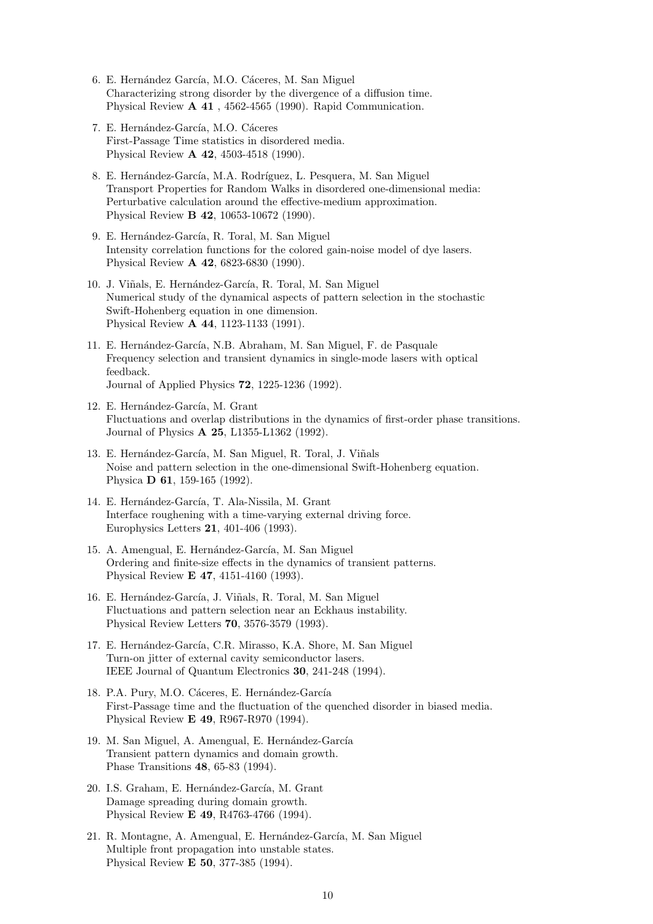- 6. E. Hernández García, M.O. Cáceres, M. San Miguel Characterizing strong disorder by the divergence of a diffusion time. Physical Review **A 41** , 4562-4565 (1990). Rapid Communication.
- 7. E. Hernández-García, M.O. Cáceres First-Passage Time statistics in disordered media. Physical Review **A 42**, 4503-4518 (1990).
- 8. E. Hernández-García, M.A. Rodríguez, L. Pesquera, M. San Miguel Transport Properties for Random Walks in disordered one-dimensional media: Perturbative calculation around the effective-medium approximation. Physical Review **B 42**, 10653-10672 (1990).
- 9. E. Hernández-García, R. Toral, M. San Miguel Intensity correlation functions for the colored gain-noise model of dye lasers. Physical Review **A 42**, 6823-6830 (1990).
- 10. J. Viñals, E. Hernández-García, R. Toral, M. San Miguel Numerical study of the dynamical aspects of pattern selection in the stochastic Swift-Hohenberg equation in one dimension. Physical Review **A 44**, 1123-1133 (1991).
- 11. E. Hernández-García, N.B. Abraham, M. San Miguel, F. de Pasquale Frequency selection and transient dynamics in single-mode lasers with optical feedback. Journal of Applied Physics **72**, 1225-1236 (1992).
- 12. E. Hernández-García, M. Grant Fluctuations and overlap distributions in the dynamics of first-order phase transitions. Journal of Physics **A 25**, L1355-L1362 (1992).
- 13. E. Hernández-García, M. San Miguel, R. Toral, J. Viñals Noise and pattern selection in the one-dimensional Swift-Hohenberg equation. Physica **D 61**, 159-165 (1992).
- 14. E. Hernández-García, T. Ala-Nissila, M. Grant Interface roughening with a time-varying external driving force. Europhysics Letters **21**, 401-406 (1993).
- 15. A. Amengual, E. Hernández-García, M. San Miguel Ordering and finite-size effects in the dynamics of transient patterns. Physical Review **E 47**, 4151-4160 (1993).
- 16. E. Hernández-García, J. Viñals, R. Toral, M. San Miguel Fluctuations and pattern selection near an Eckhaus instability. Physical Review Letters **70**, 3576-3579 (1993).
- 17. E. Hernández-García, C.R. Mirasso, K.A. Shore, M. San Miguel Turn-on jitter of external cavity semiconductor lasers. IEEE Journal of Quantum Electronics **30**, 241-248 (1994).
- 18. P.A. Pury, M.O. Cáceres, E. Hernández-García First-Passage time and the fluctuation of the quenched disorder in biased media. Physical Review **E 49**, R967-R970 (1994).
- 19. M. San Miguel, A. Amengual, E. Hernández-García Transient pattern dynamics and domain growth. Phase Transitions **48**, 65-83 (1994).
- 20. I.S. Graham, E. Hernández-García, M. Grant Damage spreading during domain growth. Physical Review **E 49**, R4763-4766 (1994).
- 21. R. Montagne, A. Amengual, E. Hernández-García, M. San Miguel Multiple front propagation into unstable states. Physical Review **E 50**, 377-385 (1994).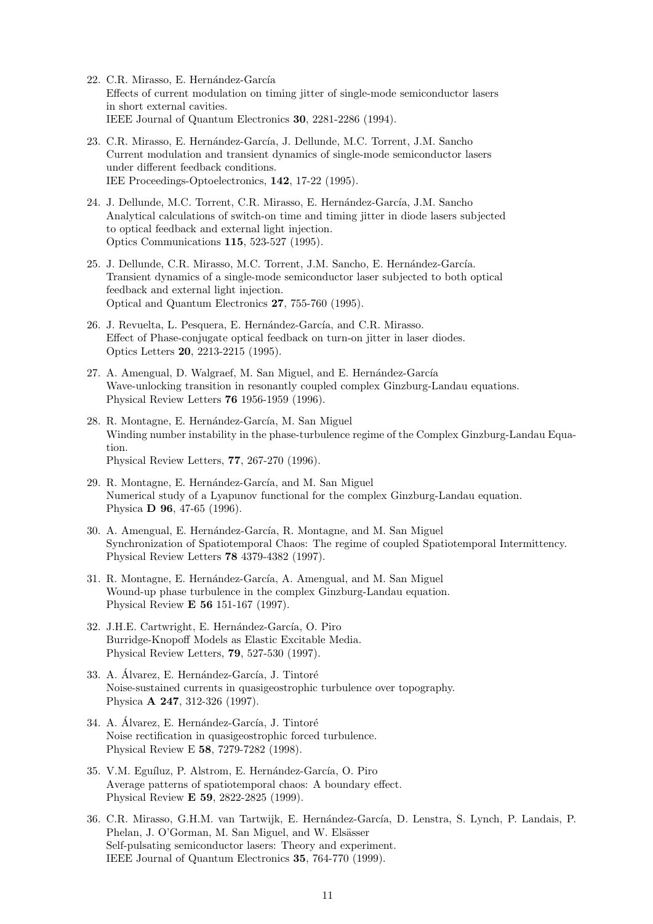- 22. C.R. Mirasso, E. Hernández-García Effects of current modulation on timing jitter of single-mode semiconductor lasers in short external cavities. IEEE Journal of Quantum Electronics **30**, 2281-2286 (1994).
- 23. C.R. Mirasso, E. Hernández-García, J. Dellunde, M.C. Torrent, J.M. Sancho Current modulation and transient dynamics of single-mode semiconductor lasers under different feedback conditions. IEE Proceedings-Optoelectronics, **142**, 17-22 (1995).
- 24. J. Dellunde, M.C. Torrent, C.R. Mirasso, E. Hernández-García, J.M. Sancho Analytical calculations of switch-on time and timing jitter in diode lasers subjected to optical feedback and external light injection. Optics Communications **115**, 523-527 (1995).
- 25. J. Dellunde, C.R. Mirasso, M.C. Torrent, J.M. Sancho, E. Hernández-García. Transient dynamics of a single-mode semiconductor laser subjected to both optical feedback and external light injection. Optical and Quantum Electronics **27**, 755-760 (1995).
- 26. J. Revuelta, L. Pesquera, E. Hernández-García, and C.R. Mirasso. Effect of Phase-conjugate optical feedback on turn-on jitter in laser diodes. Optics Letters **20**, 2213-2215 (1995).
- 27. A. Amengual, D. Walgraef, M. San Miguel, and E. Hernández-García Wave-unlocking transition in resonantly coupled complex Ginzburg-Landau equations. Physical Review Letters **76** 1956-1959 (1996).
- 28. R. Montagne, E. Hernández-García, M. San Miguel Winding number instability in the phase-turbulence regime of the Complex Ginzburg-Landau Equation. Physical Review Letters, **77**, 267-270 (1996).
- 29. R. Montagne, E. Hernández-García, and M. San Miguel Numerical study of a Lyapunov functional for the complex Ginzburg-Landau equation. Physica **D 96**, 47-65 (1996).
- 30. A. Amengual, E. Hernández-García, R. Montagne, and M. San Miguel Synchronization of Spatiotemporal Chaos: The regime of coupled Spatiotemporal Intermittency. Physical Review Letters **78** 4379-4382 (1997).
- 31. R. Montagne, E. Hernández-García, A. Amengual, and M. San Miguel Wound-up phase turbulence in the complex Ginzburg-Landau equation. Physical Review **E 56** 151-167 (1997).
- 32. J.H.E. Cartwright, E. Hernández-García, O. Piro Burridge-Knopoff Models as Elastic Excitable Media. Physical Review Letters, **79**, 527-530 (1997).
- 33. A. Álvarez, E. Hernández-García, J. Tintoré Noise-sustained currents in quasigeostrophic turbulence over topography. Physica **A 247**, 312-326 (1997).
- 34. A. Álvarez, E. Hernández-García, J. Tintoré Noise rectification in quasigeostrophic forced turbulence. Physical Review E **58**, 7279-7282 (1998).
- 35. V.M. Eguíluz, P. Alstrom, E. Hernández-García, O. Piro Average patterns of spatiotemporal chaos: A boundary effect. Physical Review **E 59**, 2822-2825 (1999).
- 36. C.R. Mirasso, G.H.M. van Tartwijk, E. Hernández-García, D. Lenstra, S. Lynch, P. Landais, P. Phelan, J. O'Gorman, M. San Miguel, and W. Elsässer Self-pulsating semiconductor lasers: Theory and experiment. IEEE Journal of Quantum Electronics **35**, 764-770 (1999).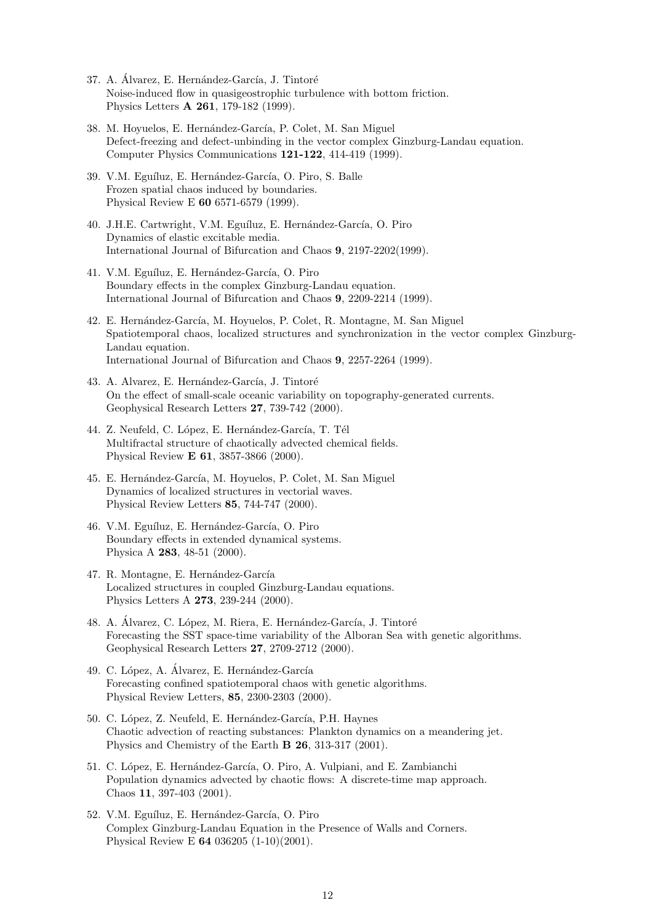- 37. A. Álvarez, E. Hernández-García, J. Tintoré Noise-induced flow in quasigeostrophic turbulence with bottom friction. Physics Letters **A 261**, 179-182 (1999).
- 38. M. Hoyuelos, E. Hernández-García, P. Colet, M. San Miguel Defect-freezing and defect-unbinding in the vector complex Ginzburg-Landau equation. Computer Physics Communications **121-122**, 414-419 (1999).
- 39. V.M. Eguíluz, E. Hernández-García, O. Piro, S. Balle Frozen spatial chaos induced by boundaries. Physical Review E **60** 6571-6579 (1999).
- 40. J.H.E. Cartwright, V.M. Eguíluz, E. Hernández-García, O. Piro Dynamics of elastic excitable media. International Journal of Bifurcation and Chaos **9**, 2197-2202(1999).
- 41. V.M. Eguíluz, E. Hernández-García, O. Piro Boundary effects in the complex Ginzburg-Landau equation. International Journal of Bifurcation and Chaos **9**, 2209-2214 (1999).
- 42. E. Hernández-García, M. Hoyuelos, P. Colet, R. Montagne, M. San Miguel Spatiotemporal chaos, localized structures and synchronization in the vector complex Ginzburg-Landau equation. International Journal of Bifurcation and Chaos **9**, 2257-2264 (1999).
- 43. A. Alvarez, E. Hernández-García, J. Tintoré On the effect of small-scale oceanic variability on topography-generated currents. Geophysical Research Letters **27**, 739-742 (2000).
- 44. Z. Neufeld, C. López, E. Hernández-García, T. Tél Multifractal structure of chaotically advected chemical fields. Physical Review **E 61**, 3857-3866 (2000).
- 45. E. Hernández-García, M. Hoyuelos, P. Colet, M. San Miguel Dynamics of localized structures in vectorial waves. Physical Review Letters **85**, 744-747 (2000).
- 46. V.M. Eguíluz, E. Hernández-García, O. Piro Boundary effects in extended dynamical systems. Physica A **283**, 48-51 (2000).
- 47. R. Montagne, E. Hernández-García Localized structures in coupled Ginzburg-Landau equations. Physics Letters A **273**, 239-244 (2000).
- 48. A. Álvarez, C. López, M. Riera, E. Hernández-García, J. Tintoré Forecasting the SST space-time variability of the Alboran Sea with genetic algorithms. Geophysical Research Letters **27**, 2709-2712 (2000).
- 49. C. López, A. Álvarez, E. Hernández-García Forecasting confined spatiotemporal chaos with genetic algorithms. Physical Review Letters, **85**, 2300-2303 (2000).
- 50. C. López, Z. Neufeld, E. Hernández-García, P.H. Haynes Chaotic advection of reacting substances: Plankton dynamics on a meandering jet. Physics and Chemistry of the Earth **B 26**, 313-317 (2001).
- 51. C. López, E. Hernández-García, O. Piro, A. Vulpiani, and E. Zambianchi Population dynamics advected by chaotic flows: A discrete-time map approach. Chaos **11**, 397-403 (2001).
- 52. V.M. Eguíluz, E. Hernández-García, O. Piro Complex Ginzburg-Landau Equation in the Presence of Walls and Corners. Physical Review E **64** 036205 (1-10)(2001).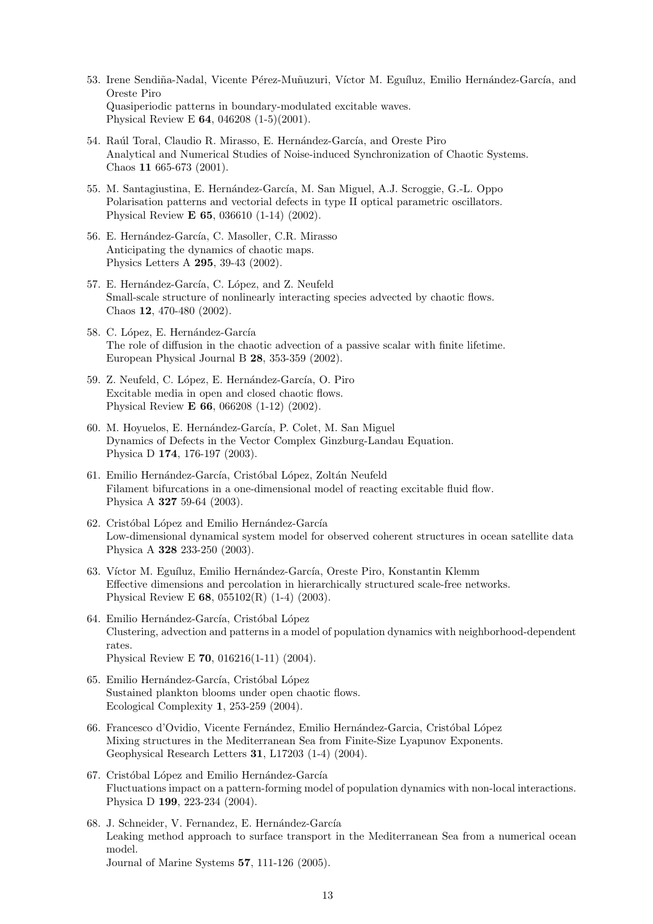- 53. Irene Sendiña-Nadal, Vicente Pérez-Muñuzuri, Víctor M. Eguíluz, Emilio Hernández-García, and Oreste Piro Quasiperiodic patterns in boundary-modulated excitable waves. Physical Review E **64**, 046208 (1-5)(2001).
- 54. Raúl Toral, Claudio R. Mirasso, E. Hernández-García, and Oreste Piro Analytical and Numerical Studies of Noise-induced Synchronization of Chaotic Systems. Chaos **11** 665-673 (2001).
- 55. M. Santagiustina, E. Hernández-García, M. San Miguel, A.J. Scroggie, G.-L. Oppo Polarisation patterns and vectorial defects in type II optical parametric oscillators. Physical Review **E 65**, 036610 (1-14) (2002).
- 56. E. Hernández-García, C. Masoller, C.R. Mirasso Anticipating the dynamics of chaotic maps. Physics Letters A **295**, 39-43 (2002).
- 57. E. Hernández-García, C. López, and Z. Neufeld Small-scale structure of nonlinearly interacting species advected by chaotic flows. Chaos **12**, 470-480 (2002).
- 58. C. López, E. Hernández-García The role of diffusion in the chaotic advection of a passive scalar with finite lifetime. European Physical Journal B **28**, 353-359 (2002).
- 59. Z. Neufeld, C. López, E. Hernández-García, O. Piro Excitable media in open and closed chaotic flows. Physical Review **E 66**, 066208 (1-12) (2002).
- 60. M. Hovuelos, E. Hernández-García, P. Colet, M. San Miguel Dynamics of Defects in the Vector Complex Ginzburg-Landau Equation. Physica D **174**, 176-197 (2003).
- 61. Emilio Hernández-García, Cristóbal López, Zoltán Neufeld Filament bifurcations in a one-dimensional model of reacting excitable fluid flow. Physica A **327** 59-64 (2003).
- 62. Cristóbal López and Emilio Hernández-García Low-dimensional dynamical system model for observed coherent structures in ocean satellite data Physica A **328** 233-250 (2003).
- 63. Víctor M. Eguíluz, Emilio Hernández-García, Oreste Piro, Konstantin Klemm Effective dimensions and percolation in hierarchically structured scale-free networks. Physical Review E **68**, 055102(R) (1-4) (2003).
- 64. Emilio Hernández-García, Cristóbal López Clustering, advection and patterns in a model of population dynamics with neighborhood-dependent rates. Physical Review E **70**, 016216(1-11) (2004).
- 65. Emilio Hernández-García, Cristóbal López Sustained plankton blooms under open chaotic flows. Ecological Complexity **1**, 253-259 (2004).
- 66. Francesco d'Ovidio, Vicente Fernández, Emilio Hernández-Garcia, Cristóbal López Mixing structures in the Mediterranean Sea from Finite-Size Lyapunov Exponents. Geophysical Research Letters **31**, L17203 (1-4) (2004).
- 67. Cristóbal López and Emilio Hernández-García Fluctuations impact on a pattern-forming model of population dynamics with non-local interactions. Physica D **199**, 223-234 (2004).
- 68. J. Schneider, V. Fernandez, E. Hernández-García Leaking method approach to surface transport in the Mediterranean Sea from a numerical ocean model. Journal of Marine Systems **57**, 111-126 (2005).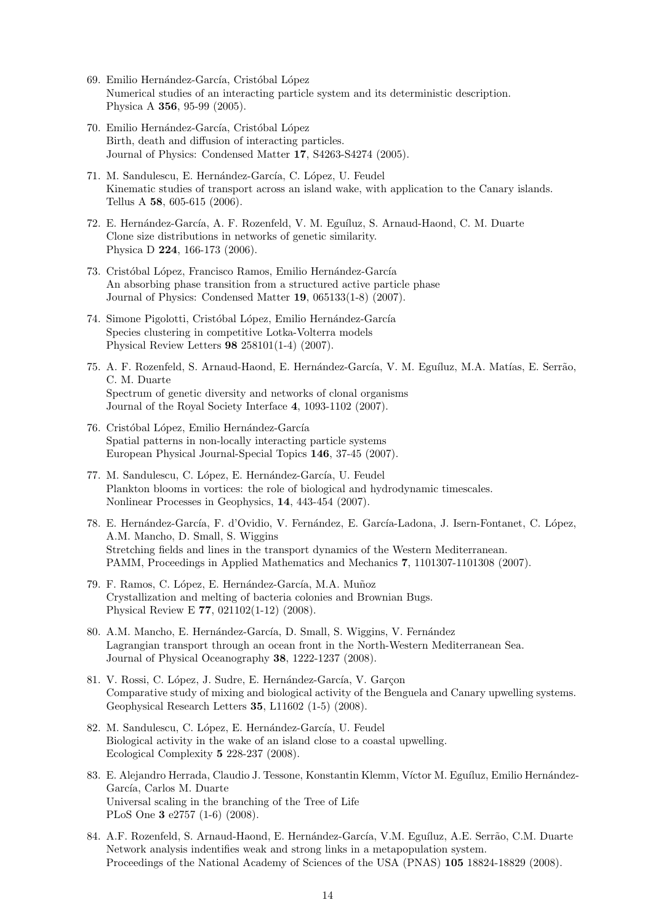- 69. Emilio Hernández-García, Cristóbal López Numerical studies of an interacting particle system and its deterministic description. Physica A **356**, 95-99 (2005).
- 70. Emilio Hernández-García, Cristóbal López Birth, death and diffusion of interacting particles. Journal of Physics: Condensed Matter **17**, S4263-S4274 (2005).
- 71. M. Sandulescu, E. Hernández-García, C. López, U. Feudel Kinematic studies of transport across an island wake, with application to the Canary islands. Tellus A **58**, 605-615 (2006).
- 72. E. Hernández-García, A. F. Rozenfeld, V. M. Eguíluz, S. Arnaud-Haond, C. M. Duarte Clone size distributions in networks of genetic similarity. Physica D **224**, 166-173 (2006).
- 73. Cristóbal López, Francisco Ramos, Emilio Hernández-García An absorbing phase transition from a structured active particle phase Journal of Physics: Condensed Matter **19**, 065133(1-8) (2007).
- 74. Simone Pigolotti, Cristóbal López, Emilio Hernández-García Species clustering in competitive Lotka-Volterra models Physical Review Letters **98** 258101(1-4) (2007).
- 75. A. F. Rozenfeld, S. Arnaud-Haond, E. Hernández-García, V. M. Eguíluz, M.A. Matías, E. Serrão, C. M. Duarte Spectrum of genetic diversity and networks of clonal organisms Journal of the Royal Society Interface **4**, 1093-1102 (2007).
- 76. Cristóbal López, Emilio Hernández-García Spatial patterns in non-locally interacting particle systems European Physical Journal-Special Topics **146**, 37-45 (2007).
- 77. M. Sandulescu, C. López, E. Hernández-García, U. Feudel Plankton blooms in vortices: the role of biological and hydrodynamic timescales. Nonlinear Processes in Geophysics, **14**, 443-454 (2007).
- 78. E. Hernández-García, F. d'Ovidio, V. Fernández, E. García-Ladona, J. Isern-Fontanet, C. López, A.M. Mancho, D. Small, S. Wiggins Stretching fields and lines in the transport dynamics of the Western Mediterranean. PAMM, Proceedings in Applied Mathematics and Mechanics **7**, 1101307-1101308 (2007).
- 79. F. Ramos, C. López, E. Hernández-García, M.A. Muñoz Crystallization and melting of bacteria colonies and Brownian Bugs. Physical Review E **77**, 021102(1-12) (2008).
- 80. A.M. Mancho, E. Hernández-García, D. Small, S. Wiggins, V. Fernández Lagrangian transport through an ocean front in the North-Western Mediterranean Sea. Journal of Physical Oceanography **38**, 1222-1237 (2008).
- 81. V. Rossi, C. López, J. Sudre, E. Hernández-García, V. Garçon Comparative study of mixing and biological activity of the Benguela and Canary upwelling systems. Geophysical Research Letters **35**, L11602 (1-5) (2008).
- 82. M. Sandulescu, C. López, E. Hernández-García, U. Feudel Biological activity in the wake of an island close to a coastal upwelling. Ecological Complexity **5** 228-237 (2008).
- 83. E. Alejandro Herrada, Claudio J. Tessone, Konstantin Klemm, Víctor M. Eguíluz, Emilio Hernández-García, Carlos M. Duarte Universal scaling in the branching of the Tree of Life PLoS One **3** e2757 (1-6) (2008).
- 84. A.F. Rozenfeld, S. Arnaud-Haond, E. Hernández-García, V.M. Eguíluz, A.E. Serrão, C.M. Duarte Network analysis indentifies weak and strong links in a metapopulation system. Proceedings of the National Academy of Sciences of the USA (PNAS) **105** 18824-18829 (2008).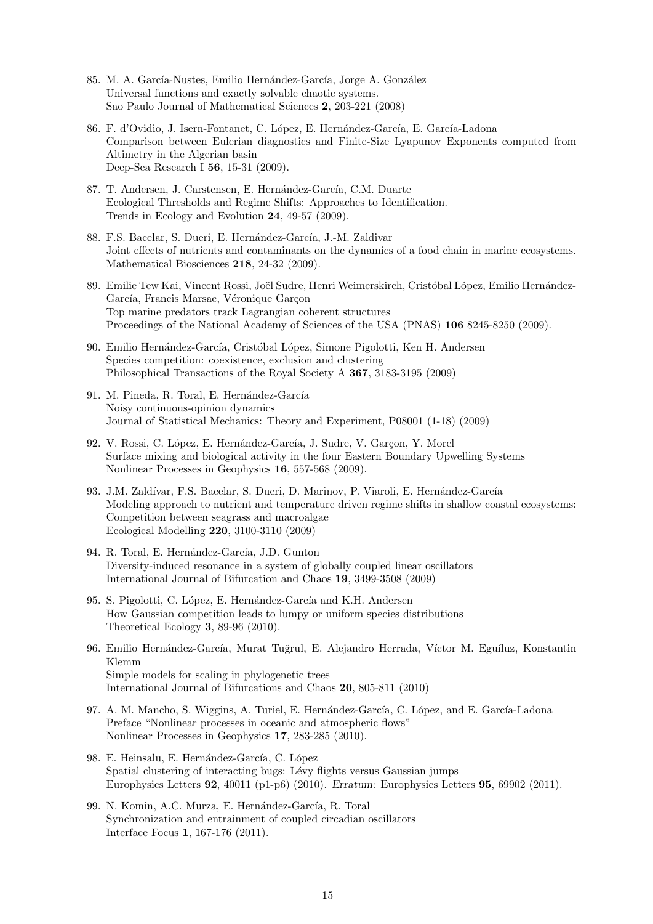- 85. M. A. García-Nustes, Emilio Hernández-García, Jorge A. González Universal functions and exactly solvable chaotic systems. Sao Paulo Journal of Mathematical Sciences **2**, 203-221 (2008)
- 86. F. d'Ovidio, J. Isern-Fontanet, C. López, E. Hernández-García, E. García-Ladona Comparison between Eulerian diagnostics and Finite-Size Lyapunov Exponents computed from Altimetry in the Algerian basin Deep-Sea Research I **56**, 15-31 (2009).
- 87. T. Andersen, J. Carstensen, E. Hernández-García, C.M. Duarte Ecological Thresholds and Regime Shifts: Approaches to Identification. Trends in Ecology and Evolution **24**, 49-57 (2009).
- 88. F.S. Bacelar, S. Dueri, E. Hernández-García, J.-M. Zaldivar Joint effects of nutrients and contaminants on the dynamics of a food chain in marine ecosystems. Mathematical Biosciences **218**, 24-32 (2009).
- 89. Emilie Tew Kai, Vincent Rossi, Joël Sudre, Henri Weimerskirch, Cristóbal López, Emilio Hernández-García, Francis Marsac, Véronique Garçon Top marine predators track Lagrangian coherent structures Proceedings of the National Academy of Sciences of the USA (PNAS) **106** 8245-8250 (2009).
- 90. Emilio Hernández-García, Cristóbal López, Simone Pigolotti, Ken H. Andersen Species competition: coexistence, exclusion and clustering Philosophical Transactions of the Royal Society A **367**, 3183-3195 (2009)
- 91. M. Pineda, R. Toral, E. Hernández-García Noisy continuous-opinion dynamics Journal of Statistical Mechanics: Theory and Experiment, P08001 (1-18) (2009)
- 92. V. Rossi, C. López, E. Hernández-García, J. Sudre, V. Garcon, Y. Morel Surface mixing and biological activity in the four Eastern Boundary Upwelling Systems Nonlinear Processes in Geophysics **16**, 557-568 (2009).
- 93. J.M. Zaldívar, F.S. Bacelar, S. Dueri, D. Marinov, P. Viaroli, E. Hernández-García Modeling approach to nutrient and temperature driven regime shifts in shallow coastal ecosystems: Competition between seagrass and macroalgae Ecological Modelling **220**, 3100-3110 (2009)
- 94. R. Toral, E. Hernández-García, J.D. Gunton Diversity-induced resonance in a system of globally coupled linear oscillators International Journal of Bifurcation and Chaos **19**, 3499-3508 (2009)
- 95. S. Pigolotti, C. López, E. Hernández-García and K.H. Andersen How Gaussian competition leads to lumpy or uniform species distributions Theoretical Ecology **3**, 89-96 (2010).
- 96. Emilio Hernández-García, Murat Tuğrul, E. Alejandro Herrada, Víctor M. Eguíluz, Konstantin Klemm Simple models for scaling in phylogenetic trees International Journal of Bifurcations and Chaos **20**, 805-811 (2010)
- 97. A. M. Mancho, S. Wiggins, A. Turiel, E. Hernández-García, C. López, and E. García-Ladona Preface "Nonlinear processes in oceanic and atmospheric flows" Nonlinear Processes in Geophysics **17**, 283-285 (2010).
- 98. E. Heinsalu, E. Hernández-García, C. López Spatial clustering of interacting bugs: Lévy flights versus Gaussian jumps Europhysics Letters **92**, 40011 (p1-p6) (2010). *Erratum:* Europhysics Letters **95**, 69902 (2011).
- 99. N. Komin, A.C. Murza, E. Hernández-García, R. Toral Synchronization and entrainment of coupled circadian oscillators Interface Focus **1**, 167-176 (2011).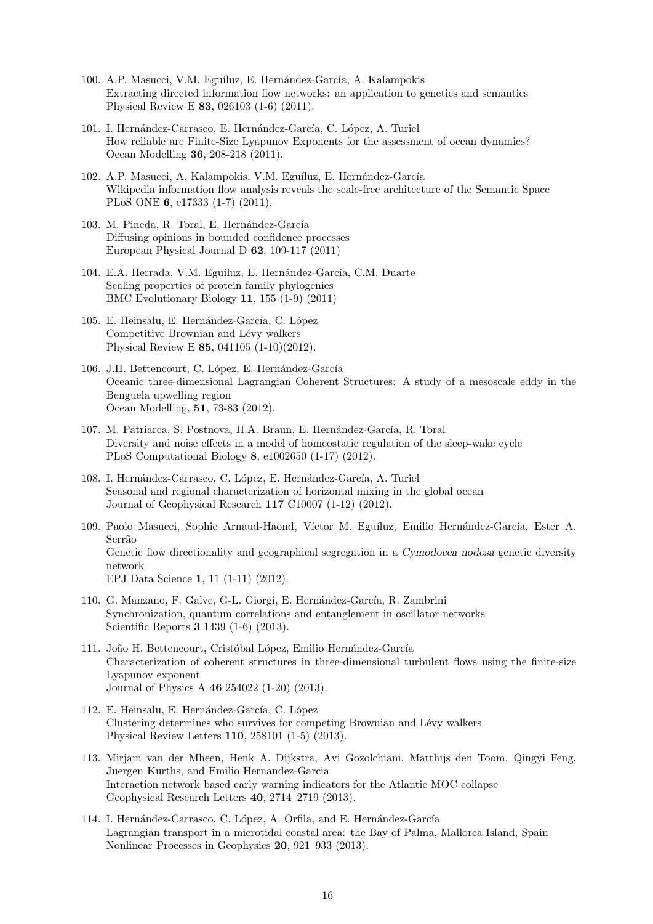- 100. A.P. Masucci, V.M. Eguíluz, E. Hernández-García, A. Kalampokis Extracting directed information flow networks: an application to genetics and semantics Physical Review E **83**, 026103 (1-6) (2011).
- 101. I. Hernández-Carrasco, E. Hernández-García, C. López, A. Turiel How reliable are Finite-Size Lyapunov Exponents for the assessment of ocean dynamics? Ocean Modelling **36**, 208-218 (2011).
- 102. A.P. Masucci, A. Kalampokis, V.M. Eguíluz, E. Hernández-García Wikipedia information flow analysis reveals the scale-free architecture of the Semantic Space PLoS ONE **6**, e17333 (1-7) (2011).
- 103. M. Pineda, R. Toral, E. Hernández-García Diffusing opinions in bounded confidence processes European Physical Journal D **62**, 109-117 (2011)
- 104. E.A. Herrada, V.M. Eguíluz, E. Hernández-García, C.M. Duarte Scaling properties of protein family phylogenies BMC Evolutionary Biology **11**, 155 (1-9) (2011)
- 105. E. Heinsalu, E. Hernández-García, C. López Competitive Brownian and Lévy walkers Physical Review E **85**, 041105 (1-10)(2012).
- 106. J.H. Bettencourt, C. López, E. Hernández-García Oceanic three-dimensional Lagrangian Coherent Structures: A study of a mesoscale eddy in the Benguela upwelling region Ocean Modelling, **51**, 73-83 (2012).
- 107. M. Patriarca, S. Postnova, H.A. Braun, E. Hernández-García, R. Toral Diversity and noise effects in a model of homeostatic regulation of the sleep-wake cycle PLoS Computational Biology **8**, e1002650 (1-17) (2012).
- 108. I. Hernández-Carrasco, C. López, E. Hernández-García, A. Turiel Seasonal and regional characterization of horizontal mixing in the global ocean Journal of Geophysical Research **117** C10007 (1-12) (2012).
- 109. Paolo Masucci, Sophie Arnaud-Haond, Víctor M. Eguíluz, Emilio Hernández-García, Ester A. Serrão Genetic flow directionality and geographical segregation in a *Cymodocea nodosa* genetic diversity network EPJ Data Science **1**, 11 (1-11) (2012).
- 110. G. Manzano, F. Galve, G-L. Giorgi, E. Hernández-García, R. Zambrini Synchronization, quantum correlations and entanglement in oscillator networks Scientific Reports **3** 1439 (1-6) (2013).
- 111. João H. Bettencourt, Cristóbal López, Emilio Hernández-García Characterization of coherent structures in three-dimensional turbulent flows using the finite-size Lyapunov exponent Journal of Physics A **46** 254022 (1-20) (2013).
- 112. E. Heinsalu, E. Hernández-García, C. López Clustering determines who survives for competing Brownian and Lévy walkers Physical Review Letters **110**, 258101 (1-5) (2013).
- 113. Mirjam van der Mheen, Henk A. Dijkstra, Avi Gozolchiani, Matthijs den Toom, Qingyi Feng, Juergen Kurths, and Emilio Hernandez-Garcia Interaction network based early warning indicators for the Atlantic MOC collapse Geophysical Research Letters **40**, 2714–2719 (2013).
- 114. I. Hernández-Carrasco, C. López, A. Orfila, and E. Hernández-García Lagrangian transport in a microtidal coastal area: the Bay of Palma, Mallorca Island, Spain Nonlinear Processes in Geophysics **20**, 921–933 (2013).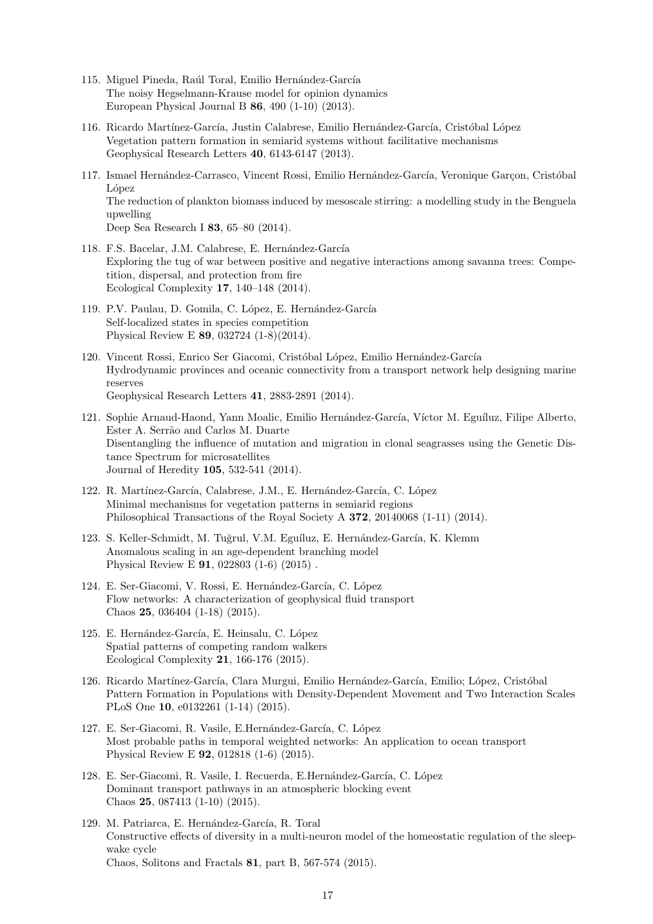- 115. Miguel Pineda, Raúl Toral, Emilio Hernández-García The noisy Hegselmann-Krause model for opinion dynamics European Physical Journal B **86**, 490 (1-10) (2013).
- 116. Ricardo Martínez-García, Justin Calabrese, Emilio Hernández-García, Cristóbal López Vegetation pattern formation in semiarid systems without facilitative mechanisms Geophysical Research Letters **40**, 6143-6147 (2013).
- 117. Ismael Hernández-Carrasco, Vincent Rossi, Emilio Hernández-García, Veronique Garçon, Cristóbal López The reduction of plankton biomass induced by mesoscale stirring: a modelling study in the Benguela upwelling Deep Sea Research I **83**, 65–80 (2014).
- 118. F.S. Bacelar, J.M. Calabrese, E. Hernández-García Exploring the tug of war between positive and negative interactions among savanna trees: Competition, dispersal, and protection from fire Ecological Complexity **17**, 140–148 (2014).
- 119. P.V. Paulau, D. Gomila, C. López, E. Hernández-García Self-localized states in species competition Physical Review E **89**, 032724 (1-8)(2014).
- 120. Vincent Rossi, Enrico Ser Giacomi, Cristóbal López, Emilio Hernández-García Hydrodynamic provinces and oceanic connectivity from a transport network help designing marine reserves Geophysical Research Letters **41**, 2883-2891 (2014).
- 121. Sophie Arnaud-Haond, Yann Moalic, Emilio Hernández-García, Víctor M. Eguíluz, Filipe Alberto, Ester A. Serrão and Carlos M. Duarte Disentangling the influence of mutation and migration in clonal seagrasses using the Genetic Distance Spectrum for microsatellites Journal of Heredity **105**, 532-541 (2014).
- 122. R. Martínez-García, Calabrese, J.M., E. Hernández-García, C. López Minimal mechanisms for vegetation patterns in semiarid regions Philosophical Transactions of the Royal Society A **372**, 20140068 (1-11) (2014).
- 123. S. Keller-Schmidt, M. Tuğrul, V.M. Eguíluz, E. Hernández-García, K. Klemm Anomalous scaling in an age-dependent branching model Physical Review E **91**, 022803 (1-6) (2015) .
- 124. E. Ser-Giacomi, V. Rossi, E. Hernández-García, C. López Flow networks: A characterization of geophysical fluid transport Chaos **25**, 036404 (1-18) (2015).
- 125. E. Hernández-García, E. Heinsalu, C. López Spatial patterns of competing random walkers Ecological Complexity **21**, 166-176 (2015).
- 126. Ricardo Martínez-García, Clara Murgui, Emilio Hernández-García, Emilio; López, Cristóbal Pattern Formation in Populations with Density-Dependent Movement and Two Interaction Scales PLoS One **10**, e0132261 (1-14) (2015).
- 127. E. Ser-Giacomi, R. Vasile, E.Hernández-García, C. López Most probable paths in temporal weighted networks: An application to ocean transport Physical Review E **92**, 012818 (1-6) (2015).
- 128. E. Ser-Giacomi, R. Vasile, I. Recuerda, E. Hernández-García, C. López Dominant transport pathways in an atmospheric blocking event Chaos **25**, 087413 (1-10) (2015).
- 129. M. Patriarca, E. Hernández-García, R. Toral Constructive effects of diversity in a multi-neuron model of the homeostatic regulation of the sleepwake cycle Chaos, Solitons and Fractals **81**, part B, 567-574 (2015).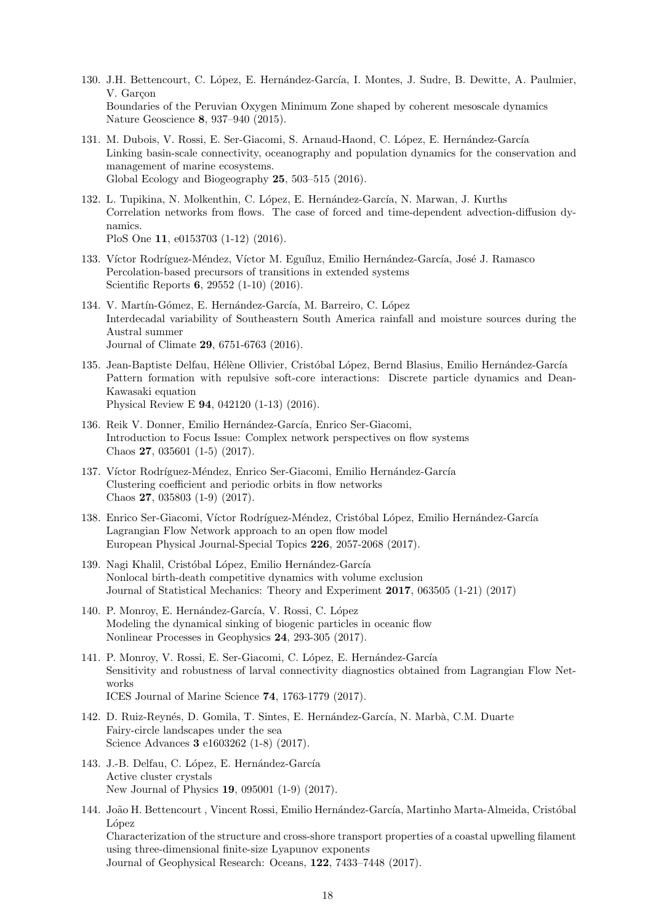- 130. J.H. Bettencourt, C. López, E. Hernández-García, I. Montes, J. Sudre, B. Dewitte, A. Paulmier, V. Garcon Boundaries of the Peruvian Oxygen Minimum Zone shaped by coherent mesoscale dynamics Nature Geoscience **8**, 937–940 (2015).
- 131. M. Dubois, V. Rossi, E. Ser-Giacomi, S. Arnaud-Haond, C. López, E. Hernández-García Linking basin-scale connectivity, oceanography and population dynamics for the conservation and management of marine ecosystems. Global Ecology and Biogeography **25**, 503–515 (2016).
- 132. L. Tupikina, N. Molkenthin, C. López, E. Hernández-García, N. Marwan, J. Kurths Correlation networks from flows. The case of forced and time-dependent advection-diffusion dynamics.

PloS One **11**, e0153703 (1-12) (2016).

- 133. Víctor Rodríguez-Méndez, Víctor M. Eguíluz, Emilio Hernández-García, José J. Ramasco Percolation-based precursors of transitions in extended systems Scientific Reports **6**, 29552 (1-10) (2016).
- 134. V. Martín-Gómez, E. Hernández-García, M. Barreiro, C. López Interdecadal variability of Southeastern South America rainfall and moisture sources during the Austral summer Journal of Climate **29**, 6751-6763 (2016).
- 135. Jean-Baptiste Delfau, Hélène Ollivier, Cristóbal López, Bernd Blasius, Emilio Hernández-García Pattern formation with repulsive soft-core interactions: Discrete particle dynamics and Dean-Kawasaki equation Physical Review E **94**, 042120 (1-13) (2016).
- 136. Reik V. Donner, Emilio Hernández-García, Enrico Ser-Giacomi, Introduction to Focus Issue: Complex network perspectives on flow systems Chaos **27**, 035601 (1-5) (2017).
- 137. Víctor Rodríguez-Méndez, Enrico Ser-Giacomi, Emilio Hernández-García Clustering coefficient and periodic orbits in flow networks Chaos **27**, 035803 (1-9) (2017).
- 138. Enrico Ser-Giacomi, Víctor Rodríguez-Méndez, Cristóbal López, Emilio Hernández-García Lagrangian Flow Network approach to an open flow model European Physical Journal-Special Topics **226**, 2057-2068 (2017).
- 139. Nagi Khalil, Cristóbal López, Emilio Hernández-García Nonlocal birth-death competitive dynamics with volume exclusion Journal of Statistical Mechanics: Theory and Experiment **2017**, 063505 (1-21) (2017)
- 140. P. Monroy, E. Hernández-García, V. Rossi, C. López Modeling the dynamical sinking of biogenic particles in oceanic flow Nonlinear Processes in Geophysics **24**, 293-305 (2017).
- 141. P. Monroy, V. Rossi, E. Ser-Giacomi, C. López, E. Hernández-García Sensitivity and robustness of larval connectivity diagnostics obtained from Lagrangian Flow Networks ICES Journal of Marine Science **74**, 1763-1779 (2017).
- 142. D. Ruiz-Reynés, D. Gomila, T. Sintes, E. Hernández-García, N. Marbà, C.M. Duarte Fairy-circle landscapes under the sea Science Advances **3** e1603262 (1-8) (2017).
- 143. J.-B. Delfau, C. López, E. Hernández-García Active cluster crystals New Journal of Physics **19**, 095001 (1-9) (2017).
- 144. João H. Bettencourt , Vincent Rossi, Emilio Hernández-García, Martinho Marta-Almeida, Cristóbal López Characterization of the structure and cross-shore transport properties of a coastal upwelling filament using three-dimensional finite-size Lyapunov exponents Journal of Geophysical Research: Oceans, **122**, 7433–7448 (2017).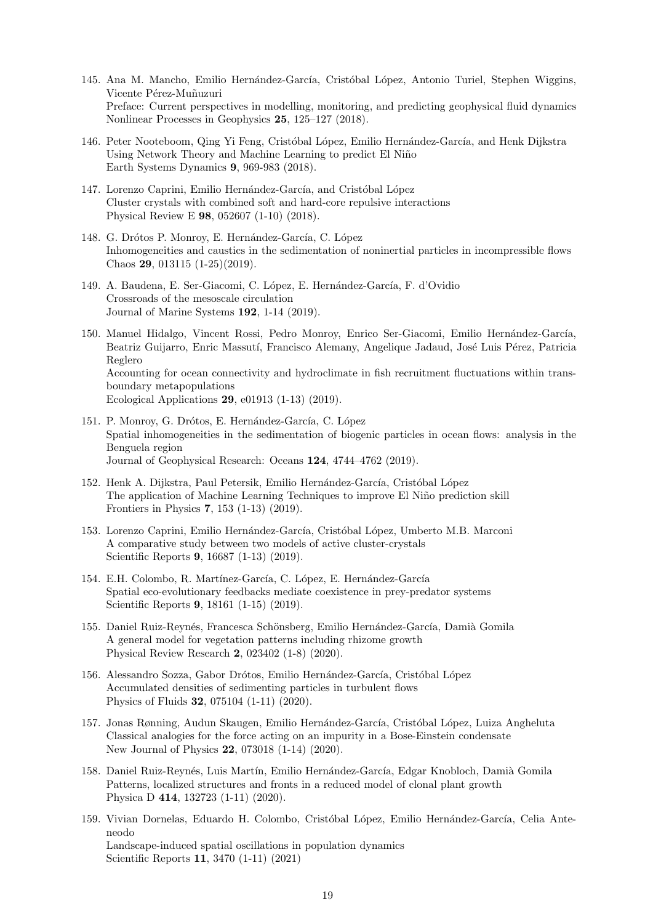- 145. Ana M. Mancho, Emilio Hernández-García, Cristóbal López, Antonio Turiel, Stephen Wiggins, Vicente Pérez-Muñuzuri Preface: Current perspectives in modelling, monitoring, and predicting geophysical fluid dynamics Nonlinear Processes in Geophysics **25**, 125–127 (2018).
- 146. Peter Nooteboom, Qing Yi Feng, Cristóbal López, Emilio Hernández-García, and Henk Dijkstra Using Network Theory and Machine Learning to predict El Niño Earth Systems Dynamics **9**, 969-983 (2018).
- 147. Lorenzo Caprini, Emilio Hernández-García, and Cristóbal López Cluster crystals with combined soft and hard-core repulsive interactions Physical Review E **98**, 052607 (1-10) (2018).
- 148. G. Drótos P. Monroy, E. Hernández-García, C. López Inhomogeneities and caustics in the sedimentation of noninertial particles in incompressible flows Chaos **29**, 013115 (1-25)(2019).
- 149. A. Baudena, E. Ser-Giacomi, C. López, E. Hernández-García, F. d'Ovidio Crossroads of the mesoscale circulation Journal of Marine Systems **192**, 1-14 (2019).
- 150. Manuel Hidalgo, Vincent Rossi, Pedro Monroy, Enrico Ser-Giacomi, Emilio Hernández-García, Beatriz Guijarro, Enric Massutí, Francisco Alemany, Angelique Jadaud, José Luis Pérez, Patricia Reglero Accounting for ocean connectivity and hydroclimate in fish recruitment fluctuations within transboundary metapopulations Ecological Applications **29**, e01913 (1-13) (2019).
- 151. P. Monroy, G. Drótos, E. Hernández-García, C. López Spatial inhomogeneities in the sedimentation of biogenic particles in ocean flows: analysis in the Benguela region Journal of Geophysical Research: Oceans **124**, 4744–4762 (2019).
- 152. Henk A. Dijkstra, Paul Petersik, Emilio Hernández-García, Cristóbal López The application of Machine Learning Techniques to improve El Niño prediction skill Frontiers in Physics **7**, 153 (1-13) (2019).
- 153. Lorenzo Caprini, Emilio Hernández-García, Cristóbal López, Umberto M.B. Marconi A comparative study between two models of active cluster-crystals Scientific Reports **9**, 16687 (1-13) (2019).
- 154. E.H. Colombo, R. Martínez-García, C. López, E. Hernández-García Spatial eco-evolutionary feedbacks mediate coexistence in prey-predator systems Scientific Reports **9**, 18161 (1-15) (2019).
- 155. Daniel Ruiz-Reynés, Francesca Schönsberg, Emilio Hernández-García, Damià Gomila A general model for vegetation patterns including rhizome growth Physical Review Research **2**, 023402 (1-8) (2020).
- 156. Alessandro Sozza, Gabor Drótos, Emilio Hernández-García, Cristóbal López Accumulated densities of sedimenting particles in turbulent flows Physics of Fluids **32**, 075104 (1-11) (2020).
- 157. Jonas Rønning, Audun Skaugen, Emilio Hernández-García, Cristóbal López, Luiza Angheluta Classical analogies for the force acting on an impurity in a Bose-Einstein condensate New Journal of Physics **22**, 073018 (1-14) (2020).
- 158. Daniel Ruiz-Reynés, Luis Martín, Emilio Hernández-García, Edgar Knobloch, Damià Gomila Patterns, localized structures and fronts in a reduced model of clonal plant growth Physica D **414**, 132723 (1-11) (2020).
- 159. Vivian Dornelas, Eduardo H. Colombo, Cristóbal López, Emilio Hernández-García, Celia Anteneodo Landscape-induced spatial oscillations in population dynamics Scientific Reports **11**, 3470 (1-11) (2021)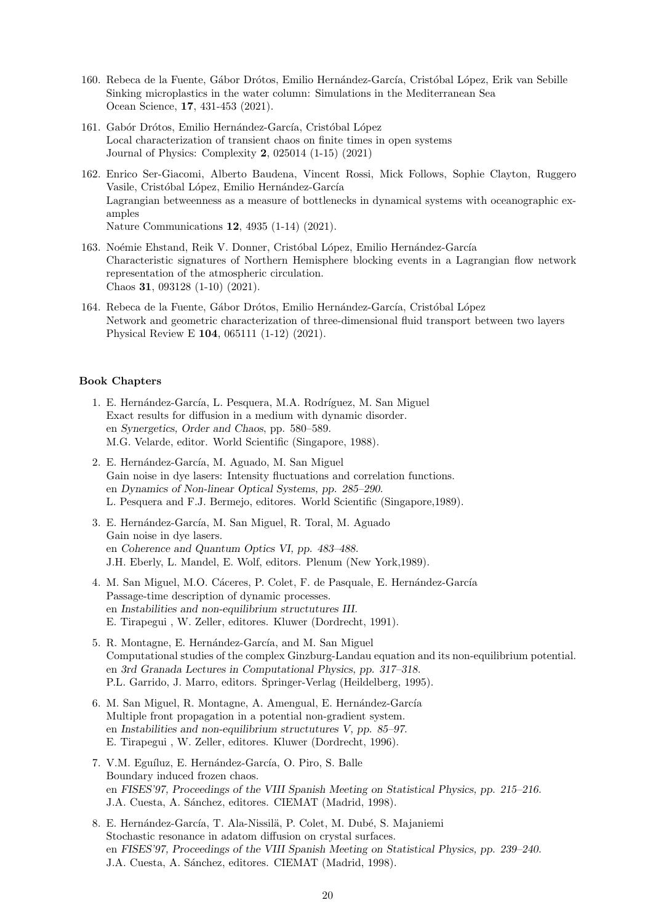- 160. Rebeca de la Fuente, Gábor Drótos, Emilio Hernández-García, Cristóbal López, Erik van Sebille Sinking microplastics in the water column: Simulations in the Mediterranean Sea Ocean Science, **17**, 431-453 (2021).
- 161. Gabór Drótos, Emilio Hernández-García, Cristóbal López Local characterization of transient chaos on finite times in open systems Journal of Physics: Complexity **2**, 025014 (1-15) (2021)
- 162. Enrico Ser-Giacomi, Alberto Baudena, Vincent Rossi, Mick Follows, Sophie Clayton, Ruggero Vasile, Cristóbal López, Emilio Hernández-García Lagrangian betweenness as a measure of bottlenecks in dynamical systems with oceanographic examples Nature Communications **12**, 4935 (1-14) (2021).
- 163. Noémie Ehstand, Reik V. Donner, Cristóbal López, Emilio Hernández-García Characteristic signatures of Northern Hemisphere blocking events in a Lagrangian flow network representation of the atmospheric circulation. Chaos **31**, 093128 (1-10) (2021).
- 164. Rebeca de la Fuente, Gábor Drótos, Emilio Hernández-García, Cristóbal López Network and geometric characterization of three-dimensional fluid transport between two layers Physical Review E **104**, 065111 (1-12) (2021).

#### **Book Chapters**

- 1. E. Hernández-García, L. Pesquera, M.A. Rodríguez, M. San Miguel Exact results for diffusion in a medium with dynamic disorder. en *Synergetics, Order and Chaos*, pp. 580–589. M.G. Velarde, editor. World Scientific (Singapore, 1988).
- 2. E. Hernández-García, M. Aguado, M. San Miguel Gain noise in dye lasers: Intensity fluctuations and correlation functions. en *Dynamics of Non-linear Optical Systems, pp. 285–290*. L. Pesquera and F.J. Bermejo, editores. World Scientific (Singapore,1989).
- 3. E. Hernández-García, M. San Miguel, R. Toral, M. Aguado Gain noise in dye lasers. en *Coherence and Quantum Optics VI, pp. 483–488.* J.H. Eberly, L. Mandel, E. Wolf, editors. Plenum (New York,1989).
- 4. M. San Miguel, M.O. Cáceres, P. Colet, F. de Pasquale, E. Hernández-García Passage-time description of dynamic processes. en *Instabilities and non-equilibrium structutures III.* E. Tirapegui , W. Zeller, editores. Kluwer (Dordrecht, 1991).
- 5. R. Montagne, E. Hernández-García, and M. San Miguel Computational studies of the complex Ginzburg-Landau equation and its non-equilibrium potential. en *3rd Granada Lectures in Computational Physics, pp. 317–318.* P.L. Garrido, J. Marro, editors. Springer-Verlag (Heildelberg, 1995).
- 6. M. San Miguel, R. Montagne, A. Amengual, E. Hernández-García Multiple front propagation in a potential non-gradient system. en *Instabilities and non-equilibrium structutures V, pp. 85–97.* E. Tirapegui , W. Zeller, editores. Kluwer (Dordrecht, 1996).
- 7. V.M. Eguíluz, E. Hernández-García, O. Piro, S. Balle Boundary induced frozen chaos. en *FISES'97, Proceedings of the VIII Spanish Meeting on Statistical Physics, pp. 215–216.* J.A. Cuesta, A. Sánchez, editores. CIEMAT (Madrid, 1998).
- 8. E. Hernández-García, T. Ala-Nissilä, P. Colet, M. Dubé, S. Majaniemi Stochastic resonance in adatom diffusion on crystal surfaces. en *FISES'97, Proceedings of the VIII Spanish Meeting on Statistical Physics, pp. 239–240.* J.A. Cuesta, A. Sánchez, editores. CIEMAT (Madrid, 1998).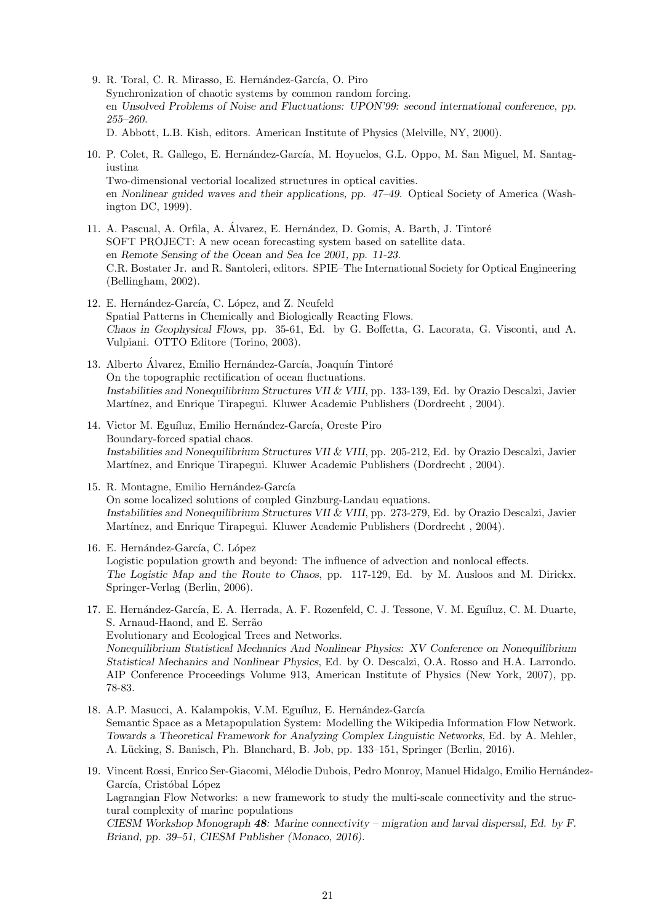- 9. R. Toral, C. R. Mirasso, E. Hernández-García, O. Piro Synchronization of chaotic systems by common random forcing. en *Unsolved Problems of Noise and Fluctuations: UPON'99: second international conference, pp. 255–260.* D. Abbott, L.B. Kish, editors. American Institute of Physics (Melville, NY, 2000).
- 10. P. Colet, R. Gallego, E. Hernández-García, M. Hoyuelos, G.L. Oppo, M. San Miguel, M. Santagiustina Two-dimensional vectorial localized structures in optical cavities. en *Nonlinear guided waves and their applications, pp. 47–49.* Optical Society of America (Washington DC, 1999).
- 11. A. Pascual, A. Orfila, A. Álvarez, E. Hernández, D. Gomis, A. Barth, J. Tintoré SOFT PROJECT: A new ocean forecasting system based on satellite data. en *Remote Sensing of the Ocean and Sea Ice 2001, pp. 11-23.* C.R. Bostater Jr. and R. Santoleri, editors. SPIE–The International Society for Optical Engineering (Bellingham, 2002).
- 12. E. Hernández-García, C. López, and Z. Neufeld Spatial Patterns in Chemically and Biologically Reacting Flows. *Chaos in Geophysical Flows*, pp. 35-61, Ed. by G. Boffetta, G. Lacorata, G. Visconti, and A. Vulpiani. OTTO Editore (Torino, 2003).
- 13. Alberto Álvarez, Emilio Hernández-García, Joaquín Tintoré On the topographic rectification of ocean fluctuations. *Instabilities and Nonequilibrium Structures VII & VIII*, pp. 133-139, Ed. by Orazio Descalzi, Javier Martínez, and Enrique Tirapegui. Kluwer Academic Publishers (Dordrecht, 2004).
- 14. Victor M. Eguíluz, Emilio Hernández-García, Oreste Piro Boundary-forced spatial chaos. *Instabilities and Nonequilibrium Structures VII & VIII*, pp. 205-212, Ed. by Orazio Descalzi, Javier Martínez, and Enrique Tirapegui. Kluwer Academic Publishers (Dordrecht, 2004).
- 15. R. Montagne, Emilio Hernández-García On some localized solutions of coupled Ginzburg-Landau equations. *Instabilities and Nonequilibrium Structures VII & VIII*, pp. 273-279, Ed. by Orazio Descalzi, Javier Martínez, and Enrique Tirapegui. Kluwer Academic Publishers (Dordrecht, 2004).
- 16. E. Hernández-García, C. López Logistic population growth and beyond: The influence of advection and nonlocal effects. *The Logistic Map and the Route to Chaos*, pp. 117-129, Ed. by M. Ausloos and M. Dirickx. Springer-Verlag (Berlin, 2006).
- 17. E. Hernández-García, E. A. Herrada, A. F. Rozenfeld, C. J. Tessone, V. M. Eguíluz, C. M. Duarte, S. Arnaud-Haond, and E. Serrão Evolutionary and Ecological Trees and Networks. *Nonequilibrium Statistical Mechanics And Nonlinear Physics: XV Conference on Nonequilibrium Statistical Mechanics and Nonlinear Physics*, Ed. by O. Descalzi, O.A. Rosso and H.A. Larrondo. AIP Conference Proceedings Volume 913, American Institute of Physics (New York, 2007), pp. 78-83.
- 18. A.P. Masucci, A. Kalampokis, V.M. Eguíluz, E. Hernández-García Semantic Space as a Metapopulation System: Modelling the Wikipedia Information Flow Network. *Towards a Theoretical Framework for Analyzing Complex Linguistic Networks*, Ed. by A. Mehler, A. Lücking, S. Banisch, Ph. Blanchard, B. Job, pp. 133-151, Springer (Berlin, 2016).
- 19. Vincent Rossi, Enrico Ser-Giacomi, Mélodie Dubois, Pedro Monroy, Manuel Hidalgo, Emilio Hernández-García, Cristóbal López Lagrangian Flow Networks: a new framework to study the multi-scale connectivity and the structural complexity of marine populations *CIESM Workshop Monograph 48: Marine connectivity – migration and larval dispersal, Ed. by F. Briand, pp. 39–51, CIESM Publisher (Monaco, 2016).*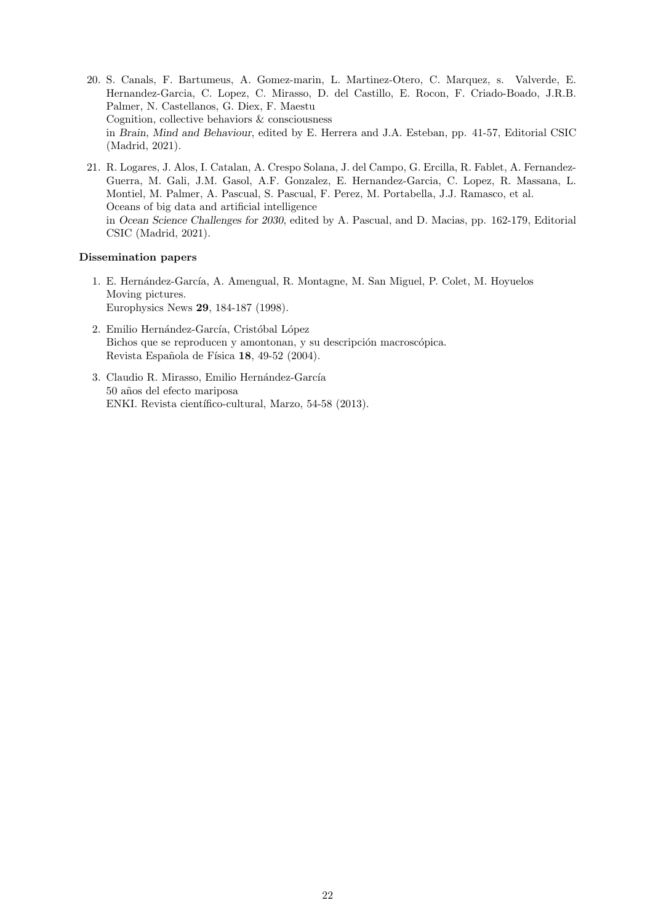- 20. S. Canals, F. Bartumeus, A. Gomez-marin, L. Martinez-Otero, C. Marquez, s. Valverde, E. Hernandez-Garcia, C. Lopez, C. Mirasso, D. del Castillo, E. Rocon, F. Criado-Boado, J.R.B. Palmer, N. Castellanos, G. Diex, F. Maestu Cognition, collective behaviors & consciousness in *Brain, Mind and Behaviour*, edited by E. Herrera and J.A. Esteban, pp. 41-57, Editorial CSIC (Madrid, 2021).
- 21. R. Logares, J. Alos, I. Catalan, A. Crespo Solana, J. del Campo, G. Ercilla, R. Fablet, A. Fernandez-Guerra, M. Gali, J.M. Gasol, A.F. Gonzalez, E. Hernandez-Garcia, C. Lopez, R. Massana, L. Montiel, M. Palmer, A. Pascual, S. Pascual, F. Perez, M. Portabella, J.J. Ramasco, et al. Oceans of big data and artificial intelligence in *Ocean Science Challenges for 2030*, edited by A. Pascual, and D. Macias, pp. 162-179, Editorial CSIC (Madrid, 2021).

## **Dissemination papers**

- 1. E. Hernández-García, A. Amengual, R. Montagne, M. San Miguel, P. Colet, M. Hoyuelos Moving pictures. Europhysics News **29**, 184-187 (1998).
- 2. Emilio Hernández-García, Cristóbal López Bichos que se reproducen y amontonan, y su descripción macroscópica. Revista Española de Física **18**, 49-52 (2004).
- 3. Claudio R. Mirasso, Emilio Hernández-García 50 a˜nos del efecto mariposa ENKI. Revista científico-cultural, Marzo, 54-58 (2013).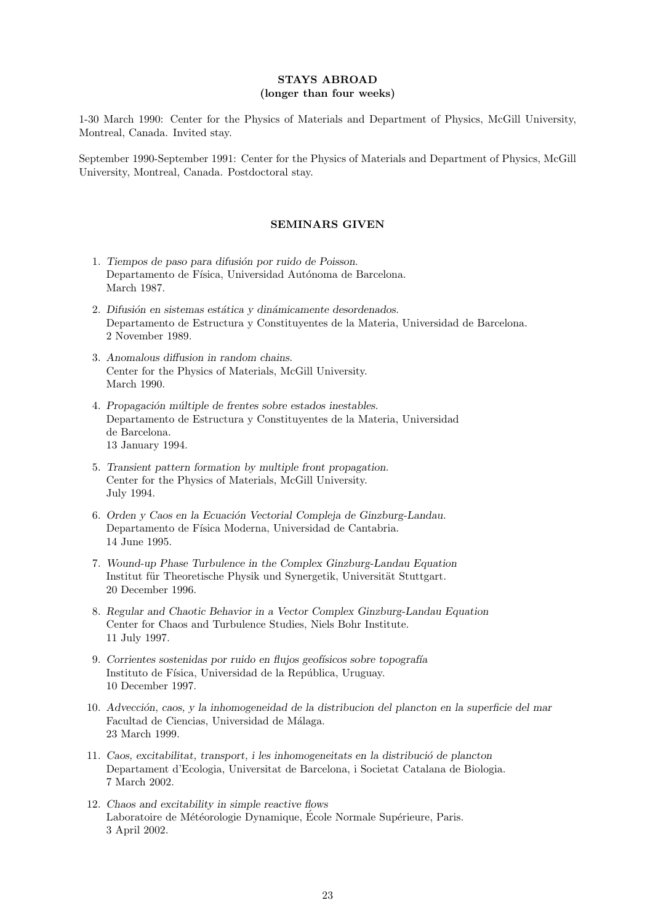# **STAYS ABROAD (longer than four weeks)**

1-30 March 1990: Center for the Physics of Materials and Department of Physics, McGill University, Montreal, Canada. Invited stay.

September 1990-September 1991: Center for the Physics of Materials and Department of Physics, McGill University, Montreal, Canada. Postdoctoral stay.

# **SEMINARS GIVEN**

- 1. *Tiempos de paso para difusi´on por ruido de Poisson*. Departamento de Física, Universidad Autónoma de Barcelona. March 1987.
- 2. Difusión en sistemas estática y dinámicamente desordenados. Departamento de Estructura y Constituyentes de la Materia, Universidad de Barcelona. 2 November 1989.
- 3. *Anomalous diffusion in random chains.* Center for the Physics of Materials, McGill University. March 1990.
- 4. *Propagaci´on m´ultiple de frentes sobre estados inestables.* Departamento de Estructura y Constituyentes de la Materia, Universidad de Barcelona. 13 January 1994.
- 5. *Transient pattern formation by multiple front propagation.* Center for the Physics of Materials, McGill University. July 1994.
- 6. Orden y Caos en la Ecuación Vectorial Compleja de Ginzburg-Landau. Departamento de Física Moderna, Universidad de Cantabria. 14 June 1995.
- 7. *Wound-up Phase Turbulence in the Complex Ginzburg-Landau Equation* Institut für Theoretische Physik und Synergetik, Universität Stuttgart. 20 December 1996.
- 8. *Regular and Chaotic Behavior in a Vector Complex Ginzburg-Landau Equation* Center for Chaos and Turbulence Studies, Niels Bohr Institute. 11 July 1997.
- 9. *Corrientes sostenidas por ruido en flujos geof´ısicos sobre topograf´ıa* Instituto de Física, Universidad de la República, Uruguay. 10 December 1997.
- 10. *Advecci´on, caos, y la inhomogeneidad de la distribucion del plancton en la superficie del mar* Facultad de Ciencias, Universidad de Málaga. 23 March 1999.
- 11. *Caos, excitabilitat, transport, i les inhomogeneitats en la distribuci´o de plancton* Departament d'Ecologia, Universitat de Barcelona, i Societat Catalana de Biologia. 7 March 2002.
- 12. *Chaos and excitability in simple reactive flows* Laboratoire de Météorologie Dynamique, École Normale Supérieure, Paris. 3 April 2002.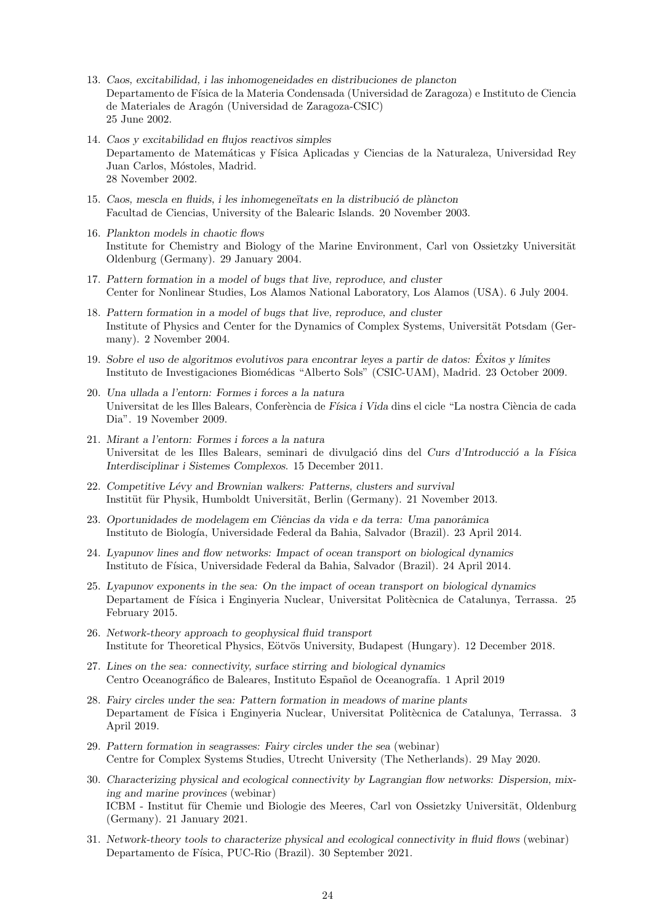- 13. *Caos, excitabilidad, i las inhomogeneidades en distribuciones de plancton* Departamento de Física de la Materia Condensada (Universidad de Zaragoza) e Instituto de Ciencia de Materiales de Aragón (Universidad de Zaragoza-CSIC) 25 June 2002.
- 14. *Caos y excitabilidad en flujos reactivos simples* Departamento de Matemáticas y Física Aplicadas y Ciencias de la Naturaleza, Universidad Rey Juan Carlos, Móstoles, Madrid. 28 November 2002.
- 15. *Caos, mescla en fluids, i les inhomegene¨ıtats en la distribuci´o de pl`ancton* Facultad de Ciencias, University of the Balearic Islands. 20 November 2003.
- 16. *Plankton models in chaotic flows* Institute for Chemistry and Biology of the Marine Environment, Carl von Ossietzky Universität Oldenburg (Germany). 29 January 2004.
- 17. *Pattern formation in a model of bugs that live, reproduce, and cluster* Center for Nonlinear Studies, Los Alamos National Laboratory, Los Alamos (USA). 6 July 2004.
- 18. *Pattern formation in a model of bugs that live, reproduce, and cluster* Institute of Physics and Center for the Dynamics of Complex Systems, Universität Potsdam (Germany). 2 November 2004.
- 19. *Sobre el uso de algoritmos evolutivos para encontrar leyes a partir de datos: Exitos y l´ımites ´* Instituto de Investigaciones Biomédicas "Alberto Sols" (CSIC-UAM), Madrid. 23 October 2009.
- 20. *Una ullada a l'entorn: Formes i forces a la natura* Universitat de les Illes Balears, Conferència de *Física i Vida* dins el cicle "La nostra Ciència de cada" Dia". 19 November 2009.
- 21. *Mirant a l'entorn: Formes i forces a la natura* Universitat de les Illes Balears, seminari de divulgació dins del *Curs d'Introducció a la Física Interdisciplinar i Sistemes Complexos*. 15 December 2011.
- 22. Competitive Lévy and Brownian walkers: Patterns, clusters and survival Institüt für Physik, Humboldt Universität, Berlin (Germany). 21 November 2013.
- 23. *Oportunidades de modelagem em Ciˆencias da vida e da terra: Uma panorˆamica* Instituto de Biolog´ıa, Universidade Federal da Bahia, Salvador (Brazil). 23 April 2014.
- 24. *Lyapunov lines and flow networks: Impact of ocean transport on biological dynamics* Instituto de Física, Universidade Federal da Bahia, Salvador (Brazil). 24 April 2014.
- 25. *Lyapunov exponents in the sea: On the impact of ocean transport on biological dynamics* Departament de Física i Enginyeria Nuclear, Universitat Politècnica de Catalunya, Terrassa. 25 February 2015.
- 26. *Network-theory approach to geophysical fluid transport* Institute for Theoretical Physics, Eötvös University, Budapest (Hungary). 12 December 2018.
- 27. *Lines on the sea: connectivity, surface stirring and biological dynamics* Centro Oceanográfico de Baleares, Instituto Español de Oceanografía. 1 April 2019
- 28. *Fairy circles under the sea: Pattern formation in meadows of marine plants* Departament de Física i Enginyeria Nuclear, Universitat Politècnica de Catalunya, Terrassa. 3 April 2019.
- 29. *Pattern formation in seagrasses: Fairy circles under the sea* (webinar) Centre for Complex Systems Studies, Utrecht University (The Netherlands). 29 May 2020.
- 30. *Characterizing physical and ecological connectivity by Lagrangian flow networks: Dispersion, mixing and marine provinces* (webinar) ICBM - Institut für Chemie und Biologie des Meeres, Carl von Ossietzky Universität, Oldenburg (Germany). 21 January 2021.
- 31. *Network-theory tools to characterize physical and ecological connectivity in fluid flows* (webinar) Departamento de Física, PUC-Rio (Brazil). 30 September 2021.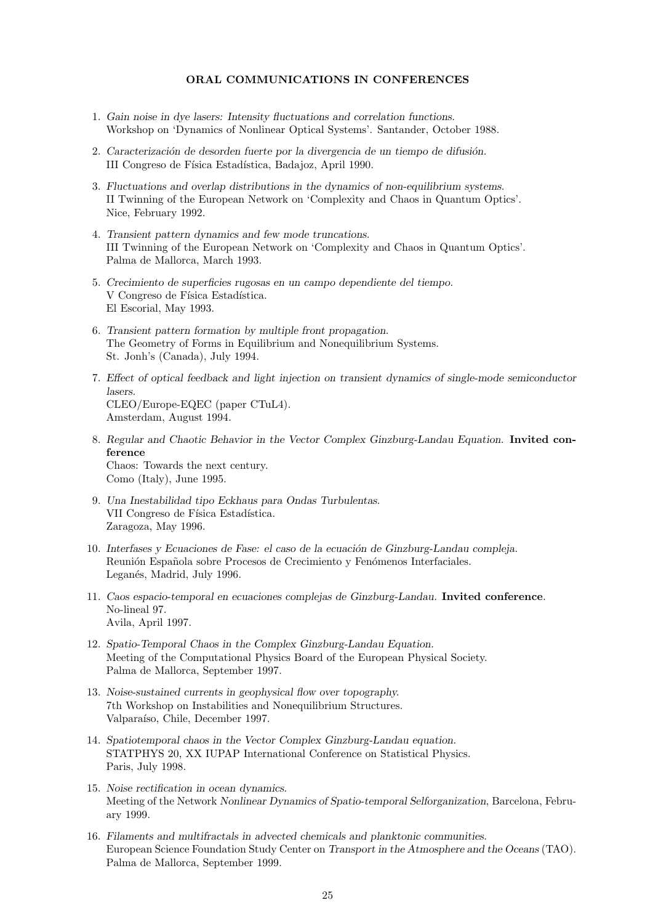## **ORAL COMMUNICATIONS IN CONFERENCES**

- 1. *Gain noise in dye lasers: Intensity fluctuations and correlation functions.* Workshop on 'Dynamics of Nonlinear Optical Systems'. Santander, October 1988.
- 2. Caracterización de desorden fuerte por la divergencia de un tiempo de difusión. III Congreso de Física Estadística, Badajoz, April 1990.
- 3. *Fluctuations and overlap distributions in the dynamics of non-equilibrium systems.* II Twinning of the European Network on 'Complexity and Chaos in Quantum Optics'. Nice, February 1992.
- 4. *Transient pattern dynamics and few mode truncations.* III Twinning of the European Network on 'Complexity and Chaos in Quantum Optics'. Palma de Mallorca, March 1993.
- 5. *Crecimiento de superficies rugosas en un campo dependiente del tiempo.* V Congreso de Física Estadística. El Escorial, May 1993.
- 6. *Transient pattern formation by multiple front propagation.* The Geometry of Forms in Equilibrium and Nonequilibrium Systems. St. Jonh's (Canada), July 1994.
- 7. *Effect of optical feedback and light injection on transient dynamics of single-mode semiconductor lasers.* CLEO/Europe-EQEC (paper CTuL4). Amsterdam, August 1994.
- 8. *Regular and Chaotic Behavior in the Vector Complex Ginzburg-Landau Equation*. **Invited conference** Chaos: Towards the next century. Como (Italy), June 1995.
- 9. *Una Inestabilidad tipo Eckhaus para Ondas Turbulentas.* VII Congreso de Física Estadística. Zaragoza, May 1996.
- 10. *Interfases y Ecuaciones de Fase: el caso de la ecuación de Ginzburg-Landau compleja.* Reunión Española sobre Procesos de Crecimiento y Fenómenos Interfaciales. Leganés, Madrid, July 1996.
- 11. *Caos espacio-temporal en ecuaciones complejas de Ginzburg-Landau.* **Invited conference**. No-lineal 97. Avila, April 1997.
- 12. *Spatio-Temporal Chaos in the Complex Ginzburg-Landau Equation.* Meeting of the Computational Physics Board of the European Physical Society. Palma de Mallorca, September 1997.
- 13. *Noise-sustained currents in geophysical flow over topography.* 7th Workshop on Instabilities and Nonequilibrium Structures. Valparaíso, Chile, December 1997.
- 14. *Spatiotemporal chaos in the Vector Complex Ginzburg-Landau equation.* STATPHYS 20, XX IUPAP International Conference on Statistical Physics. Paris, July 1998.
- 15. *Noise rectification in ocean dynamics.* Meeting of the Network *Nonlinear Dynamics of Spatio-temporal Selforganization*, Barcelona, February 1999.
- 16. *Filaments and multifractals in advected chemicals and planktonic communities.* European Science Foundation Study Center on *Transport in the Atmosphere and the Oceans* (TAO). Palma de Mallorca, September 1999.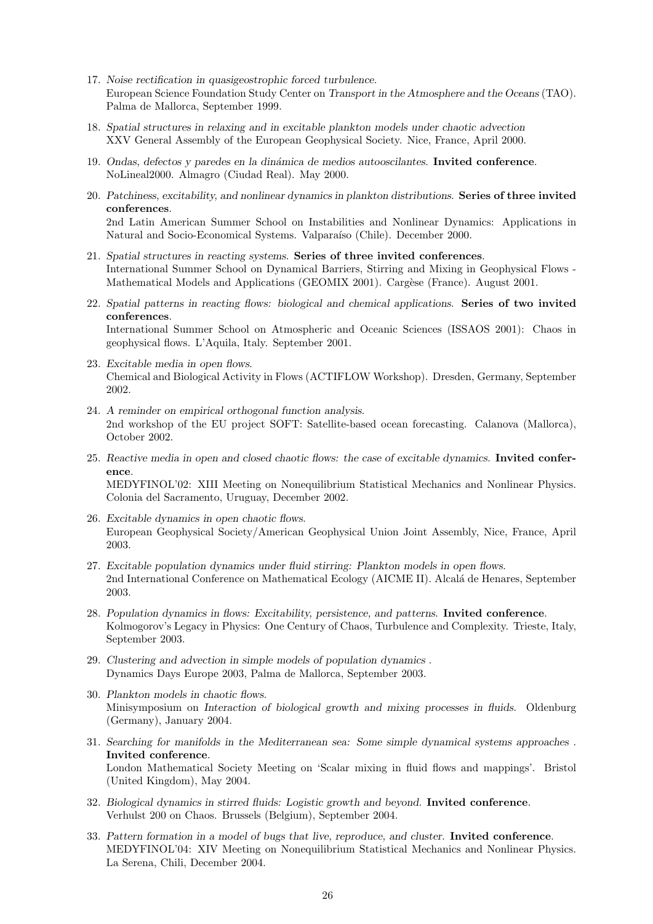- 17. *Noise rectification in quasigeostrophic forced turbulence.* European Science Foundation Study Center on *Transport in the Atmosphere and the Oceans* (TAO). Palma de Mallorca, September 1999.
- 18. *Spatial structures in relaxing and in excitable plankton models under chaotic advection* XXV General Assembly of the European Geophysical Society. Nice, France, April 2000.
- 19. *Ondas, defectos y paredes en la din´amica de medios autooscilantes*. **Invited conference**. NoLineal2000. Almagro (Ciudad Real). May 2000.
- 20. *Patchiness, excitability, and nonlinear dynamics in plankton distributions*. **Series of three invited conferences**. 2nd Latin American Summer School on Instabilities and Nonlinear Dynamics: Applications in Natural and Socio-Economical Systems. Valparaíso (Chile). December 2000.
- 21. *Spatial structures in reacting systems*. **Series of three invited conferences**. International Summer School on Dynamical Barriers, Stirring and Mixing in Geophysical Flows - Mathematical Models and Applications (GEOMIX 2001). Cargèse (France). August 2001.
- 22. *Spatial patterns in reacting flows: biological and chemical applications*. **Series of two invited conferences**. International Summer School on Atmospheric and Oceanic Sciences (ISSAOS 2001): Chaos in geophysical flows. L'Aquila, Italy. September 2001.
- 23. *Excitable media in open flows*. Chemical and Biological Activity in Flows (ACTIFLOW Workshop). Dresden, Germany, September 2002.
- 24. *A reminder on empirical orthogonal function analysis*. 2nd workshop of the EU project SOFT: Satellite-based ocean forecasting. Calanova (Mallorca), October 2002.
- 25. *Reactive media in open and closed chaotic flows: the case of excitable dynamics*. **Invited conference**. MEDYFINOL'02: XIII Meeting on Nonequilibrium Statistical Mechanics and Nonlinear Physics. Colonia del Sacramento, Uruguay, December 2002.
- 26. *Excitable dynamics in open chaotic flows*. European Geophysical Society/American Geophysical Union Joint Assembly, Nice, France, April 2003.
- 27. *Excitable population dynamics under fluid stirring: Plankton models in open flows*. 2nd International Conference on Mathematical Ecology (AICME II). Alcalá de Henares, September 2003.
- 28. *Population dynamics in flows: Excitability, persistence, and patterns*. **Invited conference**. Kolmogorov's Legacy in Physics: One Century of Chaos, Turbulence and Complexity. Trieste, Italy, September 2003.
- 29. *Clustering and advection in simple models of population dynamics* . Dynamics Days Europe 2003, Palma de Mallorca, September 2003.
- 30. *Plankton models in chaotic flows*. Minisymposium on *Interaction of biological growth and mixing processes in fluids*. Oldenburg (Germany), January 2004.
- 31. *Searching for manifolds in the Mediterranean sea: Some simple dynamical systems approaches* . **Invited conference**. London Mathematical Society Meeting on 'Scalar mixing in fluid flows and mappings'. Bristol (United Kingdom), May 2004.
- 32. *Biological dynamics in stirred fluids: Logistic growth and beyond*. **Invited conference**. Verhulst 200 on Chaos. Brussels (Belgium), September 2004.
- 33. *Pattern formation in a model of bugs that live, reproduce, and cluster*. **Invited conference**. MEDYFINOL'04: XIV Meeting on Nonequilibrium Statistical Mechanics and Nonlinear Physics. La Serena, Chili, December 2004.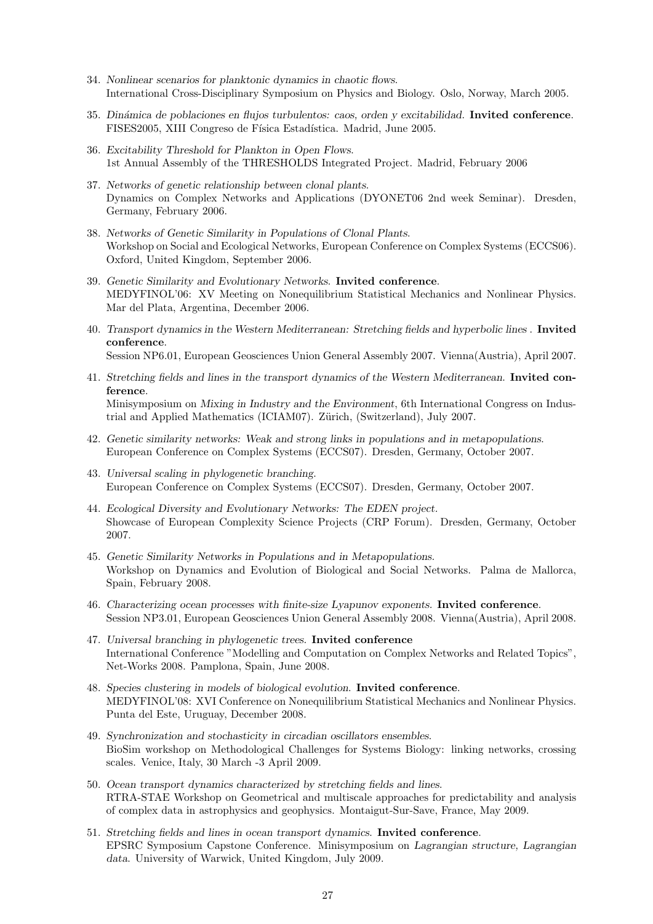- 34. *Nonlinear scenarios for planktonic dynamics in chaotic flows*. International Cross-Disciplinary Symposium on Physics and Biology. Oslo, Norway, March 2005.
- 35. *Din´amica de poblaciones en flujos turbulentos: caos, orden y excitabilidad*. **Invited conference**. FISES2005, XIII Congreso de Física Estadística. Madrid, June 2005.
- 36. *Excitability Threshold for Plankton in Open Flows*. 1st Annual Assembly of the THRESHOLDS Integrated Project. Madrid, February 2006
- 37. *Networks of genetic relationship between clonal plants*. Dynamics on Complex Networks and Applications (DYONET06 2nd week Seminar). Dresden, Germany, February 2006.
- 38. *Networks of Genetic Similarity in Populations of Clonal Plants*. Workshop on Social and Ecological Networks, European Conference on Complex Systems (ECCS06). Oxford, United Kingdom, September 2006.
- 39. *Genetic Similarity and Evolutionary Networks*. **Invited conference**. MEDYFINOL'06: XV Meeting on Nonequilibrium Statistical Mechanics and Nonlinear Physics. Mar del Plata, Argentina, December 2006.
- 40. *Transport dynamics in the Western Mediterranean: Stretching fields and hyperbolic lines* . **Invited conference**. Session NP6.01, European Geosciences Union General Assembly 2007. Vienna(Austria), April 2007.
- 41. *Stretching fields and lines in the transport dynamics of the Western Mediterranean*. **Invited conference**. Minisymposium on *Mixing in Industry and the Environment*, 6th International Congress on Industrial and Applied Mathematics (ICIAM07). Zürich, (Switzerland), July 2007.
- 42. *Genetic similarity networks: Weak and strong links in populations and in metapopulations*. European Conference on Complex Systems (ECCS07). Dresden, Germany, October 2007.
- 43. *Universal scaling in phylogenetic branching*. European Conference on Complex Systems (ECCS07). Dresden, Germany, October 2007.
- 44. *Ecological Diversity and Evolutionary Networks: The EDEN project.* Showcase of European Complexity Science Projects (CRP Forum). Dresden, Germany, October 2007.
- 45. *Genetic Similarity Networks in Populations and in Metapopulations.* Workshop on Dynamics and Evolution of Biological and Social Networks. Palma de Mallorca, Spain, February 2008.
- 46. *Characterizing ocean processes with finite-size Lyapunov exponents.* **Invited conference**. Session NP3.01, European Geosciences Union General Assembly 2008. Vienna(Austria), April 2008.
- 47. *Universal branching in phylogenetic trees.* **Invited conference** International Conference "Modelling and Computation on Complex Networks and Related Topics", Net-Works 2008. Pamplona, Spain, June 2008.
- 48. *Species clustering in models of biological evolution*. **Invited conference**. MEDYFINOL'08: XVI Conference on Nonequilibrium Statistical Mechanics and Nonlinear Physics. Punta del Este, Uruguay, December 2008.
- 49. *Synchronization and stochasticity in circadian oscillators ensembles*. BioSim workshop on Methodological Challenges for Systems Biology: linking networks, crossing scales. Venice, Italy, 30 March -3 April 2009.
- 50. *Ocean transport dynamics characterized by stretching fields and lines*. RTRA-STAE Workshop on Geometrical and multiscale approaches for predictability and analysis of complex data in astrophysics and geophysics. Montaigut-Sur-Save, France, May 2009.
- 51. *Stretching fields and lines in ocean transport dynamics*. **Invited conference**. EPSRC Symposium Capstone Conference. Minisymposium on *Lagrangian structure, Lagrangian data*. University of Warwick, United Kingdom, July 2009.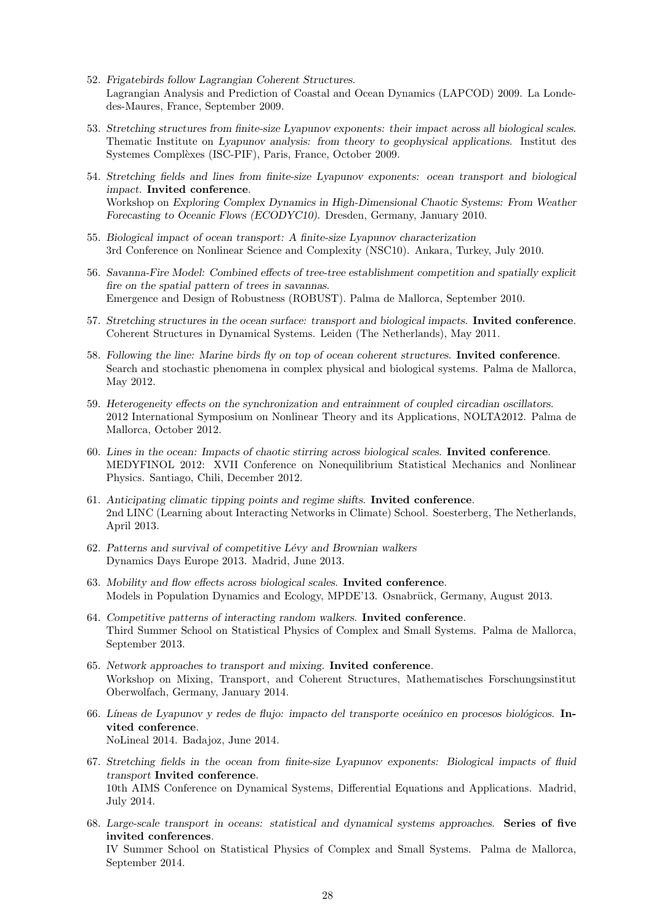- 52. *Frigatebirds follow Lagrangian Coherent Structures*. Lagrangian Analysis and Prediction of Coastal and Ocean Dynamics (LAPCOD) 2009. La Londedes-Maures, France, September 2009.
- 53. *Stretching structures from finite-size Lyapunov exponents: their impact across all biological scales*. Thematic Institute on *Lyapunov analysis: from theory to geophysical applications*. Institut des Systemes Complèxes (ISC-PIF), Paris, France, October 2009.
- 54. *Stretching fields and lines from finite-size Lyapunov exponents: ocean transport and biological impact*. **Invited conference**. Workshop on *Exploring Complex Dynamics in High-Dimensional Chaotic Systems: From Weather Forecasting to Oceanic Flows (ECODYC10)*. Dresden, Germany, January 2010.
- 55. *Biological impact of ocean transport: A finite-size Lyapunov characterization* 3rd Conference on Nonlinear Science and Complexity (NSC10). Ankara, Turkey, July 2010.
- 56. *Savanna-Fire Model: Combined effects of tree-tree establishment competition and spatially explicit fire on the spatial pattern of trees in savannas*. Emergence and Design of Robustness (ROBUST). Palma de Mallorca, September 2010.
- 57. *Stretching structures in the ocean surface: transport and biological impacts*. **Invited conference**. Coherent Structures in Dynamical Systems. Leiden (The Netherlands), May 2011.
- 58. *Following the line: Marine birds fly on top of ocean coherent structures*. **Invited conference**. Search and stochastic phenomena in complex physical and biological systems. Palma de Mallorca, May 2012.
- 59. *Heterogeneity effects on the synchronization and entrainment of coupled circadian oscillators*. 2012 International Symposium on Nonlinear Theory and its Applications, NOLTA2012. Palma de Mallorca, October 2012.
- 60. *Lines in the ocean: Impacts of chaotic stirring across biological scales*. **Invited conference**. MEDYFINOL 2012: XVII Conference on Nonequilibrium Statistical Mechanics and Nonlinear Physics. Santiago, Chili, December 2012.
- 61. *Anticipating climatic tipping points and regime shifts*. **Invited conference**. 2nd LINC (Learning about Interacting Networks in Climate) School. Soesterberg, The Netherlands, April 2013.
- 62. *Patterns and survival of competitive L´evy and Brownian walkers* Dynamics Days Europe 2013. Madrid, June 2013.
- 63. *Mobility and flow effects across biological scales*. **Invited conference**. Models in Population Dynamics and Ecology, MPDE'13. Osnabrück, Germany, August 2013.
- 64. *Competitive patterns of interacting random walkers*. **Invited conference**. Third Summer School on Statistical Physics of Complex and Small Systems. Palma de Mallorca, September 2013.
- 65. *Network approaches to transport and mixing*. **Invited conference**. Workshop on Mixing, Transport, and Coherent Structures, Mathematisches Forschungsinstitut Oberwolfach, Germany, January 2014.
- 66. Líneas de Lyapunov y redes de flujo: impacto del transporte oceánico en procesos biológicos. **Invited conference**. NoLineal 2014. Badajoz, June 2014.
- 67. *Stretching fields in the ocean from finite-size Lyapunov exponents: Biological impacts of fluid transport* **Invited conference**. 10th AIMS Conference on Dynamical Systems, Differential Equations and Applications. Madrid, July 2014.
- 68. *Large-scale transport in oceans: statistical and dynamical systems approaches*. **Series of five invited conferences**.

IV Summer School on Statistical Physics of Complex and Small Systems. Palma de Mallorca, September 2014.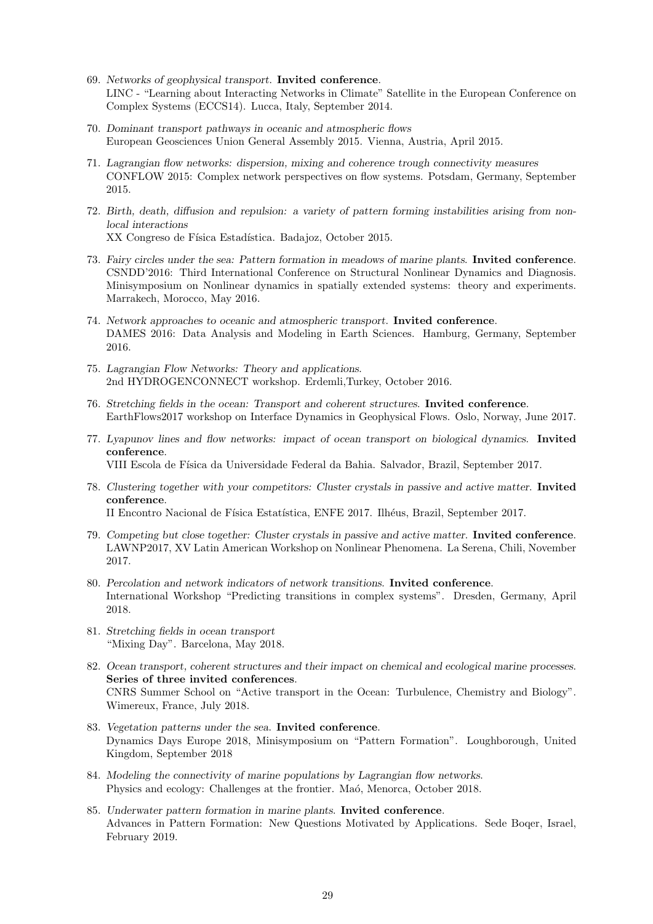- 69. *Networks of geophysical transport*. **Invited conference**. LINC - "Learning about Interacting Networks in Climate" Satellite in the European Conference on Complex Systems (ECCS14). Lucca, Italy, September 2014.
- 70. *Dominant transport pathways in oceanic and atmospheric flows* European Geosciences Union General Assembly 2015. Vienna, Austria, April 2015.
- 71. *Lagrangian flow networks: dispersion, mixing and coherence trough connectivity measures* CONFLOW 2015: Complex network perspectives on flow systems. Potsdam, Germany, September 2015.
- 72. *Birth, death, diffusion and repulsion: a variety of pattern forming instabilities arising from nonlocal interactions* XX Congreso de Física Estadística. Badajoz, October 2015.
- 73. *Fairy circles under the sea: Pattern formation in meadows of marine plants*. **Invited conference**. CSNDD'2016: Third International Conference on Structural Nonlinear Dynamics and Diagnosis. Minisymposium on Nonlinear dynamics in spatially extended systems: theory and experiments. Marrakech, Morocco, May 2016.
- 74. *Network approaches to oceanic and atmospheric transport*. **Invited conference**. DAMES 2016: Data Analysis and Modeling in Earth Sciences. Hamburg, Germany, September 2016.
- 75. *Lagrangian Flow Networks: Theory and applications*. 2nd HYDROGENCONNECT workshop. Erdemli,Turkey, October 2016.
- 76. *Stretching fields in the ocean: Transport and coherent structures*. **Invited conference**. EarthFlows2017 workshop on Interface Dynamics in Geophysical Flows. Oslo, Norway, June 2017.
- 77. *Lyapunov lines and flow networks: impact of ocean transport on biological dynamics*. **Invited conference**.

VIII Escola de F´ısica da Universidade Federal da Bahia. Salvador, Brazil, September 2017.

- 78. *Clustering together with your competitors: Cluster crystals in passive and active matter*. **Invited conference**. II Encontro Nacional de Física Estatística, ENFE 2017. Ilhéus, Brazil, September 2017.
	-
- 79. *Competing but close together: Cluster crystals in passive and active matter*. **Invited conference**. LAWNP2017, XV Latin American Workshop on Nonlinear Phenomena. La Serena, Chili, November 2017.
- 80. *Percolation and network indicators of network transitions*. **Invited conference**. International Workshop "Predicting transitions in complex systems". Dresden, Germany, April 2018.
- 81. *Stretching fields in ocean transport* "Mixing Day". Barcelona, May 2018.
- 82. *Ocean transport, coherent structures and their impact on chemical and ecological marine processes*. **Series of three invited conferences**. CNRS Summer School on "Active transport in the Ocean: Turbulence, Chemistry and Biology". Wimereux, France, July 2018.
- 83. *Vegetation patterns under the sea*. **Invited conference**. Dynamics Days Europe 2018, Minisymposium on "Pattern Formation". Loughborough, United Kingdom, September 2018
- 84. *Modeling the connectivity of marine populations by Lagrangian flow networks*. Physics and ecology: Challenges at the frontier. Maó, Menorca, October 2018.
- 85. *Underwater pattern formation in marine plants*. **Invited conference**. Advances in Pattern Formation: New Questions Motivated by Applications. Sede Boqer, Israel, February 2019.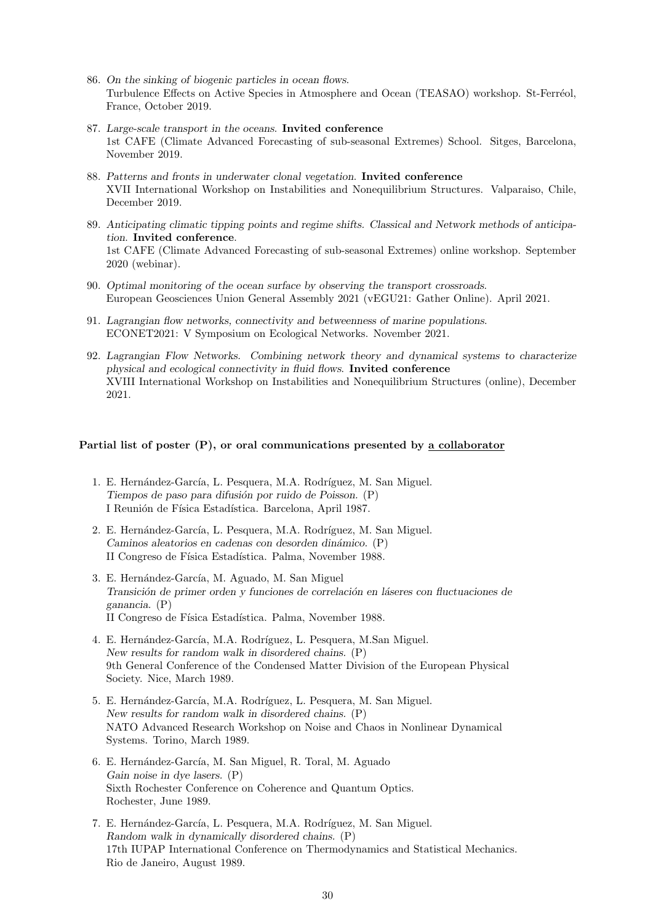- 86. *On the sinking of biogenic particles in ocean flows*. Turbulence Effects on Active Species in Atmosphere and Ocean (TEASAO) workshop. St-Ferréol, France, October 2019.
- 87. *Large-scale transport in the oceans*. **Invited conference** 1st CAFE (Climate Advanced Forecasting of sub-seasonal Extremes) School. Sitges, Barcelona, November 2019.
- 88. *Patterns and fronts in underwater clonal vegetation*. **Invited conference** XVII International Workshop on Instabilities and Nonequilibrium Structures. Valparaiso, Chile, December 2019.
- 89. *Anticipating climatic tipping points and regime shifts. Classical and Network methods of anticipation*. **Invited conference**. 1st CAFE (Climate Advanced Forecasting of sub-seasonal Extremes) online workshop. September 2020 (webinar).
- 90. *Optimal monitoring of the ocean surface by observing the transport crossroads*. European Geosciences Union General Assembly 2021 (vEGU21: Gather Online). April 2021.
- 91. *Lagrangian flow networks, connectivity and betweenness of marine populations*. ECONET2021: V Symposium on Ecological Networks. November 2021.
- 92. *Lagrangian Flow Networks. Combining network theory and dynamical systems to characterize physical and ecological connectivity in fluid flows*. **Invited conference** XVIII International Workshop on Instabilities and Nonequilibrium Structures (online), December 2021.

# **Partial list of poster (P), or oral communications presented by a collaborator**

- 1. E. Hernández-García, L. Pesquera, M.A. Rodríguez, M. San Miguel. *Tiempos de paso para difusi´on por ruido de Poisson.* (P) I Reunión de Física Estadística. Barcelona, April 1987.
- 2. E. Hernández-García, L. Pesquera, M.A. Rodríguez, M. San Miguel. *Caminos aleatorios en cadenas con desorden din´amico.* (P) II Congreso de Física Estadística. Palma, November 1988.
- 3. E. Hernández-García, M. Aguado, M. San Miguel *Transici´on de primer orden y funciones de correlaci´on en l´aseres con fluctuaciones de ganancia.* (P) II Congreso de Física Estadística. Palma, November 1988.
- 4. E. Hernández-García, M.A. Rodríguez, L. Pesquera, M.San Miguel. *New results for random walk in disordered chains.* (P) 9th General Conference of the Condensed Matter Division of the European Physical Society. Nice, March 1989.
- 5. E. Hernández-García, M.A. Rodríguez, L. Pesquera, M. San Miguel. *New results for random walk in disordered chains.* (P) NATO Advanced Research Workshop on Noise and Chaos in Nonlinear Dynamical Systems. Torino, March 1989.
- 6. E. Hernández-García, M. San Miguel, R. Toral, M. Aguado *Gain noise in dye lasers.* (P) Sixth Rochester Conference on Coherence and Quantum Optics. Rochester, June 1989.
- 7. E. Hernández-García, L. Pesquera, M.A. Rodríguez, M. San Miguel. *Random walk in dynamically disordered chains.* (P) 17th IUPAP International Conference on Thermodynamics and Statistical Mechanics. Rio de Janeiro, August 1989.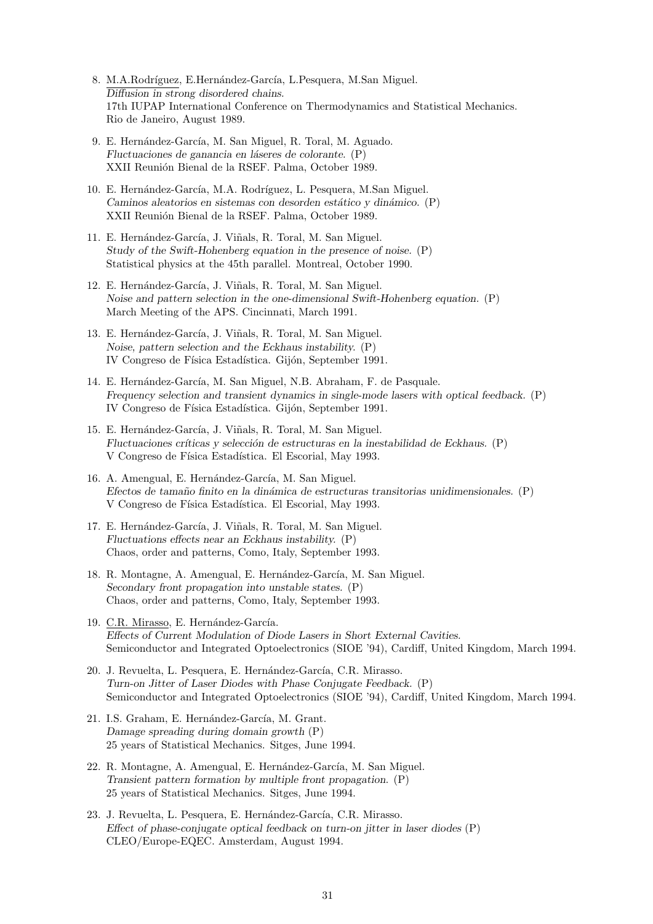- 8. M.A.Rodríguez, E.Hernández-García, L.Pesquera, M.San Miguel. *Diffusion in strong disordered chains.* 17th IUPAP International Conference on Thermodynamics and Statistical Mechanics. Rio de Janeiro, August 1989.
- 9. E. Hernández-García, M. San Miguel, R. Toral, M. Aguado. *Fluctuaciones de ganancia en l´aseres de colorante.* (P) XXII Reunión Bienal de la RSEF. Palma, October 1989.
- 10. E. Hernández-García, M.A. Rodríguez, L. Pesquera, M.San Miguel. *Caminos aleatorios en sistemas con desorden est´atico y din´amico.* (P) XXII Reunión Bienal de la RSEF. Palma, October 1989.
- 11. E. Hernández-García, J. Viñals, R. Toral, M. San Miguel. *Study of the Swift-Hohenberg equation in the presence of noise.* (P) Statistical physics at the 45th parallel. Montreal, October 1990.
- 12. E. Hernández-García, J. Viñals, R. Toral, M. San Miguel. *Noise and pattern selection in the one-dimensional Swift-Hohenberg equation.* (P) March Meeting of the APS. Cincinnati, March 1991.
- 13. E. Hernández-García, J. Viñals, R. Toral, M. San Miguel. *Noise, pattern selection and the Eckhaus instability.* (P) IV Congreso de Física Estadística. Gijón, September 1991.
- 14. E. Hernández-García, M. San Miguel, N.B. Abraham, F. de Pasquale. *Frequency selection and transient dynamics in single-mode lasers with optical feedback.* (P) IV Congreso de Física Estadística. Gijón, September 1991.
- 15. E. Hernández-García, J. Viñals, R. Toral, M. San Miguel. *Fluctuaciones críticas y selección de estructuras en la inestabilidad de Eckhaus.* (P) V Congreso de Física Estadística. El Escorial, May 1993.
- 16. A. Amengual, E. Hernández-García, M. San Miguel. *Efectos de tama˜no finito en la din´amica de estructuras transitorias unidimensionales.* (P) V Congreso de Física Estadística. El Escorial, May 1993.
- 17. E. Hernández-García, J. Viñals, R. Toral, M. San Miguel. *Fluctuations effects near an Eckhaus instability.* (P) Chaos, order and patterns, Como, Italy, September 1993.
- 18. R. Montagne, A. Amengual, E. Hernández-García, M. San Miguel. *Secondary front propagation into unstable states.* (P) Chaos, order and patterns, Como, Italy, September 1993.
- 19. C.R. Mirasso, E. Hernández-García. *Effects of Current Modulation of Diode Lasers in Short External Cavities.* Semiconductor and Integrated Optoelectronics (SIOE '94), Cardiff, United Kingdom, March 1994.
- 20. J. Revuelta, L. Pesquera, E. Hernández-García, C.R. Mirasso. *Turn-on Jitter of Laser Diodes with Phase Conjugate Feedback.* (P) Semiconductor and Integrated Optoelectronics (SIOE '94), Cardiff, United Kingdom, March 1994.
- 21. I.S. Graham, E. Hernández-García, M. Grant. *Damage spreading during domain growth* (P) 25 years of Statistical Mechanics. Sitges, June 1994.
- 22. R. Montagne, A. Amengual, E. Hernández-García, M. San Miguel. *Transient pattern formation by multiple front propagation*. (P) 25 years of Statistical Mechanics. Sitges, June 1994.
- 23. J. Revuelta, L. Pesquera, E. Hernández-García, C.R. Mirasso. *Effect of phase-conjugate optical feedback on turn-on jitter in laser diodes* (P) CLEO/Europe-EQEC. Amsterdam, August 1994.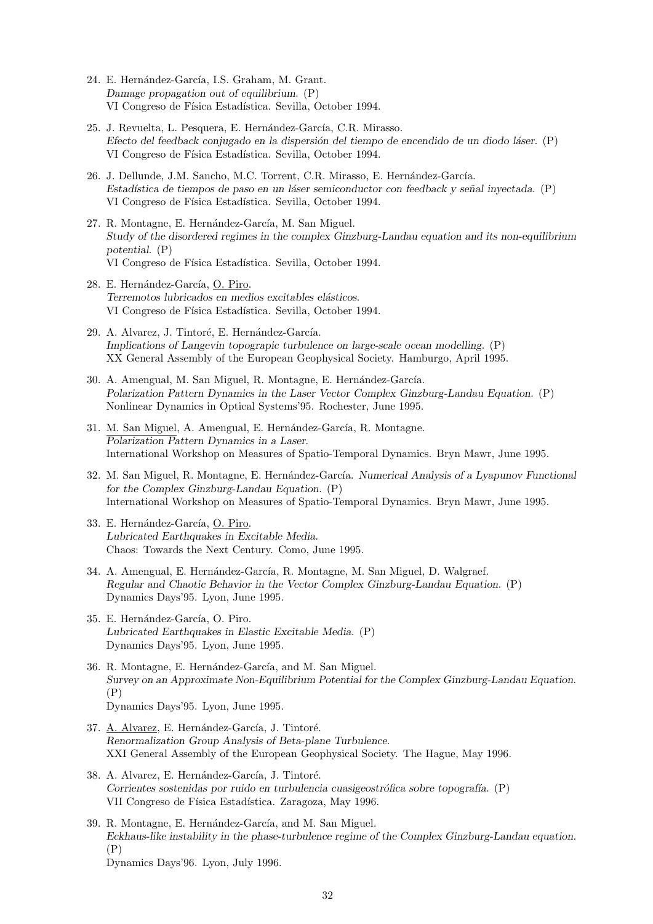- 24. E. Hernández-García, I.S. Graham, M. Grant. *Damage propagation out of equilibrium*. (P) VI Congreso de Física Estadística. Sevilla, October 1994.
- 25. J. Revuelta, L. Pesquera, E. Hernández-García, C.R. Mirasso. *Efecto del feedback conjugado en la dispersi´on del tiempo de encendido de un diodo l´aser*. (P) VI Congreso de Física Estadística. Sevilla, October 1994.
- 26. J. Dellunde, J.M. Sancho, M.C. Torrent, C.R. Mirasso, E. Hernández-García. *Estad´ıstica de tiempos de paso en un l´aser semiconductor con feedback y se˜nal inyectada*. (P) VI Congreso de Física Estadística. Sevilla, October 1994.
- 27. R. Montagne, E. Hernández-García, M. San Miguel. *Study of the disordered regimes in the complex Ginzburg-Landau equation and its non-equilibrium potential*. (P) VI Congreso de Física Estadística. Sevilla, October 1994.
- 28. E. Hernández-García, O. Piro. *Terremotos lubricados en medios excitables el´asticos*. VI Congreso de Física Estadística. Sevilla, October 1994.
- 29. A. Alvarez, J. Tintoré, E. Hernández-García. *Implications of Langevin topograpic turbulence on large-scale ocean modelling*. (P) XX General Assembly of the European Geophysical Society. Hamburgo, April 1995.
- 30. A. Amengual, M. San Miguel, R. Montagne, E. Hernández-García. *Polarization Pattern Dynamics in the Laser Vector Complex Ginzburg-Landau Equation*. (P) Nonlinear Dynamics in Optical Systems'95. Rochester, June 1995.
- 31. M. San Miguel, A. Amengual, E. Hernández-García, R. Montagne. *Polarization Pattern Dynamics in a Laser*. International Workshop on Measures of Spatio-Temporal Dynamics. Bryn Mawr, June 1995.
- 32. M. San Miguel, R. Montagne, E. Hernández-García. *Numerical Analysis of a Lyapunov Functional for the Complex Ginzburg-Landau Equation*. (P) International Workshop on Measures of Spatio-Temporal Dynamics. Bryn Mawr, June 1995.
- 33. E. Hernández-García, O. Piro. *Lubricated Earthquakes in Excitable Media*. Chaos: Towards the Next Century. Como, June 1995.
- 34. A. Amengual, E. Hernández-García, R. Montagne, M. San Miguel, D. Walgraef. *Regular and Chaotic Behavior in the Vector Complex Ginzburg-Landau Equation*. (P) Dynamics Days'95. Lyon, June 1995.
- 35. E. Hernández-García, O. Piro. *Lubricated Earthquakes in Elastic Excitable Media*. (P) Dynamics Days'95. Lyon, June 1995.
- 36. R. Montagne, E. Hernández-García, and M. San Miguel. *Survey on an Approximate Non-Equilibrium Potential for the Complex Ginzburg-Landau Equation*. (P) Dynamics Days'95. Lyon, June 1995.
- 37. A. Alvarez, E. Hernández-García, J. Tintoré. *Renormalization Group Analysis of Beta-plane Turbulence*. XXI General Assembly of the European Geophysical Society. The Hague, May 1996.
- 38. A. Alvarez, E. Hernández-García, J. Tintoré. *Corrientes sostenidas por ruido en turbulencia cuasigeostr´ofica sobre topograf´ıa*. (P) VII Congreso de Física Estadística. Zaragoza, May 1996.
- 39. R. Montagne, E. Hernández-García, and M. San Miguel. *Eckhaus-like instability in the phase-turbulence regime of the Complex Ginzburg-Landau equation.* (P) Dynamics Days'96. Lyon, July 1996.
	- 32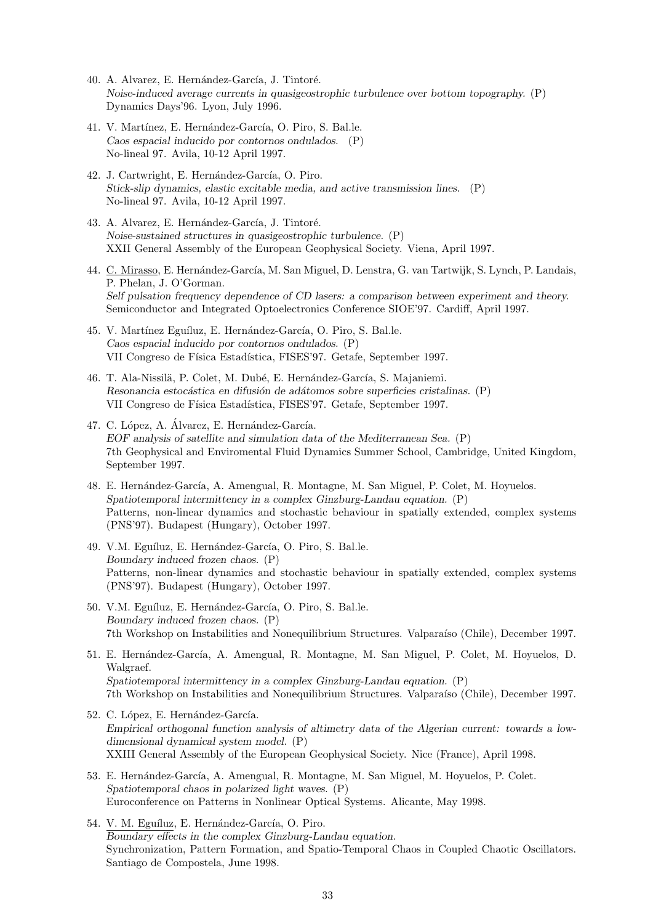- 40. A. Alvarez, E. Hernández-García, J. Tintoré. *Noise-induced average currents in quasigeostrophic turbulence over bottom topography.* (P) Dynamics Days'96. Lyon, July 1996.
- 41. V. Martínez, E. Hernández-García, O. Piro, S. Bal.le. *Caos espacial inducido por contornos ondulados.* (P) No-lineal 97. Avila, 10-12 April 1997.
- 42. J. Cartwright, E. Hernández-García, O. Piro. *Stick-slip dynamics, elastic excitable media, and active transmission lines.* (P) No-lineal 97. Avila, 10-12 April 1997.
- 43. A. Alvarez, E. Hernández-García, J. Tintoré. *Noise-sustained structures in quasigeostrophic turbulence.* (P) XXII General Assembly of the European Geophysical Society. Viena, April 1997.
- 44. C. Mirasso, E. Hernández-García, M. San Miguel, D. Lenstra, G. van Tartwijk, S. Lynch, P. Landais, P. Phelan, J. O'Gorman. *Self pulsation frequency dependence of CD lasers: a comparison between experiment and theory.* Semiconductor and Integrated Optoelectronics Conference SIOE'97. Cardiff, April 1997.
- 45. V. Martínez Eguíluz, E. Hernández-García, O. Piro, S. Bal.le. *Caos espacial inducido por contornos ondulados.* (P) VII Congreso de Física Estadística, FISES'97. Getafe, September 1997.
- 46. T. Ala-Nissilä, P. Colet, M. Dubé, E. Hernández-García, S. Majaniemi. *Resonancia estoc´astica en difusi´on de ad´atomos sobre superficies cristalinas.* (P) VII Congreso de Física Estadística, FISES'97. Getafe, September 1997.
- 47. C. López, A. Álvarez, E. Hernández-García. *EOF analysis of satellite and simulation data of the Mediterranean Sea.* (P) 7th Geophysical and Enviromental Fluid Dynamics Summer School, Cambridge, United Kingdom, September 1997.
- 48. E. Hernández-García, A. Amengual, R. Montagne, M. San Miguel, P. Colet, M. Hoyuelos. *Spatiotemporal intermittency in a complex Ginzburg-Landau equation.* (P) Patterns, non-linear dynamics and stochastic behaviour in spatially extended, complex systems (PNS'97). Budapest (Hungary), October 1997.
- 49. V.M. Eguíluz, E. Hernández-García, O. Piro, S. Bal.le. *Boundary induced frozen chaos.* (P) Patterns, non-linear dynamics and stochastic behaviour in spatially extended, complex systems (PNS'97). Budapest (Hungary), October 1997.
- 50. V.M. Eguíluz, E. Hernández-García, O. Piro, S. Bal.le. *Boundary induced frozen chaos.* (P) 7th Workshop on Instabilities and Nonequilibrium Structures. Valparaíso (Chile), December 1997.
- 51. E. Hernández-García, A. Amengual, R. Montagne, M. San Miguel, P. Colet, M. Hoyuelos, D. Walgraef. *Spatiotemporal intermittency in a complex Ginzburg-Landau equation.* (P) 7th Workshop on Instabilities and Nonequilibrium Structures. Valparaíso (Chile), December 1997.
- 52. C. López, E. Hernández-García. *Empirical orthogonal function analysis of altimetry data of the Algerian current: towards a lowdimensional dynamical system model.* (P) XXIII General Assembly of the European Geophysical Society. Nice (France), April 1998.
- 53. E. Hernández-García, A. Amengual, R. Montagne, M. San Miguel, M. Hoyuelos, P. Colet. *Spatiotemporal chaos in polarized light waves.* (P) Euroconference on Patterns in Nonlinear Optical Systems. Alicante, May 1998.
- 54. V. M. Eguíluz, E. Hernández-García, O. Piro. *Boundary effects in the complex Ginzburg-Landau equation.* Synchronization, Pattern Formation, and Spatio-Temporal Chaos in Coupled Chaotic Oscillators. Santiago de Compostela, June 1998.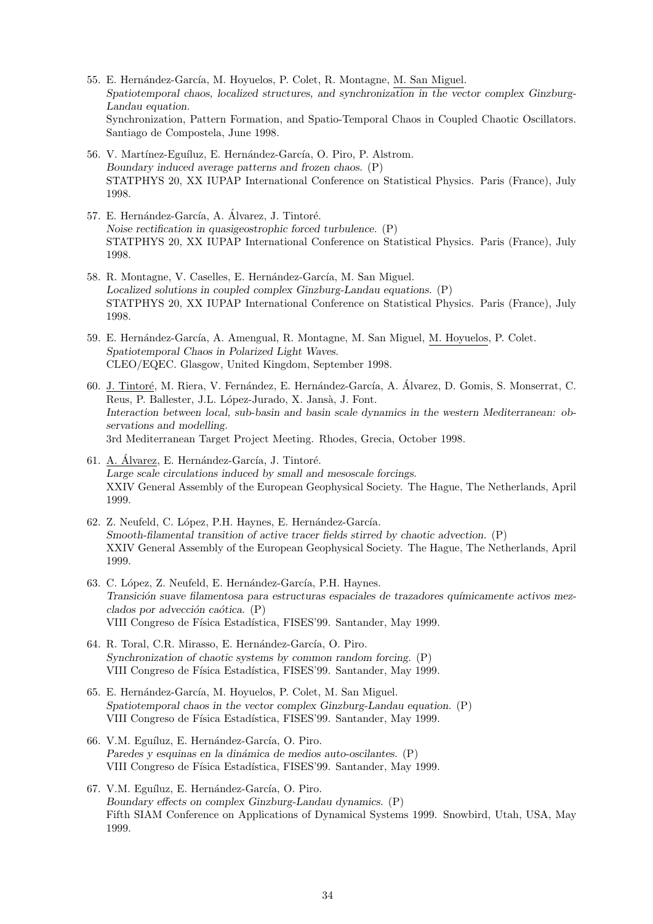- 55. E. Hernández-García, M. Hoyuelos, P. Colet, R. Montagne, M. San Miguel. *Spatiotemporal chaos, localized structures, and synchronization in the vector complex Ginzburg-Landau equation.* Synchronization, Pattern Formation, and Spatio-Temporal Chaos in Coupled Chaotic Oscillators. Santiago de Compostela, June 1998.
- 56. V. Martínez-Eguíluz, E. Hernández-García, O. Piro, P. Alstrom. *Boundary induced average patterns and frozen chaos.* (P) STATPHYS 20, XX IUPAP International Conference on Statistical Physics. Paris (France), July 1998.
- 57. E. Hernández-García, A. Álvarez, J. Tintoré. *Noise rectification in quasigeostrophic forced turbulence.* (P) STATPHYS 20, XX IUPAP International Conference on Statistical Physics. Paris (France), July 1998.
- 58. R. Montagne, V. Caselles, E. Hernández-García, M. San Miguel. *Localized solutions in coupled complex Ginzburg-Landau equations.* (P) STATPHYS 20, XX IUPAP International Conference on Statistical Physics. Paris (France), July 1998.
- 59. E. Hernández-García, A. Amengual, R. Montagne, M. San Miguel, M. Hoyuelos, P. Colet. *Spatiotemporal Chaos in Polarized Light Waves.* CLEO/EQEC. Glasgow, United Kingdom, September 1998.
- 60. J. Tintoré, M. Riera, V. Fernández, E. Hernández-García, A. Álvarez, D. Gomis, S. Monserrat, C. Reus, P. Ballester, J.L. López-Jurado, X. Jansà, J. Font. *Interaction between local, sub-basin and basin scale dynamics in the western Mediterranean: observations and modelling.* 3rd Mediterranean Target Project Meeting. Rhodes, Grecia, October 1998.
- 61. A. Álvarez, E. Hernández-García, J. Tintoré. *Large scale circulations induced by small and mesoscale forcings.* XXIV General Assembly of the European Geophysical Society. The Hague, The Netherlands, April 1999.
- 62. Z. Neufeld, C. López, P.H. Haynes, E. Hernández-García. *Smooth-filamental transition of active tracer fields stirred by chaotic advection.* (P) XXIV General Assembly of the European Geophysical Society. The Hague, The Netherlands, April 1999.
- 63. C. López, Z. Neufeld, E. Hernández-García, P.H. Haynes. *Transici´on suave filamentosa para estructuras espaciales de trazadores qu´ımicamente activos mezclados por advección caótica.* (P) VIII Congreso de Física Estadística, FISES'99. Santander, May 1999.
- 64. R. Toral, C.R. Mirasso, E. Hernández-García, O. Piro. *Synchronization of chaotic systems by common random forcing.* (P) VIII Congreso de Física Estadística, FISES'99. Santander, May 1999.
- 65. E. Hernández-García, M. Hoyuelos, P. Colet, M. San Miguel. *Spatiotemporal chaos in the vector complex Ginzburg-Landau equation.* (P) VIII Congreso de Física Estadística, FISES'99. Santander, May 1999.
- 66. V.M. Eguíluz, E. Hernández-García, O. Piro. Paredes y esquinas en la dinámica de medios auto-oscilantes. (P) VIII Congreso de Física Estadística, FISES'99, Santander, May 1999.
- 67. V.M. Eguíluz, E. Hernández-García, O. Piro. *Boundary effects on complex Ginzburg-Landau dynamics.* (P) Fifth SIAM Conference on Applications of Dynamical Systems 1999. Snowbird, Utah, USA, May 1999.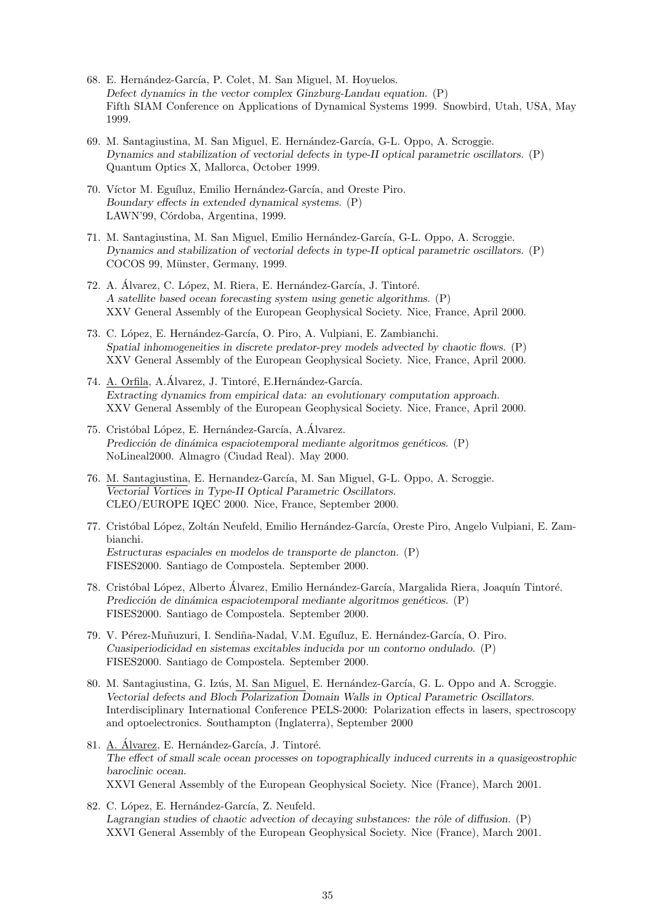- 68. E. Hernández-García, P. Colet, M. San Miguel, M. Hoyuelos. *Defect dynamics in the vector complex Ginzburg-Landau equation.* (P) Fifth SIAM Conference on Applications of Dynamical Systems 1999. Snowbird, Utah, USA, May 1999.
- 69. M. Santagiustina, M. San Miguel, E. Hernández-García, G-L. Oppo, A. Scroggie. *Dynamics and stabilization of vectorial defects in type-II optical parametric oscillators.* (P) Quantum Optics X, Mallorca, October 1999.
- 70. Víctor M. Eguíluz, Emilio Hernández-García, and Oreste Piro. *Boundary effects in extended dynamical systems.* (P) LAWN'99, Córdoba, Argentina, 1999.
- 71. M. Santagiustina, M. San Miguel, Emilio Hernández-García, G-L. Oppo, A. Scroggie. *Dynamics and stabilization of vectorial defects in type-II optical parametric oscillators.* (P) COCOS 99, Münster, Germany, 1999.
- 72. A. Álvarez, C. López, M. Riera, E. Hernández-García, J. Tintoré. *A satellite based ocean forecasting system using genetic algorithms.* (P) XXV General Assembly of the European Geophysical Society. Nice, France, April 2000.
- 73. C. López, E. Hernández-García, O. Piro, A. Vulpiani, E. Zambianchi. *Spatial inhomogeneities in discrete predator-prey models advected by chaotic flows.* (P) XXV General Assembly of the European Geophysical Society. Nice, France, April 2000.
- 74. A. Orfila, A.Álvarez, J. Tintoré, E.Hernández-García. *Extracting dynamics from empirical data: an evolutionary computation approach.* XXV General Assembly of the European Geophysical Society. Nice, France, April 2000.
- 75. Cristóbal López, E. Hernández-García, A.Álvarez. *Predicción de dinámica espaciotemporal mediante algoritmos genéticos.* (P) NoLineal2000. Almagro (Ciudad Real). May 2000.
- 76. M. Santagiustina, E. Hernandez-García, M. San Miguel, G-L. Oppo, A. Scroggie. *Vectorial Vortices in Type-II Optical Parametric Oscillators.* CLEO/EUROPE IQEC 2000. Nice, France, September 2000.
- 77. Cristóbal López, Zoltán Neufeld, Emilio Hernández-García, Oreste Piro, Angelo Vulpiani, E. Zambianchi. *Estructuras espaciales en modelos de transporte de plancton.* (P) FISES2000. Santiago de Compostela. September 2000.
- 78. Cristóbal López, Alberto Álvarez, Emilio Hernández-García, Margalida Riera, Joaquín Tintoré. *Predicción de dinámica espaciotemporal mediante algoritmos genéticos.* (P) FISES2000. Santiago de Compostela. September 2000.
- 79. V. Pérez-Muñuzuri, I. Sendiña-Nadal, V.M. Eguíluz, E. Hernández-García, O. Piro. *Cuasiperiodicidad en sistemas excitables inducida por un contorno ondulado.* (P) FISES2000. Santiago de Compostela. September 2000.
- 80. M. Santagiustina, G. Izús, M. San Miguel, E. Hernández-García, G. L. Oppo and A. Scroggie. *Vectorial defects and Bloch Polarization Domain Walls in Optical Parametric Oscillators.* Interdisciplinary International Conference PELS-2000: Polarization effects in lasers, spectroscopy and optoelectronics. Southampton (Inglaterra), September 2000
- 81. A. Álvarez, E. Hernández-García, J. Tintoré. *The effect of small scale ocean processes on topographically induced currents in a quasigeostrophic baroclinic ocean.* XXVI General Assembly of the European Geophysical Society. Nice (France), March 2001.
- 82. C. López, E. Hernández-García, Z. Neufeld. Lagrangian studies of chaotic advection of decaying substances: the rôle of diffusion. (P) XXVI General Assembly of the European Geophysical Society. Nice (France), March 2001.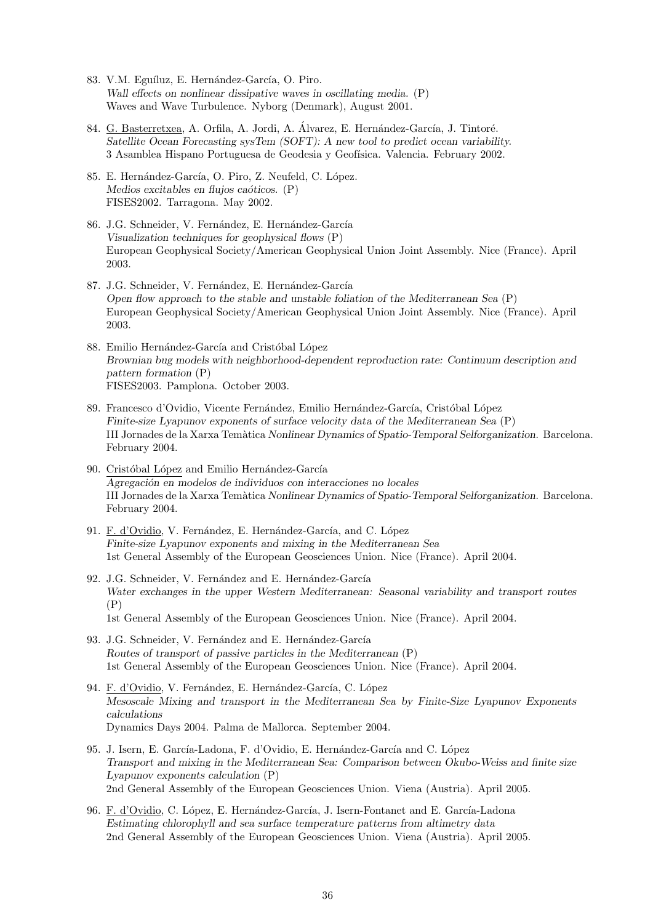- 83. V.M. Eguíluz, E. Hernández-García, O. Piro. *Wall effects on nonlinear dissipative waves in oscillating media.* (P) Waves and Wave Turbulence. Nyborg (Denmark), August 2001.
- 84. G. Basterretxea, A. Orfila, A. Jordi, A. Álvarez, E. Hernández-García, J. Tintoré. *Satellite Ocean Forecasting sysTem (SOFT): A new tool to predict ocean variability.* 3 Asamblea Hispano Portuguesa de Geodesia y Geofísica. Valencia. February 2002.
- 85. E. Hernández-García, O. Piro, Z. Neufeld, C. López. *Medios excitables en flujos caóticos.* (P) FISES2002. Tarragona. May 2002.
- 86. J.G. Schneider, V. Fernández, E. Hernández-García *Visualization techniques for geophysical flows* (P) European Geophysical Society/American Geophysical Union Joint Assembly. Nice (France). April 2003.
- 87. J.G. Schneider, V. Fernández, E. Hernández-García *Open flow approach to the stable and unstable foliation of the Mediterranean Sea* (P) European Geophysical Society/American Geophysical Union Joint Assembly. Nice (France). April 2003.
- 88. Emilio Hernández-García and Cristóbal López *Brownian bug models with neighborhood-dependent reproduction rate: Continuum description and pattern formation* (P) FISES2003. Pamplona. October 2003.
- 89. Francesco d'Ovidio, Vicente Fernández, Emilio Hernández-García, Cristóbal López *Finite-size Lyapunov exponents of surface velocity data of the Mediterranean Sea* (P) III Jornades de la Xarxa Tem`atica *Nonlinear Dynamics of Spatio-Temporal Selforganization*. Barcelona. February 2004.
- 90. Cristóbal López and Emilio Hernández-García *Agregaci´on en modelos de individuos con interacciones no locales* III Jornades de la Xarxa Tem`atica *Nonlinear Dynamics of Spatio-Temporal Selforganization*. Barcelona. February 2004.
- 91. F. d'Ovidio, V. Fernández, E. Hernández-García, and C. López *Finite-size Lyapunov exponents and mixing in the Mediterranean Sea* 1st General Assembly of the European Geosciences Union. Nice (France). April 2004.
- 92. J.G. Schneider, V. Fernández and E. Hernández-García *Water exchanges in the upper Western Mediterranean: Seasonal variability and transport routes* (P) 1st General Assembly of the European Geosciences Union. Nice (France). April 2004.
- 93. J.G. Schneider, V. Fernández and E. Hernández-García *Routes of transport of passive particles in the Mediterranean* (P) 1st General Assembly of the European Geosciences Union. Nice (France). April 2004.
- 94. F. d'Ovidio, V. Fernández, E. Hernández-García, C. López *Mesoscale Mixing and transport in the Mediterranean Sea by Finite-Size Lyapunov Exponents calculations* Dynamics Days 2004. Palma de Mallorca. September 2004.
- 95. J. Isern, E. García-Ladona, F. d'Ovidio, E. Hernández-García and C. López *Transport and mixing in the Mediterranean Sea: Comparison between Okubo-Weiss and finite size Lyapunov exponents calculation* (P) 2nd General Assembly of the European Geosciences Union. Viena (Austria). April 2005.
- 96. F. d'Ovidio, C. López, E. Hernández-García, J. Isern-Fontanet and E. García-Ladona *Estimating chlorophyll and sea surface temperature patterns from altimetry data* 2nd General Assembly of the European Geosciences Union. Viena (Austria). April 2005.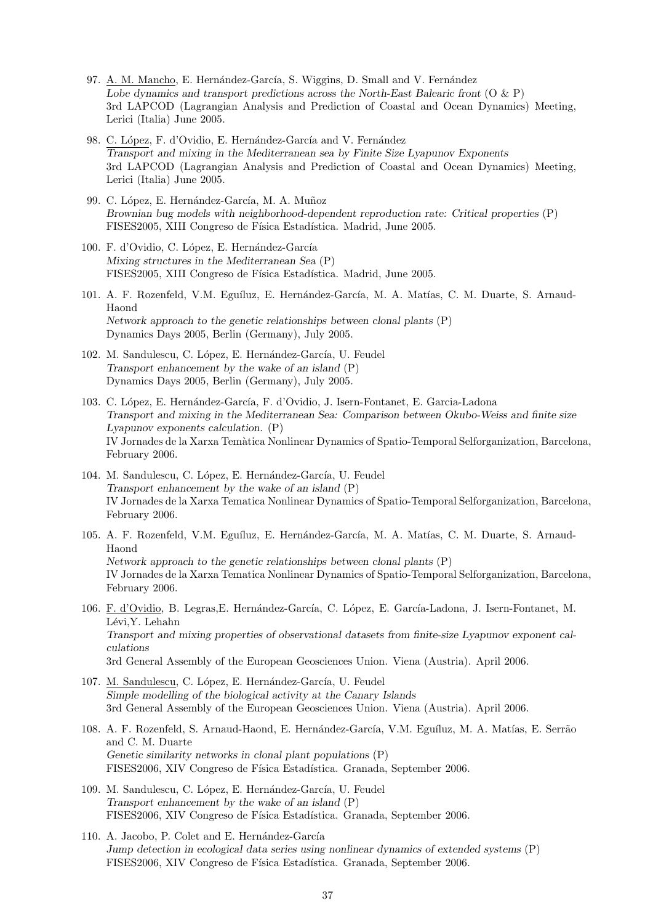- 97. A. M. Mancho, E. Hernández-García, S. Wiggins, D. Small and V. Fernández *Lobe dynamics and transport predictions across the North-East Balearic front* (O & P) 3rd LAPCOD (Lagrangian Analysis and Prediction of Coastal and Ocean Dynamics) Meeting, Lerici (Italia) June 2005.
- 98. C. López, F. d'Ovidio, E. Hernández-García and V. Fernández *Transport and mixing in the Mediterranean sea by Finite Size Lyapunov Exponents* 3rd LAPCOD (Lagrangian Analysis and Prediction of Coastal and Ocean Dynamics) Meeting, Lerici (Italia) June 2005.
- 99. C. López, E. Hernández-García, M. A. Muñoz *Brownian bug models with neighborhood-dependent reproduction rate: Critical properties* (P) FISES2005, XIII Congreso de Física Estadística. Madrid, June 2005.
- 100. F. d'Ovidio, C. López, E. Hernández-García *Mixing structures in the Mediterranean Sea* (P) FISES2005, XIII Congreso de Física Estadística. Madrid, June 2005.
- 101. A. F. Rozenfeld, V.M. Eguíluz, E. Hernández-García, M. A. Matías, C. M. Duarte, S. Arnaud-Haond *Network approach to the genetic relationships between clonal plants* (P) Dynamics Days 2005, Berlin (Germany), July 2005.
- 102. M. Sandulescu, C. López, E. Hernández-García, U. Feudel *Transport enhancement by the wake of an island* (P) Dynamics Days 2005, Berlin (Germany), July 2005.
- 103. C. López, E. Hernández-García, F. d'Ovidio, J. Isern-Fontanet, E. Garcia-Ladona *Transport and mixing in the Mediterranean Sea: Comparison between Okubo-Weiss and finite size Lyapunov exponents calculation.* (P) IV Jornades de la Xarxa Temàtica Nonlinear Dynamics of Spatio-Temporal Selforganization, Barcelona, February 2006.
- 104. M. Sandulescu, C. López, E. Hernández-García, U. Feudel *Transport enhancement by the wake of an island* (P) IV Jornades de la Xarxa Tematica Nonlinear Dynamics of Spatio-Temporal Selforganization, Barcelona, February 2006.
- 105. A. F. Rozenfeld, V.M. Eguíluz, E. Hernández-García, M. A. Matías, C. M. Duarte, S. Arnaud-Haond *Network approach to the genetic relationships between clonal plants* (P) IV Jornades de la Xarxa Tematica Nonlinear Dynamics of Spatio-Temporal Selforganization, Barcelona, February 2006.
- 106. F. d'Ovidio, B. Legras, E. Hernández-García, C. López, E. García-Ladona, J. Isern-Fontanet, M. Lévi, Y. Lehahn *Transport and mixing properties of observational datasets from finite-size Lyapunov exponent calculations* 3rd General Assembly of the European Geosciences Union. Viena (Austria). April 2006.
- 107. M. Sandulescu, C. López, E. Hernández-García, U. Feudel *Simple modelling of the biological activity at the Canary Islands* 3rd General Assembly of the European Geosciences Union. Viena (Austria). April 2006.
- 108. A. F. Rozenfeld, S. Arnaud-Haond, E. Hernández-García, V.M. Eguíluz, M. A. Matías, E. Serrão and C. M. Duarte *Genetic similarity networks in clonal plant populations* (P) FISES2006, XIV Congreso de Física Estadística. Granada, September 2006.
- 109. M. Sandulescu, C. López, E. Hernández-García, U. Feudel *Transport enhancement by the wake of an island* (P) FISES2006, XIV Congreso de Física Estadística. Granada, September 2006.
- 110. A. Jacobo, P. Colet and E. Hernández-García *Jump detection in ecological data series using nonlinear dynamics of extended systems* (P) FISES2006, XIV Congreso de Física Estadística. Granada, September 2006.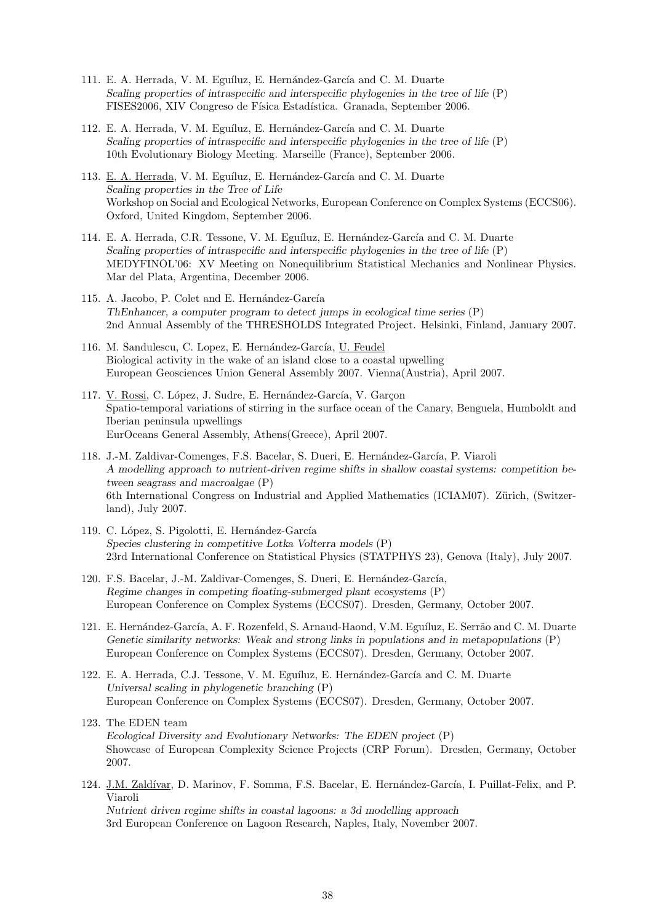- 111. E. A. Herrada, V. M. Eguíluz, E. Hernández-García and C. M. Duarte *Scaling properties of intraspecific and interspecific phylogenies in the tree of life* (P) FISES2006, XIV Congreso de Física Estadística. Granada, September 2006.
- 112. E. A. Herrada, V. M. Eguíluz, E. Hernández-García and C. M. Duarte *Scaling properties of intraspecific and interspecific phylogenies in the tree of life* (P) 10th Evolutionary Biology Meeting. Marseille (France), September 2006.
- 113. E. A. Herrada, V. M. Eguíluz, E. Hernández-García and C. M. Duarte *Scaling properties in the Tree of Life* Workshop on Social and Ecological Networks, European Conference on Complex Systems (ECCS06). Oxford, United Kingdom, September 2006.
- 114. E. A. Herrada, C.R. Tessone, V. M. Eguíluz, E. Hernández-García and C. M. Duarte *Scaling properties of intraspecific and interspecific phylogenies in the tree of life* (P) MEDYFINOL'06: XV Meeting on Nonequilibrium Statistical Mechanics and Nonlinear Physics. Mar del Plata, Argentina, December 2006.
- 115. A. Jacobo, P. Colet and E. Hernández-García *ThEnhancer, a computer program to detect jumps in ecological time series* (P) 2nd Annual Assembly of the THRESHOLDS Integrated Project. Helsinki, Finland, January 2007.
- 116. M. Sandulescu, C. Lopez, E. Hernández-García, U. Feudel Biological activity in the wake of an island close to a coastal upwelling European Geosciences Union General Assembly 2007. Vienna(Austria), April 2007.
- 117. V. Rossi, C. López, J. Sudre, E. Hernández-García, V. Garçon Spatio-temporal variations of stirring in the surface ocean of the Canary, Benguela, Humboldt and Iberian peninsula upwellings EurOceans General Assembly, Athens(Greece), April 2007.
- 118. J.-M. Zaldivar-Comenges, F.S. Bacelar, S. Dueri, E. Hernández-García, P. Viaroli *A modelling approach to nutrient-driven regime shifts in shallow coastal systems: competition between seagrass and macroalgae* (P) 6th International Congress on Industrial and Applied Mathematics (ICIAM07). Zürich, (Switzerland), July 2007.
- 119. C. López, S. Pigolotti, E. Hernández-García *Species clustering in competitive Lotka Volterra models* (P) 23rd International Conference on Statistical Physics (STATPHYS 23), Genova (Italy), July 2007.
- 120. F.S. Bacelar, J.-M. Zaldivar-Comenges, S. Dueri, E. Hernández-García, *Regime changes in competing floating-submerged plant ecosystems* (P) European Conference on Complex Systems (ECCS07). Dresden, Germany, October 2007.
- 121. E. Hernández-García, A. F. Rozenfeld, S. Arnaud-Haond, V.M. Eguíluz, E. Serrão and C. M. Duarte *Genetic similarity networks: Weak and strong links in populations and in metapopulations* (P) European Conference on Complex Systems (ECCS07). Dresden, Germany, October 2007.
- 122. E. A. Herrada, C.J. Tessone, V. M. Eguíluz, E. Hernández-García and C. M. Duarte *Universal scaling in phylogenetic branching* (P) European Conference on Complex Systems (ECCS07). Dresden, Germany, October 2007.
- 123. The EDEN team *Ecological Diversity and Evolutionary Networks: The EDEN project* (P) Showcase of European Complexity Science Projects (CRP Forum). Dresden, Germany, October 2007.
- 124. J.M. Zaldívar, D. Marinov, F. Somma, F.S. Bacelar, E. Hernández-García, I. Puillat-Felix, and P. Viaroli *Nutrient driven regime shifts in coastal lagoons: a 3d modelling approach* 3rd European Conference on Lagoon Research, Naples, Italy, November 2007.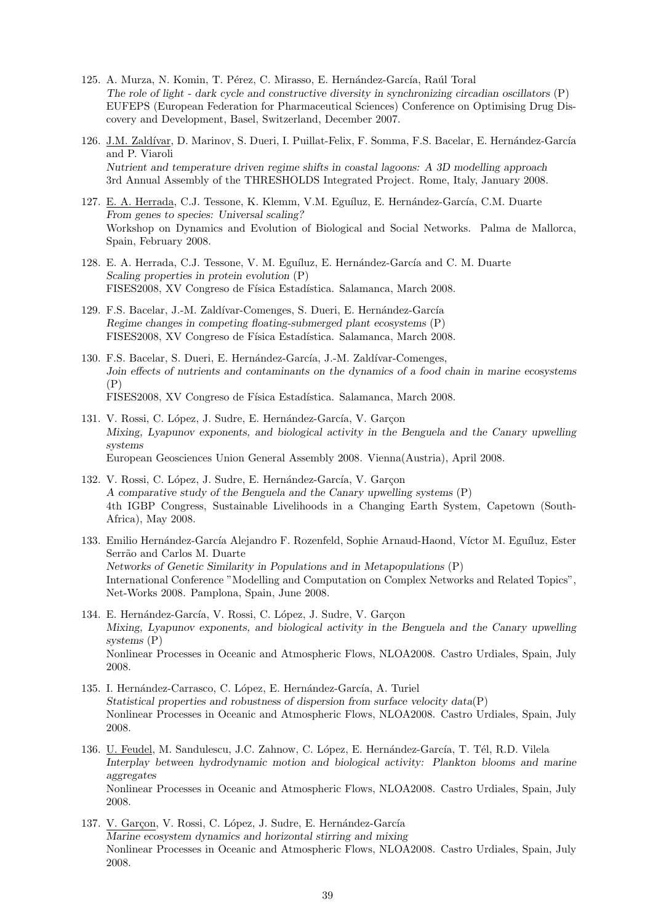- 125. A. Murza, N. Komin, T. Pérez, C. Mirasso, E. Hernández-García, Raúl Toral *The role of light - dark cycle and constructive diversity in synchronizing circadian oscillators* (P) EUFEPS (European Federation for Pharmaceutical Sciences) Conference on Optimising Drug Discovery and Development, Basel, Switzerland, December 2007.
- 126. J.M. Zaldívar, D. Marinov, S. Dueri, I. Puillat-Felix, F. Somma, F.S. Bacelar, E. Hernández-García and P. Viaroli *Nutrient and temperature driven regime shifts in coastal lagoons: A 3D modelling approach* 3rd Annual Assembly of the THRESHOLDS Integrated Project. Rome, Italy, January 2008.
- 127. E. A. Herrada, C.J. Tessone, K. Klemm, V.M. Eguíluz, E. Hernández-García, C.M. Duarte *From genes to species: Universal scaling?* Workshop on Dynamics and Evolution of Biological and Social Networks. Palma de Mallorca, Spain, February 2008.
- 128. E. A. Herrada, C.J. Tessone, V. M. Eguíluz, E. Hernández-García and C. M. Duarte *Scaling properties in protein evolution* (P) FISES2008, XV Congreso de Física Estadística. Salamanca, March 2008.
- 129. F.S. Bacelar, J.-M. Zaldívar-Comenges, S. Dueri, E. Hernández-García *Regime changes in competing floating-submerged plant ecosystems* (P) FISES2008, XV Congreso de Física Estadística. Salamanca, March 2008.
- 130. F.S. Bacelar, S. Dueri, E. Hernández-García, J.-M. Zaldívar-Comenges, *Join effects of nutrients and contaminants on the dynamics of a food chain in marine ecosystems* (P) FISES2008, XV Congreso de Física Estadística. Salamanca, March 2008.
- 131. V. Rossi, C. López, J. Sudre, E. Hernández-García, V. Garcon *Mixing, Lyapunov exponents, and biological activity in the Benguela and the Canary upwelling systems* European Geosciences Union General Assembly 2008. Vienna(Austria), April 2008.
- 132. V. Rossi, C. López, J. Sudre, E. Hernández-García, V. Garçon *A comparative study of the Benguela and the Canary upwelling systems* (P) 4th IGBP Congress, Sustainable Livelihoods in a Changing Earth System, Capetown (South-Africa), May 2008.
- 133. Emilio Hernández-García Alejandro F. Rozenfeld, Sophie Arnaud-Haond, Víctor M. Eguíluz, Ester Serrão and Carlos M. Duarte *Networks of Genetic Similarity in Populations and in Metapopulations* (P) International Conference "Modelling and Computation on Complex Networks and Related Topics", Net-Works 2008. Pamplona, Spain, June 2008.
- 134. E. Hernández-García, V. Rossi, C. López, J. Sudre, V. Garçon *Mixing, Lyapunov exponents, and biological activity in the Benguela and the Canary upwelling systems* (P) Nonlinear Processes in Oceanic and Atmospheric Flows, NLOA2008. Castro Urdiales, Spain, July 2008.
- 135. I. Hernández-Carrasco, C. López, E. Hernández-García, A. Turiel *Statistical properties and robustness of dispersion from surface velocity data*(P) Nonlinear Processes in Oceanic and Atmospheric Flows, NLOA2008. Castro Urdiales, Spain, July 2008.
- 136. U. Feudel, M. Sandulescu, J.C. Zahnow, C. López, E. Hernández-García, T. Tél, R.D. Vilela *Interplay between hydrodynamic motion and biological activity: Plankton blooms and marine aggregates* Nonlinear Processes in Oceanic and Atmospheric Flows, NLOA2008. Castro Urdiales, Spain, July 2008.
- 137. V. Garçon, V. Rossi, C. López, J. Sudre, E. Hernández-García *Marine ecosystem dynamics and horizontal stirring and mixing* Nonlinear Processes in Oceanic and Atmospheric Flows, NLOA2008. Castro Urdiales, Spain, July 2008.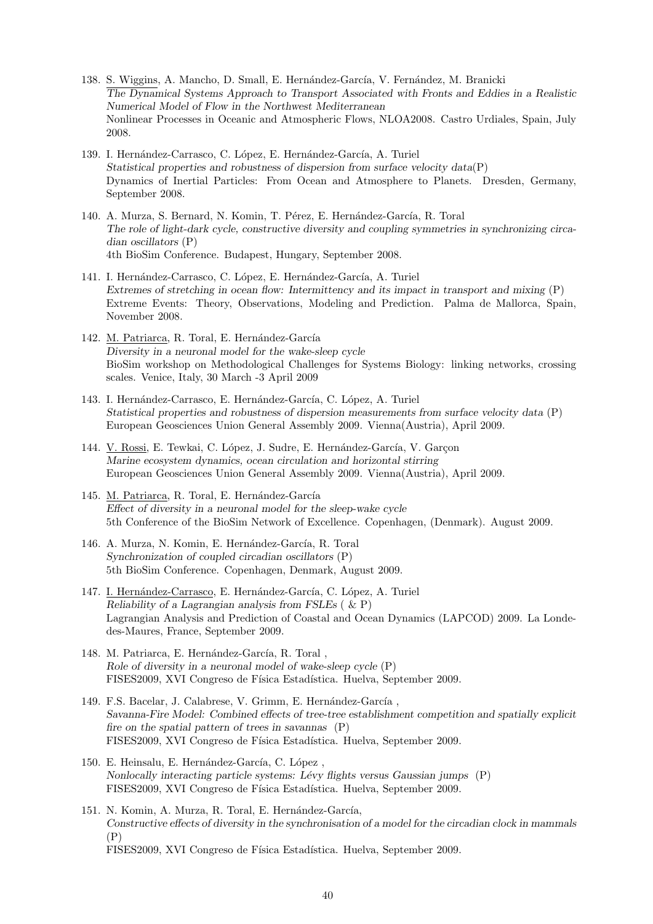- 138. S. Wiggins, A. Mancho, D. Small, E. Hernández-García, V. Fernández, M. Branicki *The Dynamical Systems Approach to Transport Associated with Fronts and Eddies in a Realistic Numerical Model of Flow in the Northwest Mediterranean* Nonlinear Processes in Oceanic and Atmospheric Flows, NLOA2008. Castro Urdiales, Spain, July 2008.
- 139. I. Hernández-Carrasco, C. López, E. Hernández-García, A. Turiel *Statistical properties and robustness of dispersion from surface velocity data*(P) Dynamics of Inertial Particles: From Ocean and Atmosphere to Planets. Dresden, Germany, September 2008.
- 140. A. Murza, S. Bernard, N. Komin, T. Pérez, E. Hernández-García, R. Toral *The role of light-dark cycle, constructive diversity and coupling symmetries in synchronizing circadian oscillators* (P) 4th BioSim Conference. Budapest, Hungary, September 2008.
- 141. I. Hernández-Carrasco, C. López, E. Hernández-García, A. Turiel *Extremes of stretching in ocean flow: Intermittency and its impact in transport and mixing* (P) Extreme Events: Theory, Observations, Modeling and Prediction. Palma de Mallorca, Spain, November 2008.
- 142. M. Patriarca, R. Toral, E. Hernández-García *Diversity in a neuronal model for the wake-sleep cycle* BioSim workshop on Methodological Challenges for Systems Biology: linking networks, crossing scales. Venice, Italy, 30 March -3 April 2009
- 143. I. Hernández-Carrasco, E. Hernández-García, C. López, A. Turiel *Statistical properties and robustness of dispersion measurements from surface velocity data* (P) European Geosciences Union General Assembly 2009. Vienna(Austria), April 2009.
- 144. V. Rossi, E. Tewkai, C. López, J. Sudre, E. Hernández-García, V. Garçon *Marine ecosystem dynamics, ocean circulation and horizontal stirring* European Geosciences Union General Assembly 2009. Vienna(Austria), April 2009.
- 145. M. Patriarca, R. Toral, E. Hernández-García *Effect of diversity in a neuronal model for the sleep-wake cycle* 5th Conference of the BioSim Network of Excellence. Copenhagen, (Denmark). August 2009.
- 146. A. Murza, N. Komin, E. Hernández-García, R. Toral *Synchronization of coupled circadian oscillators* (P) 5th BioSim Conference. Copenhagen, Denmark, August 2009.
- 147. I. Hernández-Carrasco, E. Hernández-García, C. López, A. Turiel *Reliability of a Lagrangian analysis from FSLEs* ( & P) Lagrangian Analysis and Prediction of Coastal and Ocean Dynamics (LAPCOD) 2009. La Londedes-Maures, France, September 2009.
- 148. M. Patriarca, E. Hernández-García, R. Toral, *Role of diversity in a neuronal model of wake-sleep cycle* (P) FISES2009, XVI Congreso de Física Estadística. Huelva, September 2009.
- 149. F.S. Bacelar, J. Calabrese, V. Grimm, E. Hernández-García, *Savanna-Fire Model: Combined effects of tree-tree establishment competition and spatially explicit fire on the spatial pattern of trees in savannas* (P) FISES2009, XVI Congreso de Física Estadística. Huelva, September 2009.
- 150. E. Heinsalu, E. Hernández-García, C. López, *Nonlocally interacting particle systems: L´evy flights versus Gaussian jumps* (P) FISES2009, XVI Congreso de Física Estadística. Huelva, September 2009.
- 151. N. Komin, A. Murza, R. Toral, E. Hernández-García, *Constructive effects of diversity in the synchronisation of a model for the circadian clock in mammals*  $(P)$ FISES2009, XVI Congreso de Física Estadística. Huelva, September 2009.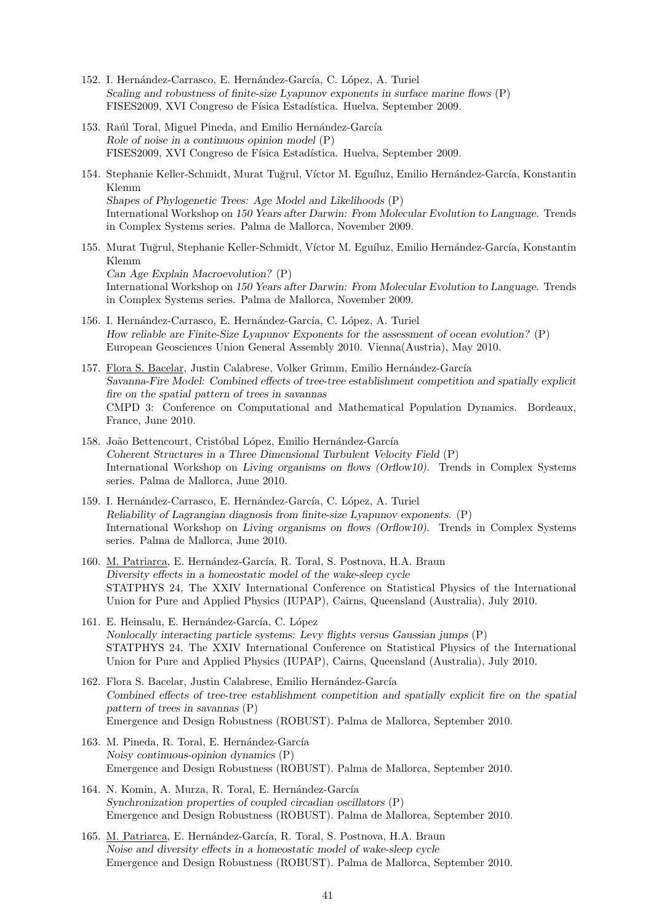- 152. I. Hernández-Carrasco, E. Hernández-García, C. López, A. Turiel *Scaling and robustness of finite-size Lyapunov exponents in surface marine flows* (P) FISES2009, XVI Congreso de Física Estadística. Huelva, September 2009.
- 153. Raúl Toral, Miguel Pineda, and Emilio Hernández-García *Role of noise in a continuous opinion model* (P) FISES2009, XVI Congreso de Física Estadística. Huelva, September 2009.
- 154. Stephanie Keller-Schmidt, Murat Tuğrul, Víctor M. Eguíluz, Emilio Hernández-García, Konstantin Klemm *Shapes of Phylogenetic Trees: Age Model and Likelihoods* (P) International Workshop on *150 Years after Darwin: From Molecular Evolution to Language*. Trends in Complex Systems series. Palma de Mallorca, November 2009.
- 155. Murat Tuğrul, Stephanie Keller-Schmidt, Víctor M. Eguíluz, Emilio Hernández-García, Konstantin Klemm *Can Age Explain Macroevolution?* (P) International Workshop on *150 Years after Darwin: From Molecular Evolution to Language*. Trends in Complex Systems series. Palma de Mallorca, November 2009.
- 156. I. Hernández-Carrasco, E. Hernández-García, C. López, A. Turiel *How reliable are Finite-Size Lyapunov Exponents for the assessment of ocean evolution?* (P) European Geosciences Union General Assembly 2010. Vienna(Austria), May 2010.
- 157. Flora S. Bacelar, Justin Calabrese, Volker Grimm, Emilio Hernández-García *Savanna-Fire Model: Combined effects of tree-tree establishment competition and spatially explicit fire on the spatial pattern of trees in savannas* CMPD 3: Conference on Computational and Mathematical Population Dynamics. Bordeaux, France, June 2010.
- 158. João Bettencourt, Cristóbal López, Emilio Hernández-García *Coherent Structures in a Three Dimensional Turbulent Velocity Field* (P) International Workshop on *Living organisms on flows (Orflow10)*. Trends in Complex Systems series. Palma de Mallorca, June 2010.
- 159. I. Hernández-Carrasco, E. Hernández-García, C. López, A. Turiel *Reliability of Lagrangian diagnosis from finite-size Lyapunov exponents.* (P) International Workshop on *Living organisms on flows (Orflow10)*. Trends in Complex Systems series. Palma de Mallorca, June 2010.
- 160. M. Patriarca, E. Hernández-García, R. Toral, S. Postnova, H.A. Braun *Diversity effects in a homeostatic model of the wake-sleep cycle* STATPHYS 24, The XXIV International Conference on Statistical Physics of the International Union for Pure and Applied Physics (IUPAP), Cairns, Queensland (Australia), July 2010.
- 161. E. Heinsalu, E. Hernández-García, C. López *Nonlocally interacting particle systems: Levy flights versus Gaussian jumps* (P) STATPHYS 24, The XXIV International Conference on Statistical Physics of the International Union for Pure and Applied Physics (IUPAP), Cairns, Queensland (Australia), July 2010.
- 162. Flora S. Bacelar, Justin Calabrese, Emilio Hernández-García *Combined effects of tree-tree establishment competition and spatially explicit fire on the spatial pattern of trees in savannas* (P) Emergence and Design Robustness (ROBUST). Palma de Mallorca, September 2010.
- 163. M. Pineda, R. Toral, E. Hernández-García *Noisy continuous-opinion dynamics* (P) Emergence and Design Robustness (ROBUST). Palma de Mallorca, September 2010.
- 164. N. Komin, A. Murza, R. Toral, E. Hernández-García *Synchronization properties of coupled circadian oscillators* (P) Emergence and Design Robustness (ROBUST). Palma de Mallorca, September 2010.
- 165. M. Patriarca, E. Hernández-García, R. Toral, S. Postnova, H.A. Braun *Noise and diversity effects in a homeostatic model of wake-sleep cycle* Emergence and Design Robustness (ROBUST). Palma de Mallorca, September 2010.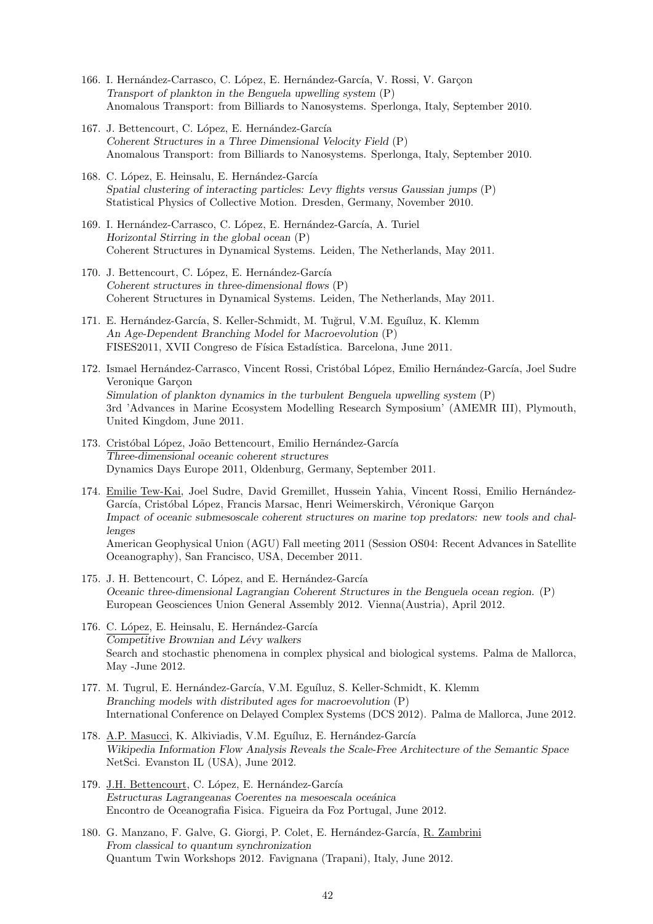- 166. I. Hernández-Carrasco, C. López, E. Hernández-García, V. Rossi, V. Garcon *Transport of plankton in the Benguela upwelling system* (P) Anomalous Transport: from Billiards to Nanosystems. Sperlonga, Italy, September 2010.
- 167. J. Bettencourt, C. López, E. Hernández-García *Coherent Structures in a Three Dimensional Velocity Field* (P) Anomalous Transport: from Billiards to Nanosystems. Sperlonga, Italy, September 2010.
- 168. C. López, E. Heinsalu, E. Hernández-García *Spatial clustering of interacting particles: Levy flights versus Gaussian jumps* (P) Statistical Physics of Collective Motion. Dresden, Germany, November 2010.
- 169. I. Hernández-Carrasco, C. López, E. Hernández-García, A. Turiel *Horizontal Stirring in the global ocean* (P) Coherent Structures in Dynamical Systems. Leiden, The Netherlands, May 2011.
- 170. J. Bettencourt, C. López, E. Hernández-García *Coherent structures in three-dimensional flows* (P) Coherent Structures in Dynamical Systems. Leiden, The Netherlands, May 2011.
- 171. E. Hernández-García, S. Keller-Schmidt, M. Tuğrul, V.M. Eguíluz, K. Klemm *An Age-Dependent Branching Model for Macroevolution* (P) FISES2011, XVII Congreso de Física Estadística. Barcelona, June 2011.
- 172. Ismael Hernández-Carrasco, Vincent Rossi, Cristóbal López, Emilio Hernández-García, Joel Sudre Veronique Garcon *Simulation of plankton dynamics in the turbulent Benguela upwelling system* (P) 3rd 'Advances in Marine Ecosystem Modelling Research Symposium' (AMEMR III), Plymouth, United Kingdom, June 2011.
- 173. Cristóbal López, João Bettencourt, Emilio Hernández-García *Three-dimensional oceanic coherent structures* Dynamics Days Europe 2011, Oldenburg, Germany, September 2011.
- 174. Emilie Tew-Kai, Joel Sudre, David Gremillet, Hussein Yahia, Vincent Rossi, Emilio Hernández-García, Cristóbal López, Francis Marsac, Henri Weimerskirch, Véronique Garçon *Impact of oceanic submesoscale coherent structures on marine top predators: new tools and challenges* American Geophysical Union (AGU) Fall meeting 2011 (Session OS04: Recent Advances in Satellite Oceanography), San Francisco, USA, December 2011.
- 175. J. H. Bettencourt, C. López, and E. Hernández-García *Oceanic three-dimensional Lagrangian Coherent Structures in the Benguela ocean region.* (P) European Geosciences Union General Assembly 2012. Vienna(Austria), April 2012.
- 176. C. López, E. Heinsalu, E. Hernández-García *Competitive Brownian and L´evy walkers* Search and stochastic phenomena in complex physical and biological systems. Palma de Mallorca, May -June 2012.
- 177. M. Tugrul, E. Hernández-García, V.M. Eguíluz, S. Keller-Schmidt, K. Klemm *Branching models with distributed ages for macroevolution* (P) International Conference on Delayed Complex Systems (DCS 2012). Palma de Mallorca, June 2012.
- 178. A.P. Masucci, K. Alkiviadis, V.M. Eguíluz, E. Hernández-García *Wikipedia Information Flow Analysis Reveals the Scale-Free Architecture of the Semantic Space* NetSci. Evanston IL (USA), June 2012.
- 179. J.H. Bettencourt, C. López, E. Hernández-García *Estructuras Lagrangeanas Coerentes na mesoescala oce´anica* Encontro de Oceanografia Fisica. Figueira da Foz Portugal, June 2012.
- 180. G. Manzano, F. Galve, G. Giorgi, P. Colet, E. Hernández-García, R. Zambrini *From classical to quantum synchronization* Quantum Twin Workshops 2012. Favignana (Trapani), Italy, June 2012.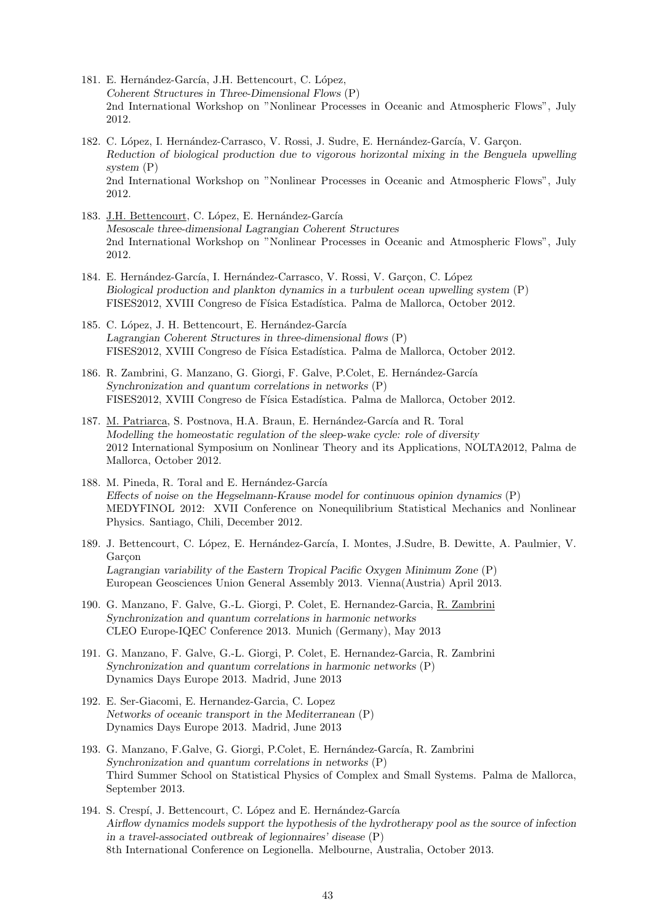- 181. E. Hernández-García, J.H. Bettencourt, C. López, *Coherent Structures in Three-Dimensional Flows* (P) 2nd International Workshop on "Nonlinear Processes in Oceanic and Atmospheric Flows", July 2012.
- 182. C. López, I. Hernández-Carrasco, V. Rossi, J. Sudre, E. Hernández-García, V. Garcon. *Reduction of biological production due to vigorous horizontal mixing in the Benguela upwelling system* (P) 2nd International Workshop on "Nonlinear Processes in Oceanic and Atmospheric Flows", July 2012.
- 183. J.H. Bettencourt, C. López, E. Hernández-García *Mesoscale three-dimensional Lagrangian Coherent Structures* 2nd International Workshop on "Nonlinear Processes in Oceanic and Atmospheric Flows", July 2012.
- 184. E. Hernández-García, I. Hernández-Carrasco, V. Rossi, V. Garçon, C. López *Biological production and plankton dynamics in a turbulent ocean upwelling system* (P) FISES2012, XVIII Congreso de Física Estadística. Palma de Mallorca, October 2012.
- 185. C. López, J. H. Bettencourt, E. Hernández-García *Lagrangian Coherent Structures in three-dimensional flows* (P) FISES2012, XVIII Congreso de Física Estadística. Palma de Mallorca, October 2012.
- 186. R. Zambrini, G. Manzano, G. Giorgi, F. Galve, P. Colet, E. Hernández-García *Synchronization and quantum correlations in networks* (P) FISES2012, XVIII Congreso de Física Estadística. Palma de Mallorca, October 2012.
- 187. M. Patriarca, S. Postnova, H.A. Braun, E. Hernández-García and R. Toral *Modelling the homeostatic regulation of the sleep-wake cycle: role of diversity* 2012 International Symposium on Nonlinear Theory and its Applications, NOLTA2012, Palma de Mallorca, October 2012.
- 188. M. Pineda, R. Toral and E. Hernández-García *Effects of noise on the Hegselmann-Krause model for continuous opinion dynamics* (P) MEDYFINOL 2012: XVII Conference on Nonequilibrium Statistical Mechanics and Nonlinear Physics. Santiago, Chili, December 2012.
- 189. J. Bettencourt, C. López, E. Hernández-García, I. Montes, J.Sudre, B. Dewitte, A. Paulmier, V. Garcon *Lagrangian variability of the Eastern Tropical Pacific Oxygen Minimum Zone* (P) European Geosciences Union General Assembly 2013. Vienna(Austria) April 2013.
- 190. G. Manzano, F. Galve, G.-L. Giorgi, P. Colet, E. Hernandez-Garcia, R. Zambrini *Synchronization and quantum correlations in harmonic networks* CLEO Europe-IQEC Conference 2013. Munich (Germany), May 2013
- 191. G. Manzano, F. Galve, G.-L. Giorgi, P. Colet, E. Hernandez-Garcia, R. Zambrini *Synchronization and quantum correlations in harmonic networks* (P) Dynamics Days Europe 2013. Madrid, June 2013
- 192. E. Ser-Giacomi, E. Hernandez-Garcia, C. Lopez *Networks of oceanic transport in the Mediterranean* (P) Dynamics Days Europe 2013. Madrid, June 2013
- 193. G. Manzano, F.Galve, G. Giorgi, P.Colet, E. Hernández-García, R. Zambrini *Synchronization and quantum correlations in networks* (P) Third Summer School on Statistical Physics of Complex and Small Systems. Palma de Mallorca, September 2013.
- 194. S. Crespí, J. Bettencourt, C. López and E. Hernández-García *Airflow dynamics models support the hypothesis of the hydrotherapy pool as the source of infection in a travel-associated outbreak of legionnaires' disease* (P) 8th International Conference on Legionella. Melbourne, Australia, October 2013.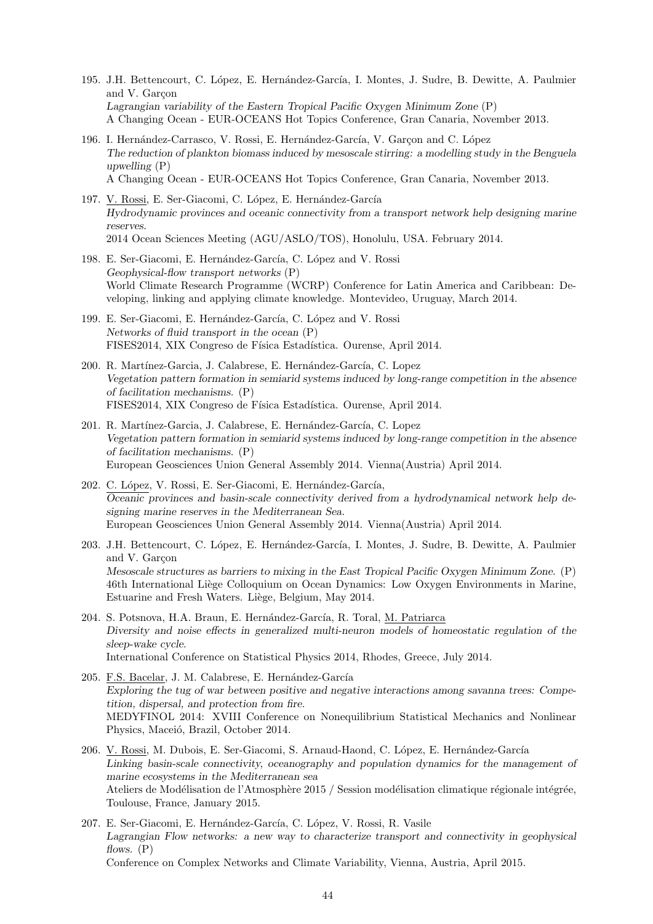- 195. J.H. Bettencourt, C. López, E. Hernández-García, I. Montes, J. Sudre, B. Dewitte, A. Paulmier and V. Garcon *Lagrangian variability of the Eastern Tropical Pacific Oxygen Minimum Zone* (P) A Changing Ocean - EUR-OCEANS Hot Topics Conference, Gran Canaria, November 2013.
- 196. I. Hernández-Carrasco, V. Rossi, E. Hernández-García, V. Garcon and C. López *The reduction of plankton biomass induced by mesoscale stirring: a modelling study in the Benguela upwelling* (P) A Changing Ocean - EUR-OCEANS Hot Topics Conference, Gran Canaria, November 2013.
- 197. V. Rossi, E. Ser-Giacomi, C. López, E. Hernández-García *Hydrodynamic provinces and oceanic connectivity from a transport network help designing marine reserves.* 2014 Ocean Sciences Meeting (AGU/ASLO/TOS), Honolulu, USA. February 2014.
- 198. E. Ser-Giacomi, E. Hernández-García, C. López and V. Rossi *Geophysical-flow transport networks* (P) World Climate Research Programme (WCRP) Conference for Latin America and Caribbean: Developing, linking and applying climate knowledge. Montevideo, Uruguay, March 2014.
- 199. E. Ser-Giacomi, E. Hernández-García, C. López and V. Rossi *Networks of fluid transport in the ocean* (P) FISES2014, XIX Congreso de Física Estadística. Ourense, April 2014.
- 200. R. Martínez-Garcia, J. Calabrese, E. Hernández-García, C. Lopez *Vegetation pattern formation in semiarid systems induced by long-range competition in the absence of facilitation mechanisms.* (P) FISES2014, XIX Congreso de Física Estadística. Ourense, April 2014.
- 201. R. Martínez-Garcia, J. Calabrese, E. Hernández-García, C. Lopez *Vegetation pattern formation in semiarid systems induced by long-range competition in the absence of facilitation mechanisms.* (P) European Geosciences Union General Assembly 2014. Vienna(Austria) April 2014.
- 202. C. López, V. Rossi, E. Ser-Giacomi, E. Hernández-García, *Oceanic provinces and basin-scale connectivity derived from a hydrodynamical network help designing marine reserves in the Mediterranean Sea.* European Geosciences Union General Assembly 2014. Vienna(Austria) April 2014.
- 203. J.H. Bettencourt, C. López, E. Hernández-García, I. Montes, J. Sudre, B. Dewitte, A. Paulmier and V. Garçon *Mesoscale structures as barriers to mixing in the East Tropical Pacific Oxygen Minimum Zone.* (P) 46th International Liège Colloquium on Ocean Dynamics: Low Oxygen Environments in Marine, Estuarine and Fresh Waters. Liège, Belgium, May 2014.
- 204. S. Potsnova, H.A. Braun, E. Hernández-García, R. Toral, M. Patriarca *Diversity and noise effects in generalized multi-neuron models of homeostatic regulation of the sleep-wake cycle.* International Conference on Statistical Physics 2014, Rhodes, Greece, July 2014.
- 205. F.S. Bacelar, J. M. Calabrese, E. Hernández-García *Exploring the tug of war between positive and negative interactions among savanna trees: Competition, dispersal, and protection from fire.* MEDYFINOL 2014: XVIII Conference on Nonequilibrium Statistical Mechanics and Nonlinear Physics, Maceió, Brazil, October 2014.
- 206. V. Rossi, M. Dubois, E. Ser-Giacomi, S. Arnaud-Haond, C. López, E. Hernández-García *Linking basin-scale connectivity, oceanography and population dynamics for the management of marine ecosystems in the Mediterranean sea* Ateliers de Modélisation de l'Atmosphère 2015 / Session modélisation climatique régionale intégrée, Toulouse, France, January 2015.
- 207. E. Ser-Giacomi, E. Hernández-García, C. López, V. Rossi, R. Vasile *Lagrangian Flow networks: a new way to characterize transport and connectivity in geophysical flows.* (P)

Conference on Complex Networks and Climate Variability, Vienna, Austria, April 2015.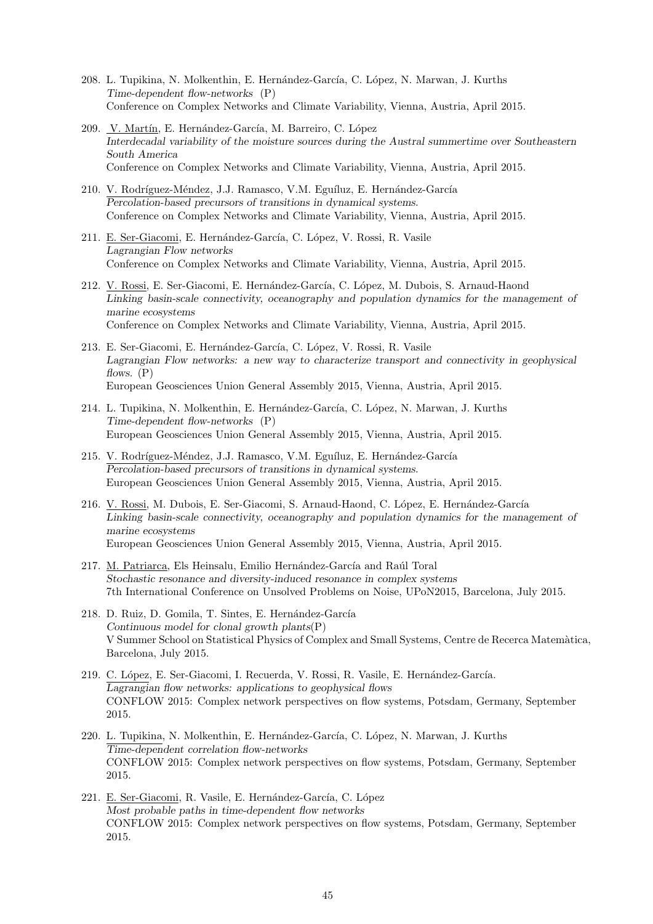- 208. L. Tupikina, N. Molkenthin, E. Hernández-García, C. López, N. Marwan, J. Kurths *Time-dependent flow-networks* (P) Conference on Complex Networks and Climate Variability, Vienna, Austria, April 2015.
- 209. V. Martín, E. Hernández-García, M. Barreiro, C. López *Interdecadal variability of the moisture sources during the Austral summertime over Southeastern South America* Conference on Complex Networks and Climate Variability, Vienna, Austria, April 2015.
- 210. V. Rodríguez-Méndez, J.J. Ramasco, V.M. Eguíluz, E. Hernández-García *Percolation-based precursors of transitions in dynamical systems.* Conference on Complex Networks and Climate Variability, Vienna, Austria, April 2015.
- 211. E. Ser-Giacomi, E. Hernández-García, C. López, V. Rossi, R. Vasile *Lagrangian Flow networks* Conference on Complex Networks and Climate Variability, Vienna, Austria, April 2015.
- 212. V. Rossi, E. Ser-Giacomi, E. Hernández-García, C. López, M. Dubois, S. Arnaud-Haond *Linking basin-scale connectivity, oceanography and population dynamics for the management of marine ecosystems* Conference on Complex Networks and Climate Variability, Vienna, Austria, April 2015.
- 213. E. Ser-Giacomi, E. Hernández-García, C. López, V. Rossi, R. Vasile *Lagrangian Flow networks: a new way to characterize transport and connectivity in geophysical flows.* (P) European Geosciences Union General Assembly 2015, Vienna, Austria, April 2015.
- 214. L. Tupikina, N. Molkenthin, E. Hernández-García, C. López, N. Marwan, J. Kurths *Time-dependent flow-networks* (P) European Geosciences Union General Assembly 2015, Vienna, Austria, April 2015.
- 215. V. Rodríguez-Méndez, J.J. Ramasco, V.M. Eguíluz, E. Hernández-García *Percolation-based precursors of transitions in dynamical systems.* European Geosciences Union General Assembly 2015, Vienna, Austria, April 2015.
- 216. V. Rossi, M. Dubois, E. Ser-Giacomi, S. Arnaud-Haond, C. López, E. Hernández-García *Linking basin-scale connectivity, oceanography and population dynamics for the management of marine ecosystems* European Geosciences Union General Assembly 2015, Vienna, Austria, April 2015.
- 217. M. Patriarca, Els Heinsalu, Emilio Hernández-García and Raúl Toral *Stochastic resonance and diversity-induced resonance in complex systems* 7th International Conference on Unsolved Problems on Noise, UPoN2015, Barcelona, July 2015.
- 218. D. Ruiz, D. Gomila, T. Sintes, E. Hernández-García *Continuous model for clonal growth plants*(P) V Summer School on Statistical Physics of Complex and Small Systems, Centre de Recerca Matem`atica, Barcelona, July 2015.
- 219. C. López, E. Ser-Giacomi, I. Recuerda, V. Rossi, R. Vasile, E. Hernández-García. *Lagrangian flow networks: applications to geophysical flows* CONFLOW 2015: Complex network perspectives on flow systems, Potsdam, Germany, September 2015.
- 220. L. Tupikina, N. Molkenthin, E. Hernández-García, C. López, N. Marwan, J. Kurths *Time-dependent correlation flow-networks* CONFLOW 2015: Complex network perspectives on flow systems, Potsdam, Germany, September 2015.
- 221. E. Ser-Giacomi, R. Vasile, E. Hernández-García, C. López *Most probable paths in time-dependent flow networks* CONFLOW 2015: Complex network perspectives on flow systems, Potsdam, Germany, September 2015.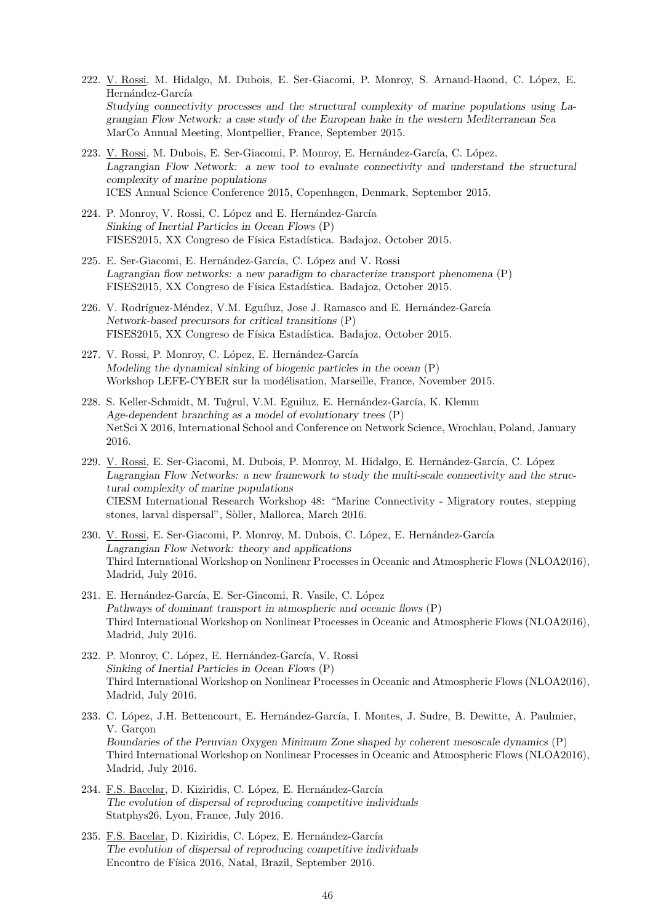- 222. V. Rossi, M. Hidalgo, M. Dubois, E. Ser-Giacomi, P. Monroy, S. Arnaud-Haond, C. L´opez, E. Hernández-García *Studying connectivity processes and the structural complexity of marine populations using Lagrangian Flow Network: a case study of the European hake in the western Mediterranean Sea* MarCo Annual Meeting, Montpellier, France, September 2015.
- 223. V. Rossi, M. Dubois, E. Ser-Giacomi, P. Monroy, E. Hernández-García, C. López. *Lagrangian Flow Network: a new tool to evaluate connectivity and understand the structural complexity of marine populations* ICES Annual Science Conference 2015, Copenhagen, Denmark, September 2015.
- 224. P. Monroy, V. Rossi, C. López and E. Hernández-García *Sinking of Inertial Particles in Ocean Flows* (P) FISES2015, XX Congreso de Física Estadística. Badajoz, October 2015.
- 225. E. Ser-Giacomi, E. Hernández-García, C. López and V. Rossi *Lagrangian flow networks: a new paradigm to characterize transport phenomena* (P) FISES2015, XX Congreso de Física Estadística. Badajoz, October 2015.
- 226. V. Rodríguez-Méndez, V.M. Eguíluz, Jose J. Ramasco and E. Hernández-García *Network-based precursors for critical transitions* (P) FISES2015, XX Congreso de Física Estadística. Badajoz, October 2015.
- 227. V. Rossi, P. Monroy, C. López, E. Hernández-García *Modeling the dynamical sinking of biogenic particles in the ocean* (P) Workshop LEFE-CYBER sur la modélisation, Marseille, France, November 2015.
- 228. S. Keller-Schmidt, M. Tuğrul, V.M. Eguiluz, E. Hernández-García, K. Klemm *Age-dependent branching as a model of evolutionary trees* (P) NetSci X 2016, International School and Conference on Network Science, Wrochlau, Poland, January 2016.
- 229. V. Rossi, E. Ser-Giacomi, M. Dubois, P. Monroy, M. Hidalgo, E. Hernández-García, C. López *Lagrangian Flow Networks: a new framework to study the multi-scale connectivity and the structural complexity of marine populations* CIESM International Research Workshop 48: "Marine Connectivity - Migratory routes, stepping stones, larval dispersal", Sòller, Mallorca, March 2016.
- 230. V. Rossi, E. Ser-Giacomi, P. Monroy, M. Dubois, C. López, E. Hernández-García *Lagrangian Flow Network: theory and applications* Third International Workshop on Nonlinear Processes in Oceanic and Atmospheric Flows (NLOA2016), Madrid, July 2016.
- 231. E. Hernández-García, E. Ser-Giacomi, R. Vasile, C. López *Pathways of dominant transport in atmospheric and oceanic flows* (P) Third International Workshop on Nonlinear Processes in Oceanic and Atmospheric Flows (NLOA2016), Madrid, July 2016.
- 232. P. Monroy, C. López, E. Hernández-García, V. Rossi *Sinking of Inertial Particles in Ocean Flows* (P) Third International Workshop on Nonlinear Processes in Oceanic and Atmospheric Flows (NLOA2016), Madrid, July 2016.
- 233. C. López, J.H. Bettencourt, E. Hernández-García, I. Montes, J. Sudre, B. Dewitte, A. Paulmier, V. Garcon *Boundaries of the Peruvian Oxygen Minimum Zone shaped by coherent mesoscale dynamics* (P) Third International Workshop on Nonlinear Processes in Oceanic and Atmospheric Flows (NLOA2016), Madrid, July 2016.
- 234. F.S. Bacelar, D. Kiziridis, C. López, E. Hernández-García *The evolution of dispersal of reproducing competitive individuals* Statphys26, Lyon, France, July 2016.
- 235. F.S. Bacelar, D. Kiziridis, C. López, E. Hernández-García *The evolution of dispersal of reproducing competitive individuals* Encontro de Física 2016, Natal, Brazil, September 2016.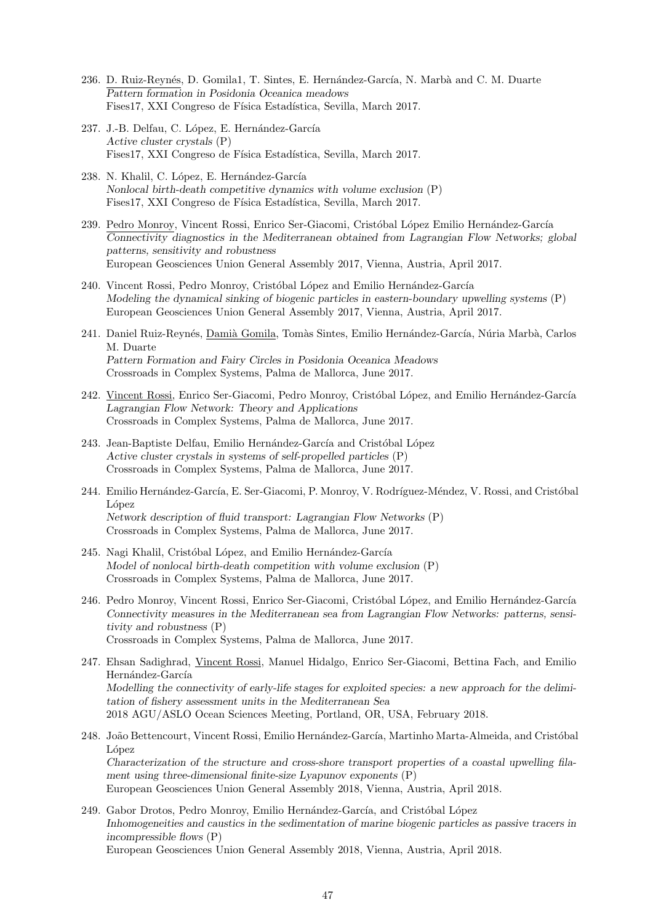- 236. D. Ruiz-Reynés, D. Gomila1, T. Sintes, E. Hernández-García, N. Marbà and C. M. Duarte *Pattern formation in Posidonia Oceanica meadows* Fises17, XXI Congreso de Física Estadística, Sevilla, March 2017.
- 237. J.-B. Delfau, C. López, E. Hernández-García *Active cluster crystals* (P) Fises17, XXI Congreso de Física Estadística, Sevilla, March 2017.
- 238. N. Khalil, C. López, E. Hernández-García *Nonlocal birth-death competitive dynamics with volume exclusion* (P) Fises17, XXI Congreso de Física Estadística, Sevilla, March 2017.
- 239. Pedro Monroy, Vincent Rossi, Enrico Ser-Giacomi, Cristóbal López Emilio Hernández-García *Connectivity diagnostics in the Mediterranean obtained from Lagrangian Flow Networks; global patterns, sensitivity and robustness* European Geosciences Union General Assembly 2017, Vienna, Austria, April 2017.
- 240. Vincent Rossi, Pedro Monroy, Cristóbal López and Emilio Hernández-García *Modeling the dynamical sinking of biogenic particles in eastern-boundary upwelling systems* (P) European Geosciences Union General Assembly 2017, Vienna, Austria, April 2017.
- 241. Daniel Ruiz-Reynés, Damià Gomila, Tomàs Sintes, Emilio Hernández-García, Núria Marbà, Carlos M. Duarte *Pattern Formation and Fairy Circles in Posidonia Oceanica Meadows* Crossroads in Complex Systems, Palma de Mallorca, June 2017.
- 242. Vincent Rossi, Enrico Ser-Giacomi, Pedro Monroy, Cristóbal López, and Emilio Hernández-García *Lagrangian Flow Network: Theory and Applications* Crossroads in Complex Systems, Palma de Mallorca, June 2017.
- 243. Jean-Baptiste Delfau, Emilio Hernández-García and Cristóbal López *Active cluster crystals in systems of self-propelled particles* (P) Crossroads in Complex Systems, Palma de Mallorca, June 2017.
- 244. Emilio Hernández-García, E. Ser-Giacomi, P. Monroy, V. Rodríguez-Méndez, V. Rossi, and Cristóbal López *Network description of fluid transport: Lagrangian Flow Networks* (P) Crossroads in Complex Systems, Palma de Mallorca, June 2017.
- 245. Nagi Khalil, Cristóbal López, and Emilio Hernández-García *Model of nonlocal birth-death competition with volume exclusion* (P) Crossroads in Complex Systems, Palma de Mallorca, June 2017.
- 246. Pedro Monroy, Vincent Rossi, Enrico Ser-Giacomi, Cristóbal López, and Emilio Hernández-García *Connectivity measures in the Mediterranean sea from Lagrangian Flow Networks: patterns, sensitivity and robustness* (P) Crossroads in Complex Systems, Palma de Mallorca, June 2017.
- 247. Ehsan Sadighrad, Vincent Rossi, Manuel Hidalgo, Enrico Ser-Giacomi, Bettina Fach, and Emilio Hernández-García *Modelling the connectivity of early-life stages for exploited species: a new approach for the delimitation of fishery assessment units in the Mediterranean Sea* 2018 AGU/ASLO Ocean Sciences Meeting, Portland, OR, USA, February 2018.
- 248. João Bettencourt, Vincent Rossi, Emilio Hernández-García, Martinho Marta-Almeida, and Cristóbal López *Characterization of the structure and cross-shore transport properties of a coastal upwelling filament using three-dimensional finite-size Lyapunov exponents* (P) European Geosciences Union General Assembly 2018, Vienna, Austria, April 2018.
- 249. Gabor Drotos, Pedro Monroy, Emilio Hernández-García, and Cristóbal López *Inhomogeneities and caustics in the sedimentation of marine biogenic particles as passive tracers in incompressible flows* (P) European Geosciences Union General Assembly 2018, Vienna, Austria, April 2018.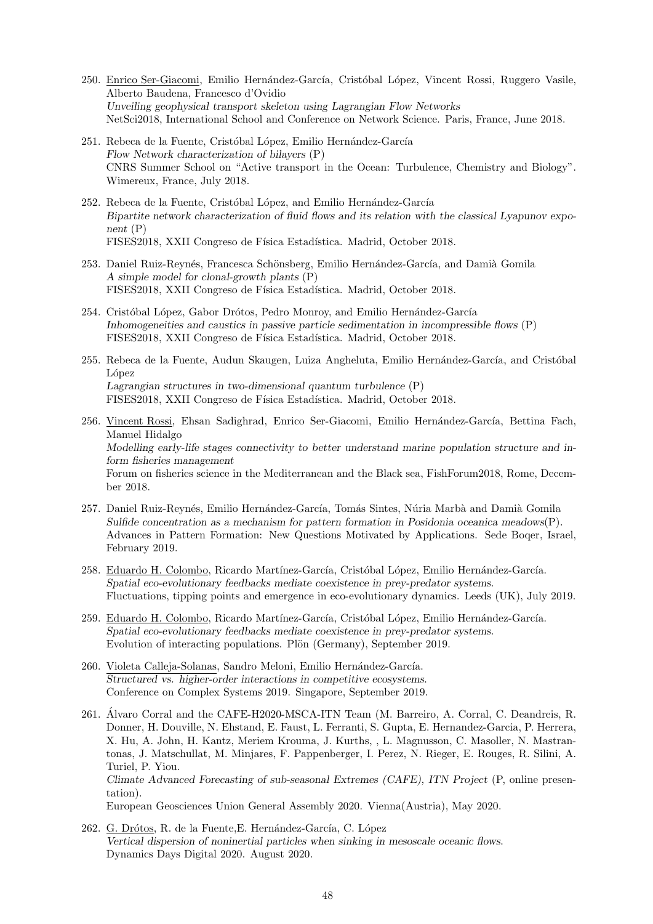- 250. Enrico Ser-Giacomi, Emilio Hernández-García, Cristóbal López, Vincent Rossi, Ruggero Vasile, Alberto Baudena, Francesco d'Ovidio *Unveiling geophysical transport skeleton using Lagrangian Flow Networks* NetSci2018, International School and Conference on Network Science. Paris, France, June 2018.
- 251. Rebeca de la Fuente, Cristóbal López, Emilio Hernández-García *Flow Network characterization of bilayers* (P) CNRS Summer School on "Active transport in the Ocean: Turbulence, Chemistry and Biology". Wimereux, France, July 2018.
- 252. Rebeca de la Fuente, Cristóbal López, and Emilio Hernández-García *Bipartite network characterization of fluid flows and its relation with the classical Lyapunov exponent* (P) FISES2018, XXII Congreso de Física Estadística. Madrid, October 2018.
- 253. Daniel Ruiz-Reynés, Francesca Schönsberg, Emilio Hernández-García, and Damià Gomila *A simple model for clonal-growth plants* (P) FISES2018, XXII Congreso de Física Estadística. Madrid, October 2018.
- 254. Cristóbal López, Gabor Drótos, Pedro Monroy, and Emilio Hernández-García *Inhomogeneities and caustics in passive particle sedimentation in incompressible flows* (P) FISES2018, XXII Congreso de Física Estadística. Madrid, October 2018.
- 255. Rebeca de la Fuente, Audun Skaugen, Luiza Angheluta, Emilio Hernández-García, and Cristóbal López *Lagrangian structures in two-dimensional quantum turbulence* (P) FISES2018, XXII Congreso de Física Estadística. Madrid, October 2018.
- 256. Vincent Rossi, Ehsan Sadighrad, Enrico Ser-Giacomi, Emilio Hernández-García, Bettina Fach, Manuel Hidalgo *Modelling early-life stages connectivity to better understand marine population structure and inform fisheries management* Forum on fisheries science in the Mediterranean and the Black sea, FishForum2018, Rome, December 2018.
- 257. Daniel Ruiz-Reynés, Emilio Hernández-García, Tomás Sintes, Núria Marbà and Damià Gomila *Sulfide concentration as a mechanism for pattern formation in Posidonia oceanica meadows*(P). Advances in Pattern Formation: New Questions Motivated by Applications. Sede Boqer, Israel, February 2019.
- 258. Eduardo H. Colombo, Ricardo Martínez-García, Cristóbal López, Emilio Hernández-García. *Spatial eco-evolutionary feedbacks mediate coexistence in prey-predator systems*. Fluctuations, tipping points and emergence in eco-evolutionary dynamics. Leeds (UK), July 2019.
- 259. Eduardo H. Colombo, Ricardo Martínez-García, Cristóbal López, Emilio Hernández-García. *Spatial eco-evolutionary feedbacks mediate coexistence in prey-predator systems*. Evolution of interacting populations. Plön (Germany), September 2019.
- 260. Violeta Calleja-Solanas, Sandro Meloni, Emilio Hernández-García. *Structured vs. higher-order interactions in competitive ecosystems*. Conference on Complex Systems 2019. Singapore, September 2019.
- 261. Alvaro Corral and the CAFE-H2020-MSCA-ITN Team (M. Barreiro, A. Corral, C. Deandreis, R. ´ Donner, H. Douville, N. Ehstand, E. Faust, L. Ferranti, S. Gupta, E. Hernandez-Garcia, P. Herrera, X. Hu, A. John, H. Kantz, Meriem Krouma, J. Kurths, , L. Magnusson, C. Masoller, N. Mastrantonas, J. Matschullat, M. Minjares, F. Pappenberger, I. Perez, N. Rieger, E. Rouges, R. Silini, A. Turiel, P. Yiou.

*Climate Advanced Forecasting of sub-seasonal Extremes (CAFE), ITN Project* (P, online presentation).

European Geosciences Union General Assembly 2020. Vienna(Austria), May 2020.

262. G. Drótos, R. de la Fuente, E. Hernández-García, C. López *Vertical dispersion of noninertial particles when sinking in mesoscale oceanic flows*. Dynamics Days Digital 2020. August 2020.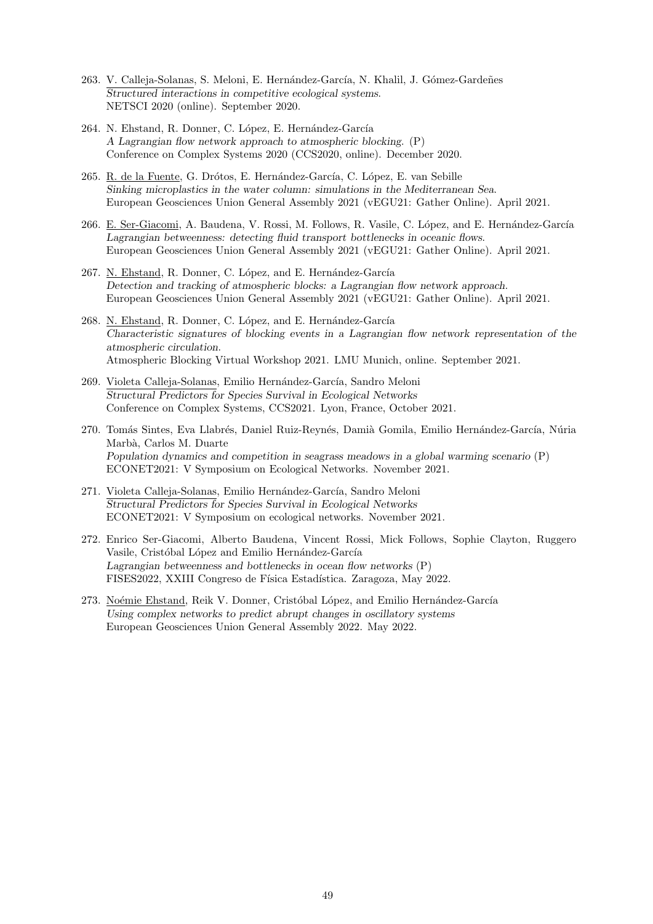- 263. V. Calleja-Solanas, S. Meloni, E. Hernández-García, N. Khalil, J. Gómez-Gardeñes *Structured interactions in competitive ecological systems*. NETSCI 2020 (online). September 2020.
- 264. N. Ehstand, R. Donner, C. López, E. Hernández-García *A Lagrangian flow network approach to atmospheric blocking*. (P) Conference on Complex Systems 2020 (CCS2020, online). December 2020.
- 265. R. de la Fuente, G. Drótos, E. Hernández-García, C. López, E. van Sebille *Sinking microplastics in the water column: simulations in the Mediterranean Sea*. European Geosciences Union General Assembly 2021 (vEGU21: Gather Online). April 2021.
- 266. E. Ser-Giacomi, A. Baudena, V. Rossi, M. Follows, R. Vasile, C. López, and E. Hernández-García *Lagrangian betweenness: detecting fluid transport bottlenecks in oceanic flows*. European Geosciences Union General Assembly 2021 (vEGU21: Gather Online). April 2021.
- 267. N. Ehstand, R. Donner, C. López, and E. Hernández-García *Detection and tracking of atmospheric blocks: a Lagrangian flow network approach*. European Geosciences Union General Assembly 2021 (vEGU21: Gather Online). April 2021.
- 268. N. Ehstand, R. Donner, C. López, and E. Hernández-García *Characteristic signatures of blocking events in a Lagrangian flow network representation of the atmospheric circulation*. Atmospheric Blocking Virtual Workshop 2021. LMU Munich, online. September 2021.
- 269. Violeta Calleja-Solanas, Emilio Hernández-García, Sandro Meloni *Structural Predictors for Species Survival in Ecological Networks* Conference on Complex Systems, CCS2021. Lyon, France, October 2021.
- 270. Tomás Sintes, Eva Llabrés, Daniel Ruiz-Reynés, Damià Gomila, Emilio Hernández-García, Núria Marb`a, Carlos M. Duarte *Population dynamics and competition in seagrass meadows in a global warming scenario* (P) ECONET2021: V Symposium on Ecological Networks. November 2021.
- 271. Violeta Calleja-Solanas, Emilio Hernández-García, Sandro Meloni *Structural Predictors for Species Survival in Ecological Networks* ECONET2021: V Symposium on ecological networks. November 2021.
- 272. Enrico Ser-Giacomi, Alberto Baudena, Vincent Rossi, Mick Follows, Sophie Clayton, Ruggero Vasile, Cristóbal López and Emilio Hernández-García *Lagrangian betweenness and bottlenecks in ocean flow networks* (P) FISES2022, XXIII Congreso de Física Estadística. Zaragoza, May 2022.
- 273. Noémie Ehstand, Reik V. Donner, Cristóbal López, and Emilio Hernández-García *Using complex networks to predict abrupt changes in oscillatory systems* European Geosciences Union General Assembly 2022. May 2022.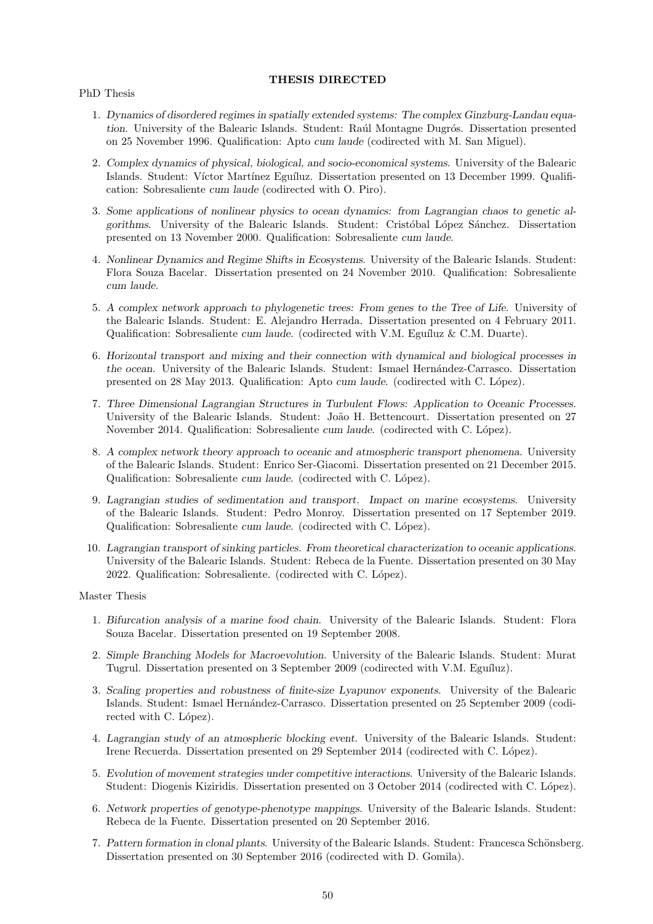## **THESIS DIRECTED**

PhD Thesis

- 1. *Dynamics of disordered regimes in spatially extended systems: The complex Ginzburg-Landau equation*. University of the Balearic Islands. Student: Raúl Montagne Dugrós. Dissertation presented on 25 November 1996. Qualification: Apto *cum laude* (codirected with M. San Miguel).
- 2. *Complex dynamics of physical, biological, and socio-economical systems*. University of the Balearic Islands. Student: Víctor Martínez Eguíluz. Dissertation presented on 13 December 1999. Qualification: Sobresaliente *cum laude* (codirected with O. Piro).
- 3. *Some applications of nonlinear physics to ocean dynamics: from Lagrangian chaos to genetic algorithms*. University of the Balearic Islands. Student: Cristophal Lopez Sanchez. Dissertation presented on 13 November 2000. Qualification: Sobresaliente *cum laude*.
- 4. *Nonlinear Dynamics and Regime Shifts in Ecosystems*. University of the Balearic Islands. Student: Flora Souza Bacelar. Dissertation presented on 24 November 2010. Qualification: Sobresaliente *cum laude*.
- 5. *A complex network approach to phylogenetic trees: From genes to the Tree of Life*. University of the Balearic Islands. Student: E. Alejandro Herrada. Dissertation presented on 4 February 2011. Qualification: Sobresaliente *cum laude*. (codirected with V.M. Eguíluz & C.M. Duarte).
- 6. *Horizontal transport and mixing and their connection with dynamical and biological processes in the ocean*. University of the Balearic Islands. Student: Ismael Hernández-Carrasco. Dissertation presented on 28 May 2013. Qualification: Apto *cum laude*. (codirected with C. López).
- 7. *Three Dimensional Lagrangian Structures in Turbulent Flows: Application to Oceanic Processes*. University of the Balearic Islands. Student: João H. Bettencourt. Dissertation presented on 27 November 2014. Qualification: Sobresaliente *cum laude*. (codirected with C. López).
- 8. *A complex network theory approach to oceanic and atmospheric transport phenomena*. University of the Balearic Islands. Student: Enrico Ser-Giacomi. Dissertation presented on 21 December 2015. Qualification: Sobresaliente *cum laude*. (codirected with C. López).
- 9. *Lagrangian studies of sedimentation and transport. Impact on marine ecosystems*. University of the Balearic Islands. Student: Pedro Monroy. Dissertation presented on 17 September 2019. Qualification: Sobresaliente *cum laude*. (codirected with C. López).
- 10. *Lagrangian transport of sinking particles. From theoretical characterization to oceanic applications*. University of the Balearic Islands. Student: Rebeca de la Fuente. Dissertation presented on 30 May 2022. Qualification: Sobresaliente. (codirected with C. López).

Master Thesis

- 1. *Bifurcation analysis of a marine food chain*. University of the Balearic Islands. Student: Flora Souza Bacelar. Dissertation presented on 19 September 2008.
- 2. *Simple Branching Models for Macroevolution*. University of the Balearic Islands. Student: Murat Tugrul. Dissertation presented on 3 September 2009 (codirected with V.M. Eguíluz).
- 3. *Scaling properties and robustness of finite-size Lyapunov exponents*. University of the Balearic Islands. Student: Ismael Hernández-Carrasco. Dissertation presented on 25 September 2009 (codirected with C. López).
- 4. *Lagrangian study of an atmospheric blocking event*. University of the Balearic Islands. Student: Irene Recuerda. Dissertation presented on 29 September 2014 (codirected with C. López).
- 5. *Evolution of movement strategies under competitive interactions*. University of the Balearic Islands. Student: Diogenis Kiziridis. Dissertation presented on 3 October 2014 (codirected with C. López).
- 6. *Network properties of genotype-phenotype mappings*. University of the Balearic Islands. Student: Rebeca de la Fuente. Dissertation presented on 20 September 2016.
- 7. Pattern formation in clonal plants. University of the Balearic Islands. Student: Francesca Schönsberg. Dissertation presented on 30 September 2016 (codirected with D. Gomila).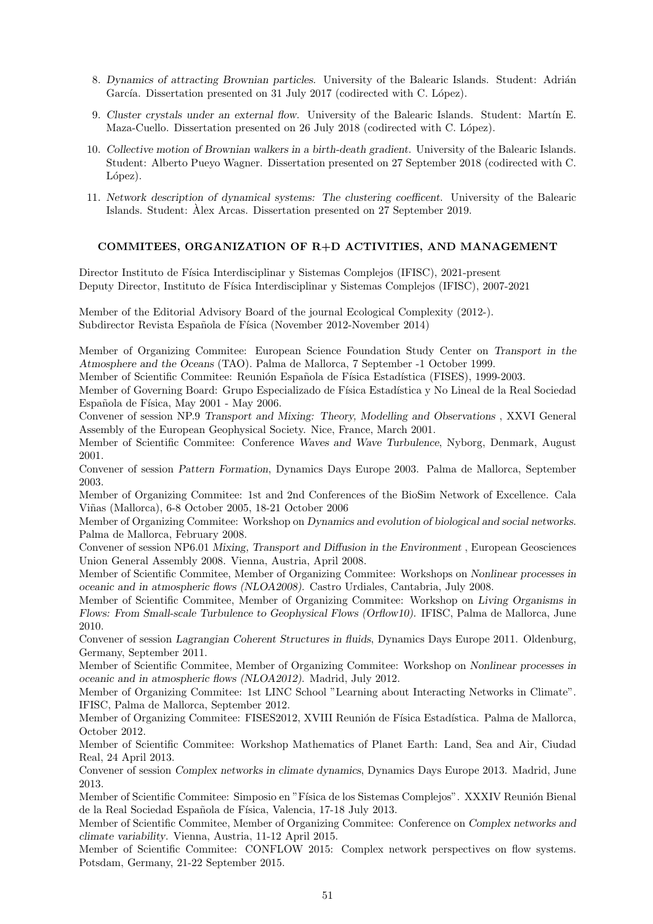- 8. *Dynamics of attracting Brownian particles*. University of the Balearic Islands. Student: Adrián García. Dissertation presented on 31 July 2017 (codirected with C. López).
- 9. *Cluster crystals under an external flow.* University of the Balearic Islands. Student: Martín E. Maza-Cuello. Dissertation presented on 26 July 2018 (codirected with C. López).
- 10. *Collective motion of Brownian walkers in a birth-death gradient*. University of the Balearic Islands. Student: Alberto Pueyo Wagner. Dissertation presented on 27 September 2018 (codirected with C. López).
- 11. *Network description of dynamical systems: The clustering coefficent*. University of the Balearic Islands. Student: Alex Arcas. Dissertation presented on 27 September 2019. `

# **COMMITEES, ORGANIZATION OF R+D ACTIVITIES, AND MANAGEMENT**

Director Instituto de Física Interdisciplinar y Sistemas Complejos (IFISC), 2021-present Deputy Director, Instituto de Física Interdisciplinar y Sistemas Complejos (IFISC), 2007-2021

Member of the Editorial Advisory Board of the journal Ecological Complexity (2012-). Subdirector Revista Española de Física (November 2012-November 2014)

Member of Organizing Commitee: European Science Foundation Study Center on *Transport in the Atmosphere and the Oceans* (TAO). Palma de Mallorca, 7 September -1 October 1999.

Member of Scientific Commitee: Reunión Española de Física Estadística (FISES), 1999-2003.

Member of Governing Board: Grupo Especializado de Física Estadística y No Lineal de la Real Sociedad Española de Física, May 2001 - May 2006.

Convener of session NP.9 *Transport and Mixing: Theory, Modelling and Observations* , XXVI General Assembly of the European Geophysical Society. Nice, France, March 2001.

Member of Scientific Commitee: Conference *Waves and Wave Turbulence*, Nyborg, Denmark, August 2001.

Convener of session *Pattern Formation*, Dynamics Days Europe 2003. Palma de Mallorca, September 2003.

Member of Organizing Commitee: 1st and 2nd Conferences of the BioSim Network of Excellence. Cala Vi˜nas (Mallorca), 6-8 October 2005, 18-21 October 2006

Member of Organizing Commitee: Workshop on *Dynamics and evolution of biological and social networks*. Palma de Mallorca, February 2008.

Convener of session NP6.01 *Mixing, Transport and Diffusion in the Environment* , European Geosciences Union General Assembly 2008. Vienna, Austria, April 2008.

Member of Scientific Commitee, Member of Organizing Commitee: Workshops on *Nonlinear processes in oceanic and in atmospheric flows (NLOA2008)*. Castro Urdiales, Cantabria, July 2008.

Member of Scientific Commitee, Member of Organizing Commitee: Workshop on *Living Organisms in Flows: From Small-scale Turbulence to Geophysical Flows (Orflow10).* IFISC, Palma de Mallorca, June 2010.

Convener of session *Lagrangian Coherent Structures in fluids*, Dynamics Days Europe 2011. Oldenburg, Germany, September 2011.

Member of Scientific Commitee, Member of Organizing Commitee: Workshop on *Nonlinear processes in oceanic and in atmospheric flows (NLOA2012)*. Madrid, July 2012.

Member of Organizing Commitee: 1st LINC School "Learning about Interacting Networks in Climate". IFISC, Palma de Mallorca, September 2012.

Member of Organizing Commitee: FISES2012, XVIII Reunión de Física Estadística. Palma de Mallorca, October 2012.

Member of Scientific Commitee: Workshop Mathematics of Planet Earth: Land, Sea and Air, Ciudad Real, 24 April 2013.

Convener of session *Complex networks in climate dynamics*, Dynamics Days Europe 2013. Madrid, June 2013.

Member of Scientific Commitee: Simposio en "Física de los Sistemas Complejos". XXXIV Reunión Bienal de la Real Sociedad Española de Física, Valencia, 17-18 July 2013.

Member of Scientific Commitee, Member of Organizing Commitee: Conference on *Complex networks and climate variability*. Vienna, Austria, 11-12 April 2015.

Member of Scientific Commitee: CONFLOW 2015: Complex network perspectives on flow systems. Potsdam, Germany, 21-22 September 2015.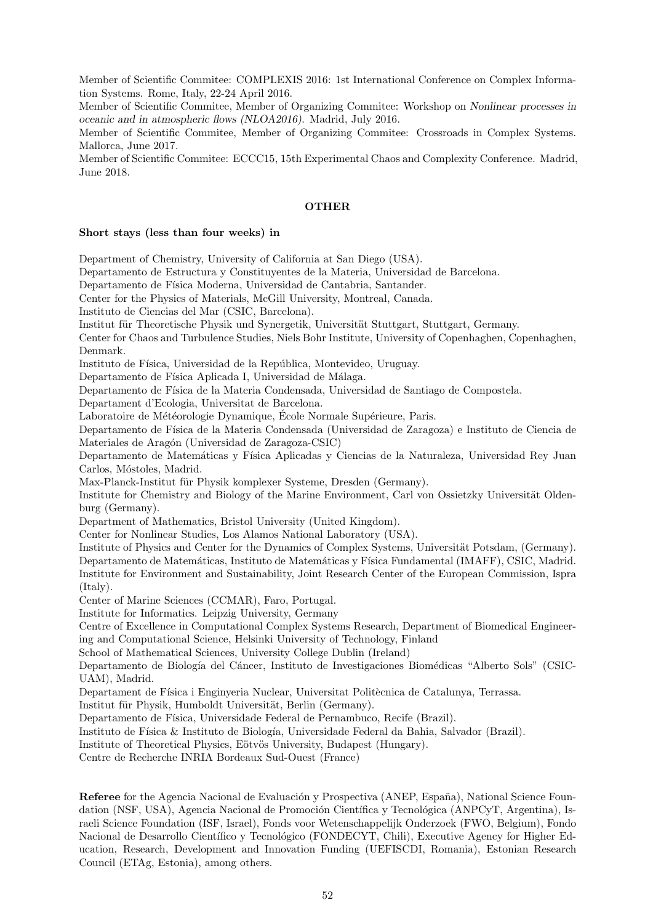Member of Scientific Commitee: COMPLEXIS 2016: 1st International Conference on Complex Information Systems. Rome, Italy, 22-24 April 2016.

Member of Scientific Commitee, Member of Organizing Commitee: Workshop on *Nonlinear processes in oceanic and in atmospheric flows (NLOA2016)*. Madrid, July 2016.

Member of Scientific Commitee, Member of Organizing Commitee: Crossroads in Complex Systems. Mallorca, June 2017.

Member of Scientific Commitee: ECCC15, 15th Experimental Chaos and Complexity Conference. Madrid, June 2018.

## **OTHER**

#### **Short stays (less than four weeks) in**

Department of Chemistry, University of California at San Diego (USA).

Departamento de Estructura y Constituyentes de la Materia, Universidad de Barcelona.

Departamento de Física Moderna, Universidad de Cantabria, Santander.

Center for the Physics of Materials, McGill University, Montreal, Canada.

Instituto de Ciencias del Mar (CSIC, Barcelona).

Institut für Theoretische Physik und Synergetik, Universität Stuttgart, Stuttgart, Germany.

Center for Chaos and Turbulence Studies, Niels Bohr Institute, University of Copenhaghen, Copenhaghen, Denmark.

Instituto de Física, Universidad de la República, Montevideo, Uruguay.

Departamento de Física Aplicada I, Universidad de Málaga.

Departamento de Física de la Materia Condensada, Universidad de Santiago de Compostela.

Departament d'Ecologia, Universitat de Barcelona.

Laboratoire de Météorologie Dynamique, École Normale Supérieure, Paris.

Departamento de F´ısica de la Materia Condensada (Universidad de Zaragoza) e Instituto de Ciencia de Materiales de Aragón (Universidad de Zaragoza-CSIC)

Departamento de Matemáticas y Física Aplicadas y Ciencias de la Naturaleza, Universidad Rey Juan Carlos, Móstoles, Madrid.

Max-Planck-Institut für Physik komplexer Systeme, Dresden (Germany).

Institute for Chemistry and Biology of the Marine Environment, Carl von Ossietzky Universität Oldenburg (Germany).

Department of Mathematics, Bristol University (United Kingdom).

Center for Nonlinear Studies, Los Alamos National Laboratory (USA).

Institute of Physics and Center for the Dynamics of Complex Systems, Universität Potsdam, (Germany). Departamento de Matemáticas, Instituto de Matemáticas y Física Fundamental (IMAFF), CSIC, Madrid. Institute for Environment and Sustainability, Joint Research Center of the European Commission, Ispra (Italy).

Center of Marine Sciences (CCMAR), Faro, Portugal.

Institute for Informatics. Leipzig University, Germany

Centre of Excellence in Computational Complex Systems Research, Department of Biomedical Engineering and Computational Science, Helsinki University of Technology, Finland

School of Mathematical Sciences, University College Dublin (Ireland)

Departamento de Biología del Cáncer, Instituto de Investigaciones Biomédicas "Alberto Sols" (CSIC-UAM), Madrid.

Departament de Física i Enginyeria Nuclear, Universitat Politècnica de Catalunya, Terrassa.

Institut für Physik, Humboldt Universität, Berlin (Germany).

Departamento de Física, Universidade Federal de Pernambuco, Recife (Brazil).

Instituto de Física & Instituto de Biología, Universidade Federal da Bahia, Salvador (Brazil).

Institute of Theoretical Physics, Eötvös University, Budapest (Hungary).

Centre de Recherche INRIA Bordeaux Sud-Ouest (France)

**Referee** for the Agencia Nacional de Evaluación y Prospectiva (ANEP, España), National Science Foundation (NSF, USA), Agencia Nacional de Promoción Científica y Tecnológica (ANPCyT, Argentina), Israeli Science Foundation (ISF, Israel), Fonds voor Wetenschappelijk Onderzoek (FWO, Belgium), Fondo Nacional de Desarrollo Científico y Tecnológico (FONDECYT, Chili), Executive Agency for Higher Education, Research, Development and Innovation Funding (UEFISCDI, Romania), Estonian Research Council (ETAg, Estonia), among others.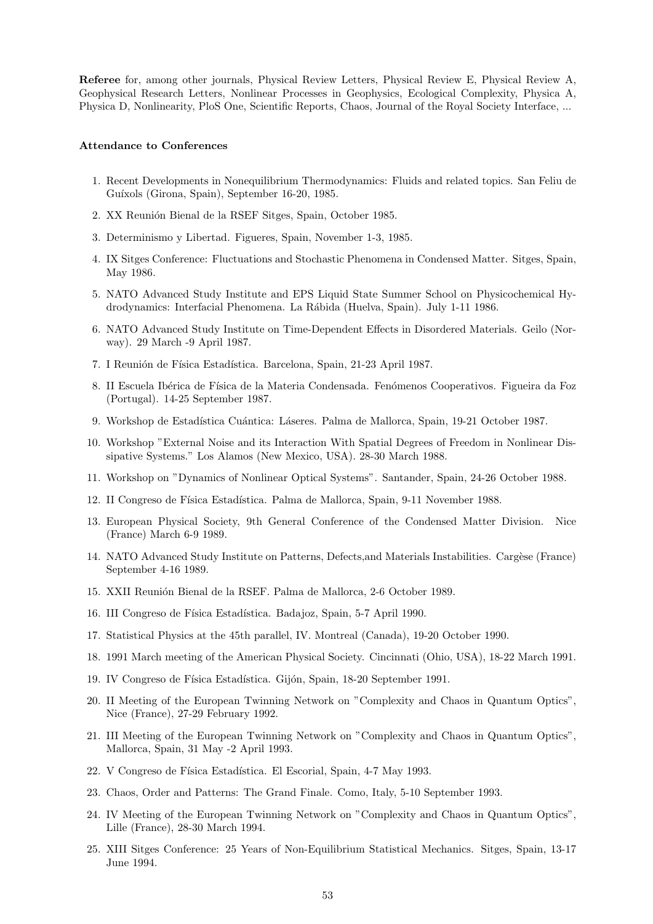**Referee** for, among other journals, Physical Review Letters, Physical Review E, Physical Review A, Geophysical Research Letters, Nonlinear Processes in Geophysics, Ecological Complexity, Physica A, Physica D, Nonlinearity, PloS One, Scientific Reports, Chaos, Journal of the Royal Society Interface, ...

#### **Attendance to Conferences**

- 1. Recent Developments in Nonequilibrium Thermodynamics: Fluids and related topics. San Feliu de Guíxols (Girona, Spain), September 16-20, 1985.
- 2. XX Reunión Bienal de la RSEF Sitges, Spain, October 1985.
- 3. Determinismo y Libertad. Figueres, Spain, November 1-3, 1985.
- 4. IX Sitges Conference: Fluctuations and Stochastic Phenomena in Condensed Matter. Sitges, Spain, May 1986.
- 5. NATO Advanced Study Institute and EPS Liquid State Summer School on Physicochemical Hydrodynamics: Interfacial Phenomena. La R´abida (Huelva, Spain). July 1-11 1986.
- 6. NATO Advanced Study Institute on Time-Dependent Effects in Disordered Materials. Geilo (Norway). 29 March -9 April 1987.
- 7. I Reunión de Física Estadística. Barcelona, Spain, 21-23 April 1987.
- 8. II Escuela Ibérica de Física de la Materia Condensada. Fenómenos Cooperativos. Figueira da Foz (Portugal). 14-25 September 1987.
- 9. Workshop de Estadística Cuántica: Láseres. Palma de Mallorca, Spain, 19-21 October 1987.
- 10. Workshop "External Noise and its Interaction With Spatial Degrees of Freedom in Nonlinear Dissipative Systems." Los Alamos (New Mexico, USA). 28-30 March 1988.
- 11. Workshop on "Dynamics of Nonlinear Optical Systems". Santander, Spain, 24-26 October 1988.
- 12. II Congreso de Física Estadística. Palma de Mallorca, Spain, 9-11 November 1988.
- 13. European Physical Society, 9th General Conference of the Condensed Matter Division. Nice (France) March 6-9 1989.
- 14. NATO Advanced Study Institute on Patterns, Defects, and Materials Instabilities. Cargèse (France) September 4-16 1989.
- 15. XXII Reunión Bienal de la RSEF. Palma de Mallorca, 2-6 October 1989.
- 16. III Congreso de Física Estadística. Badajoz, Spain, 5-7 April 1990.
- 17. Statistical Physics at the 45th parallel, IV. Montreal (Canada), 19-20 October 1990.
- 18. 1991 March meeting of the American Physical Society. Cincinnati (Ohio, USA), 18-22 March 1991.
- 19. IV Congreso de Física Estadística. Gijón, Spain, 18-20 September 1991.
- 20. II Meeting of the European Twinning Network on "Complexity and Chaos in Quantum Optics", Nice (France), 27-29 February 1992.
- 21. III Meeting of the European Twinning Network on "Complexity and Chaos in Quantum Optics", Mallorca, Spain, 31 May -2 April 1993.
- 22. V Congreso de Física Estadística. El Escorial, Spain, 4-7 May 1993.
- 23. Chaos, Order and Patterns: The Grand Finale. Como, Italy, 5-10 September 1993.
- 24. IV Meeting of the European Twinning Network on "Complexity and Chaos in Quantum Optics", Lille (France), 28-30 March 1994.
- 25. XIII Sitges Conference: 25 Years of Non-Equilibrium Statistical Mechanics. Sitges, Spain, 13-17 June 1994.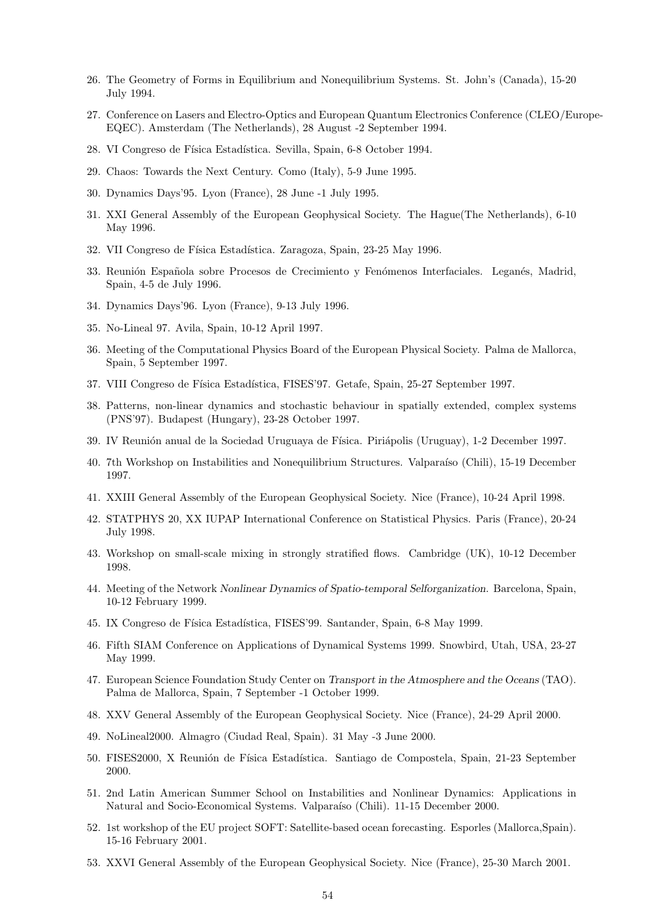- 26. The Geometry of Forms in Equilibrium and Nonequilibrium Systems. St. John's (Canada), 15-20 July 1994.
- 27. Conference on Lasers and Electro-Optics and European Quantum Electronics Conference (CLEO/Europe-EQEC). Amsterdam (The Netherlands), 28 August -2 September 1994.
- 28. VI Congreso de Física Estadística. Sevilla, Spain, 6-8 October 1994.
- 29. Chaos: Towards the Next Century. Como (Italy), 5-9 June 1995.
- 30. Dynamics Days'95. Lyon (France), 28 June -1 July 1995.
- 31. XXI General Assembly of the European Geophysical Society. The Hague(The Netherlands), 6-10 May 1996.
- 32. VII Congreso de Física Estadística. Zaragoza, Spain, 23-25 May 1996.
- 33. Reunión Española sobre Procesos de Crecimiento y Fenómenos Interfaciales. Leganés, Madrid, Spain, 4-5 de July 1996.
- 34. Dynamics Days'96. Lyon (France), 9-13 July 1996.
- 35. No-Lineal 97. Avila, Spain, 10-12 April 1997.
- 36. Meeting of the Computational Physics Board of the European Physical Society. Palma de Mallorca, Spain, 5 September 1997.
- 37. VIII Congreso de Física Estadística, FISES'97. Getafe, Spain, 25-27 September 1997.
- 38. Patterns, non-linear dynamics and stochastic behaviour in spatially extended, complex systems (PNS'97). Budapest (Hungary), 23-28 October 1997.
- 39. IV Reunión anual de la Sociedad Uruguaya de Física. Piriápolis (Uruguay), 1-2 December 1997.
- 40. 7th Workshop on Instabilities and Nonequilibrium Structures. Valparaíso (Chili), 15-19 December 1997.
- 41. XXIII General Assembly of the European Geophysical Society. Nice (France), 10-24 April 1998.
- 42. STATPHYS 20, XX IUPAP International Conference on Statistical Physics. Paris (France), 20-24 July 1998.
- 43. Workshop on small-scale mixing in strongly stratified flows. Cambridge (UK), 10-12 December 1998.
- 44. Meeting of the Network *Nonlinear Dynamics of Spatio-temporal Selforganization*. Barcelona, Spain, 10-12 February 1999.
- 45. IX Congreso de Física Estadística, FISES'99. Santander, Spain, 6-8 May 1999.
- 46. Fifth SIAM Conference on Applications of Dynamical Systems 1999. Snowbird, Utah, USA, 23-27 May 1999.
- 47. European Science Foundation Study Center on *Transport in the Atmosphere and the Oceans* (TAO). Palma de Mallorca, Spain, 7 September -1 October 1999.
- 48. XXV General Assembly of the European Geophysical Society. Nice (France), 24-29 April 2000.
- 49. NoLineal2000. Almagro (Ciudad Real, Spain). 31 May -3 June 2000.
- 50. FISES2000, X Reunión de Física Estadística. Santiago de Compostela, Spain, 21-23 September 2000.
- 51. 2nd Latin American Summer School on Instabilities and Nonlinear Dynamics: Applications in Natural and Socio-Economical Systems. Valparaíso (Chili). 11-15 December 2000.
- 52. 1st workshop of the EU project SOFT: Satellite-based ocean forecasting. Esporles (Mallorca,Spain). 15-16 February 2001.
- 53. XXVI General Assembly of the European Geophysical Society. Nice (France), 25-30 March 2001.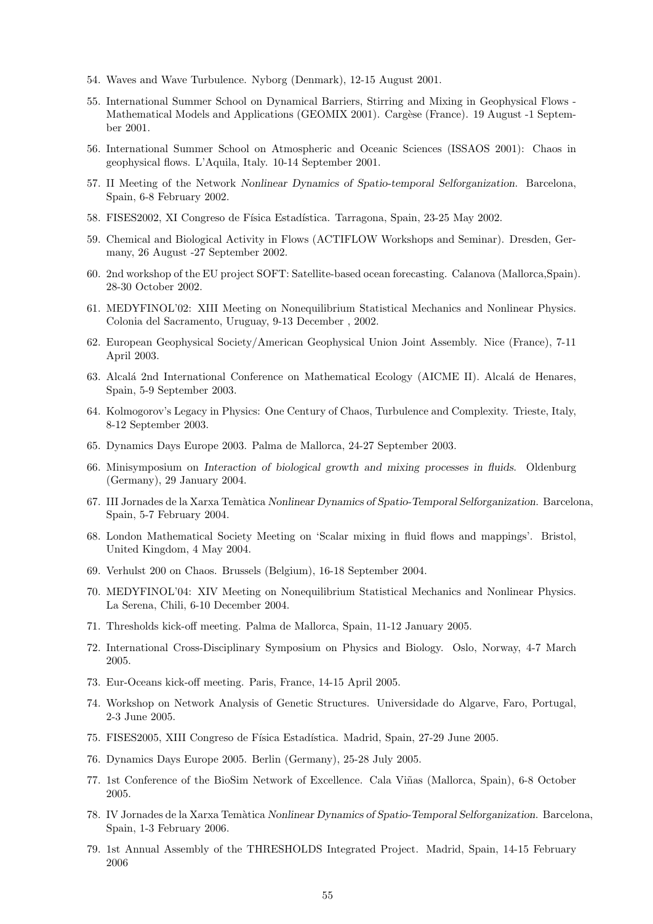- 54. Waves and Wave Turbulence. Nyborg (Denmark), 12-15 August 2001.
- 55. International Summer School on Dynamical Barriers, Stirring and Mixing in Geophysical Flows Mathematical Models and Applications (GEOMIX 2001). Cargèse (France). 19 August -1 September 2001.
- 56. International Summer School on Atmospheric and Oceanic Sciences (ISSAOS 2001): Chaos in geophysical flows. L'Aquila, Italy. 10-14 September 2001.
- 57. II Meeting of the Network *Nonlinear Dynamics of Spatio-temporal Selforganization*. Barcelona, Spain, 6-8 February 2002.
- 58. FISES2002, XI Congreso de F´ısica Estad´ıstica. Tarragona, Spain, 23-25 May 2002.
- 59. Chemical and Biological Activity in Flows (ACTIFLOW Workshops and Seminar). Dresden, Germany, 26 August -27 September 2002.
- 60. 2nd workshop of the EU project SOFT: Satellite-based ocean forecasting. Calanova (Mallorca,Spain). 28-30 October 2002.
- 61. MEDYFINOL'02: XIII Meeting on Nonequilibrium Statistical Mechanics and Nonlinear Physics. Colonia del Sacramento, Uruguay, 9-13 December , 2002.
- 62. European Geophysical Society/American Geophysical Union Joint Assembly. Nice (France), 7-11 April 2003.
- 63. Alcalá 2nd International Conference on Mathematical Ecology (AICME II). Alcalá de Henares, Spain, 5-9 September 2003.
- 64. Kolmogorov's Legacy in Physics: One Century of Chaos, Turbulence and Complexity. Trieste, Italy, 8-12 September 2003.
- 65. Dynamics Days Europe 2003. Palma de Mallorca, 24-27 September 2003.
- 66. Minisymposium on *Interaction of biological growth and mixing processes in fluids*. Oldenburg (Germany), 29 January 2004.
- 67. III Jornades de la Xarxa Tem`atica *Nonlinear Dynamics of Spatio-Temporal Selforganization*. Barcelona, Spain, 5-7 February 2004.
- 68. London Mathematical Society Meeting on 'Scalar mixing in fluid flows and mappings'. Bristol, United Kingdom, 4 May 2004.
- 69. Verhulst 200 on Chaos. Brussels (Belgium), 16-18 September 2004.
- 70. MEDYFINOL'04: XIV Meeting on Nonequilibrium Statistical Mechanics and Nonlinear Physics. La Serena, Chili, 6-10 December 2004.
- 71. Thresholds kick-off meeting. Palma de Mallorca, Spain, 11-12 January 2005.
- 72. International Cross-Disciplinary Symposium on Physics and Biology. Oslo, Norway, 4-7 March 2005.
- 73. Eur-Oceans kick-off meeting. Paris, France, 14-15 April 2005.
- 74. Workshop on Network Analysis of Genetic Structures. Universidade do Algarve, Faro, Portugal, 2-3 June 2005.
- 75. FISES2005, XIII Congreso de Física Estadística. Madrid, Spain, 27-29 June 2005.
- 76. Dynamics Days Europe 2005. Berlin (Germany), 25-28 July 2005.
- 77. 1st Conference of the BioSim Network of Excellence. Cala Viñas (Mallorca, Spain), 6-8 October 2005.
- 78. IV Jornades de la Xarxa Tem`atica *Nonlinear Dynamics of Spatio-Temporal Selforganization*. Barcelona, Spain, 1-3 February 2006.
- 79. 1st Annual Assembly of the THRESHOLDS Integrated Project. Madrid, Spain, 14-15 February 2006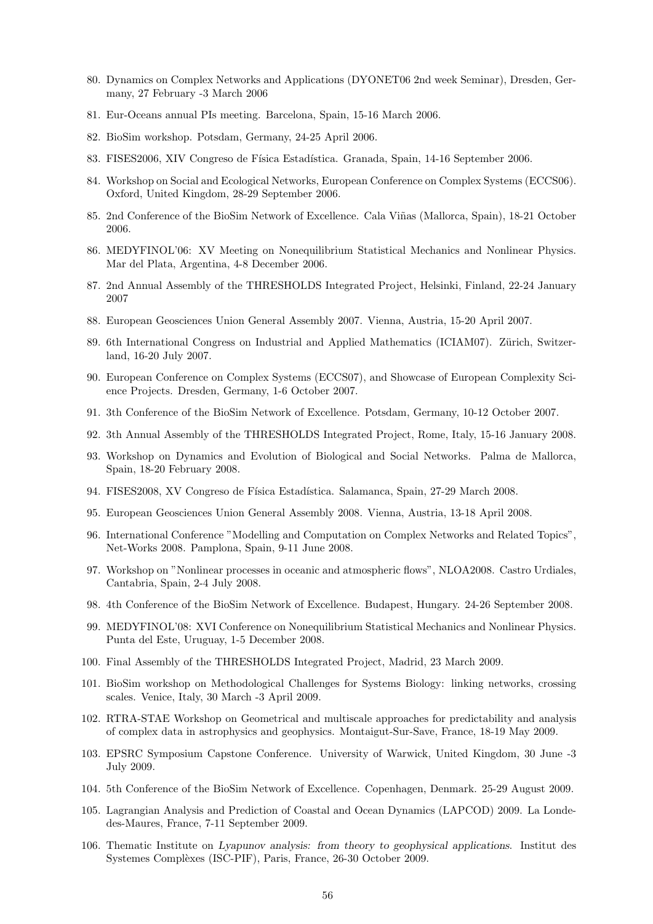- 80. Dynamics on Complex Networks and Applications (DYONET06 2nd week Seminar), Dresden, Germany, 27 February -3 March 2006
- 81. Eur-Oceans annual PIs meeting. Barcelona, Spain, 15-16 March 2006.
- 82. BioSim workshop. Potsdam, Germany, 24-25 April 2006.
- 83. FISES2006, XIV Congreso de Física Estadística. Granada, Spain, 14-16 September 2006.
- 84. Workshop on Social and Ecological Networks, European Conference on Complex Systems (ECCS06). Oxford, United Kingdom, 28-29 September 2006.
- 85. 2nd Conference of the BioSim Network of Excellence. Cala Viñas (Mallorca, Spain), 18-21 October 2006.
- 86. MEDYFINOL'06: XV Meeting on Nonequilibrium Statistical Mechanics and Nonlinear Physics. Mar del Plata, Argentina, 4-8 December 2006.
- 87. 2nd Annual Assembly of the THRESHOLDS Integrated Project, Helsinki, Finland, 22-24 January 2007
- 88. European Geosciences Union General Assembly 2007. Vienna, Austria, 15-20 April 2007.
- 89. 6th International Congress on Industrial and Applied Mathematics (ICIAM07). Zürich, Switzerland, 16-20 July 2007.
- 90. European Conference on Complex Systems (ECCS07), and Showcase of European Complexity Science Projects. Dresden, Germany, 1-6 October 2007.
- 91. 3th Conference of the BioSim Network of Excellence. Potsdam, Germany, 10-12 October 2007.
- 92. 3th Annual Assembly of the THRESHOLDS Integrated Project, Rome, Italy, 15-16 January 2008.
- 93. Workshop on Dynamics and Evolution of Biological and Social Networks. Palma de Mallorca, Spain, 18-20 February 2008.
- 94. FISES2008, XV Congreso de Física Estadística. Salamanca, Spain, 27-29 March 2008.
- 95. European Geosciences Union General Assembly 2008. Vienna, Austria, 13-18 April 2008.
- 96. International Conference "Modelling and Computation on Complex Networks and Related Topics", Net-Works 2008. Pamplona, Spain, 9-11 June 2008.
- 97. Workshop on "Nonlinear processes in oceanic and atmospheric flows", NLOA2008. Castro Urdiales, Cantabria, Spain, 2-4 July 2008.
- 98. 4th Conference of the BioSim Network of Excellence. Budapest, Hungary. 24-26 September 2008.
- 99. MEDYFINOL'08: XVI Conference on Nonequilibrium Statistical Mechanics and Nonlinear Physics. Punta del Este, Uruguay, 1-5 December 2008.
- 100. Final Assembly of the THRESHOLDS Integrated Project, Madrid, 23 March 2009.
- 101. BioSim workshop on Methodological Challenges for Systems Biology: linking networks, crossing scales. Venice, Italy, 30 March -3 April 2009.
- 102. RTRA-STAE Workshop on Geometrical and multiscale approaches for predictability and analysis of complex data in astrophysics and geophysics. Montaigut-Sur-Save, France, 18-19 May 2009.
- 103. EPSRC Symposium Capstone Conference. University of Warwick, United Kingdom, 30 June -3 July 2009.
- 104. 5th Conference of the BioSim Network of Excellence. Copenhagen, Denmark. 25-29 August 2009.
- 105. Lagrangian Analysis and Prediction of Coastal and Ocean Dynamics (LAPCOD) 2009. La Londedes-Maures, France, 7-11 September 2009.
- 106. Thematic Institute on *Lyapunov analysis: from theory to geophysical applications*. Institut des Systemes Complèxes (ISC-PIF), Paris, France, 26-30 October 2009.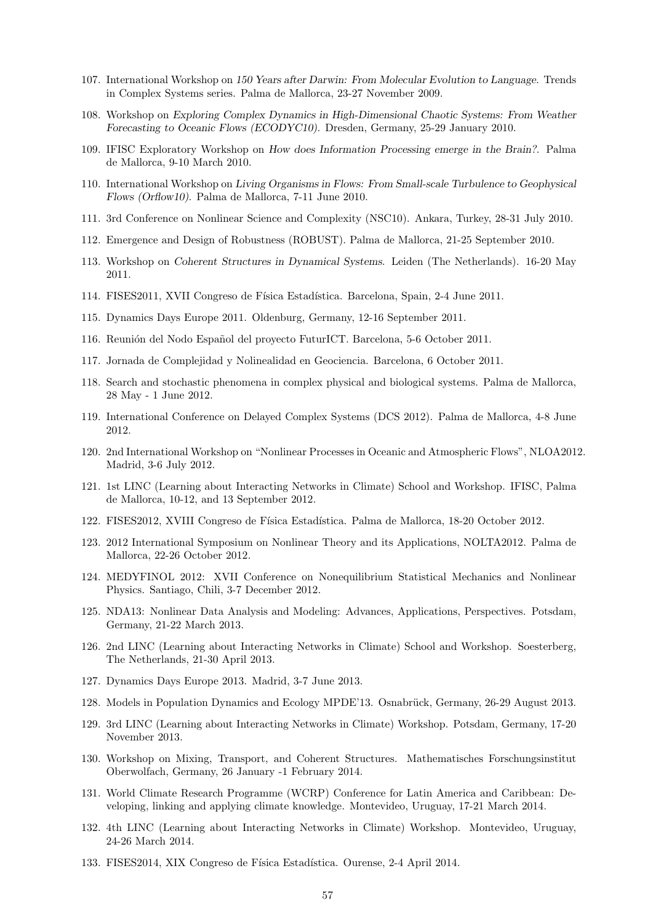- 107. International Workshop on *150 Years after Darwin: From Molecular Evolution to Language*. Trends in Complex Systems series. Palma de Mallorca, 23-27 November 2009.
- 108. Workshop on *Exploring Complex Dynamics in High-Dimensional Chaotic Systems: From Weather Forecasting to Oceanic Flows (ECODYC10)*. Dresden, Germany, 25-29 January 2010.
- 109. IFISC Exploratory Workshop on *How does Information Processing emerge in the Brain?*. Palma de Mallorca, 9-10 March 2010.
- 110. International Workshop on *Living Organisms in Flows: From Small-scale Turbulence to Geophysical Flows (Orflow10)*. Palma de Mallorca, 7-11 June 2010.
- 111. 3rd Conference on Nonlinear Science and Complexity (NSC10). Ankara, Turkey, 28-31 July 2010.
- 112. Emergence and Design of Robustness (ROBUST). Palma de Mallorca, 21-25 September 2010.
- 113. Workshop on *Coherent Structures in Dynamical Systems*. Leiden (The Netherlands). 16-20 May 2011.
- 114. FISES2011, XVII Congreso de Física Estadística. Barcelona, Spain, 2-4 June 2011.
- 115. Dynamics Days Europe 2011. Oldenburg, Germany, 12-16 September 2011.
- 116. Reunión del Nodo Español del proyecto FuturICT. Barcelona, 5-6 October 2011.
- 117. Jornada de Complejidad y Nolinealidad en Geociencia. Barcelona, 6 October 2011.
- 118. Search and stochastic phenomena in complex physical and biological systems. Palma de Mallorca, 28 May - 1 June 2012.
- 119. International Conference on Delayed Complex Systems (DCS 2012). Palma de Mallorca, 4-8 June 2012.
- 120. 2nd International Workshop on "Nonlinear Processes in Oceanic and Atmospheric Flows", NLOA2012. Madrid, 3-6 July 2012.
- 121. 1st LINC (Learning about Interacting Networks in Climate) School and Workshop. IFISC, Palma de Mallorca, 10-12, and 13 September 2012.
- 122. FISES2012, XVIII Congreso de Física Estadística. Palma de Mallorca, 18-20 October 2012.
- 123. 2012 International Symposium on Nonlinear Theory and its Applications, NOLTA2012. Palma de Mallorca, 22-26 October 2012.
- 124. MEDYFINOL 2012: XVII Conference on Nonequilibrium Statistical Mechanics and Nonlinear Physics. Santiago, Chili, 3-7 December 2012.
- 125. NDA13: Nonlinear Data Analysis and Modeling: Advances, Applications, Perspectives. Potsdam, Germany, 21-22 March 2013.
- 126. 2nd LINC (Learning about Interacting Networks in Climate) School and Workshop. Soesterberg, The Netherlands, 21-30 April 2013.
- 127. Dynamics Days Europe 2013. Madrid, 3-7 June 2013.
- 128. Models in Population Dynamics and Ecology MPDE'13. Osnabrück, Germany, 26-29 August 2013.
- 129. 3rd LINC (Learning about Interacting Networks in Climate) Workshop. Potsdam, Germany, 17-20 November 2013.
- 130. Workshop on Mixing, Transport, and Coherent Structures. Mathematisches Forschungsinstitut Oberwolfach, Germany, 26 January -1 February 2014.
- 131. World Climate Research Programme (WCRP) Conference for Latin America and Caribbean: Developing, linking and applying climate knowledge. Montevideo, Uruguay, 17-21 March 2014.
- 132. 4th LINC (Learning about Interacting Networks in Climate) Workshop. Montevideo, Uruguay, 24-26 March 2014.
- 133. FISES2014, XIX Congreso de Física Estadística. Ourense, 2-4 April 2014.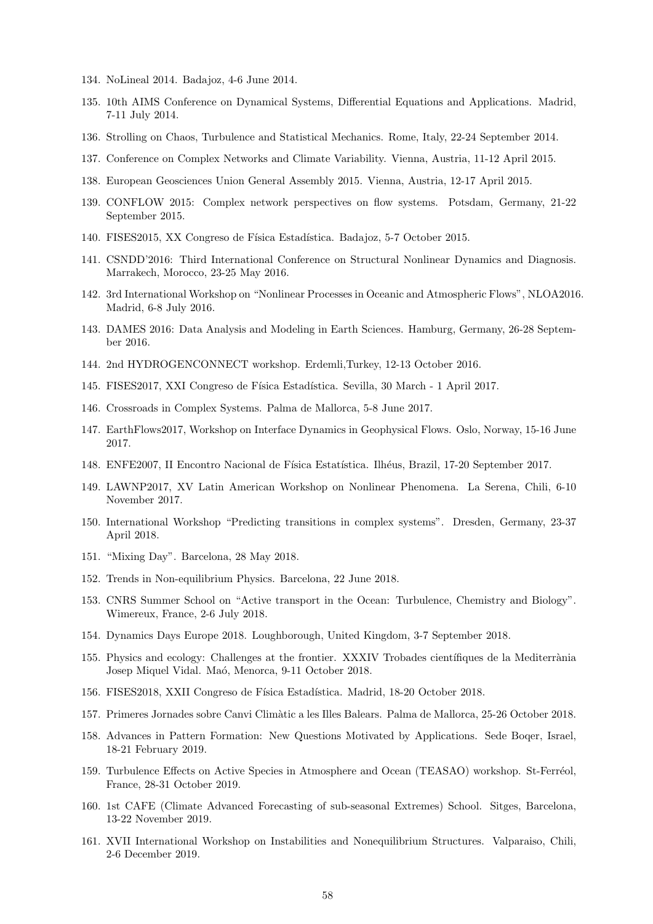- 134. NoLineal 2014. Badajoz, 4-6 June 2014.
- 135. 10th AIMS Conference on Dynamical Systems, Differential Equations and Applications. Madrid, 7-11 July 2014.
- 136. Strolling on Chaos, Turbulence and Statistical Mechanics. Rome, Italy, 22-24 September 2014.
- 137. Conference on Complex Networks and Climate Variability. Vienna, Austria, 11-12 April 2015.
- 138. European Geosciences Union General Assembly 2015. Vienna, Austria, 12-17 April 2015.
- 139. CONFLOW 2015: Complex network perspectives on flow systems. Potsdam, Germany, 21-22 September 2015.
- 140. FISES2015, XX Congreso de Física Estadística. Badajoz, 5-7 October 2015.
- 141. CSNDD'2016: Third International Conference on Structural Nonlinear Dynamics and Diagnosis. Marrakech, Morocco, 23-25 May 2016.
- 142. 3rd International Workshop on "Nonlinear Processes in Oceanic and Atmospheric Flows", NLOA2016. Madrid, 6-8 July 2016.
- 143. DAMES 2016: Data Analysis and Modeling in Earth Sciences. Hamburg, Germany, 26-28 September 2016.
- 144. 2nd HYDROGENCONNECT workshop. Erdemli,Turkey, 12-13 October 2016.
- 145. FISES2017, XXI Congreso de Física Estadística. Sevilla, 30 March 1 April 2017.
- 146. Crossroads in Complex Systems. Palma de Mallorca, 5-8 June 2017.
- 147. EarthFlows2017, Workshop on Interface Dynamics in Geophysical Flows. Oslo, Norway, 15-16 June 2017.
- 148. ENFE2007, II Encontro Nacional de Física Estatística. Ilhéus, Brazil, 17-20 September 2017.
- 149. LAWNP2017, XV Latin American Workshop on Nonlinear Phenomena. La Serena, Chili, 6-10 November 2017.
- 150. International Workshop "Predicting transitions in complex systems". Dresden, Germany, 23-37 April 2018.
- 151. "Mixing Day". Barcelona, 28 May 2018.
- 152. Trends in Non-equilibrium Physics. Barcelona, 22 June 2018.
- 153. CNRS Summer School on "Active transport in the Ocean: Turbulence, Chemistry and Biology". Wimereux, France, 2-6 July 2018.
- 154. Dynamics Days Europe 2018. Loughborough, United Kingdom, 3-7 September 2018.
- 155. Physics and ecology: Challenges at the frontier. XXXIV Trobades científiques de la Mediterrània Josep Miquel Vidal. Maó, Menorca, 9-11 October 2018.
- 156. FISES2018, XXII Congreso de Física Estadística. Madrid, 18-20 October 2018.
- 157. Primeres Jornades sobre Canvi Clim`atic a les Illes Balears. Palma de Mallorca, 25-26 October 2018.
- 158. Advances in Pattern Formation: New Questions Motivated by Applications. Sede Boqer, Israel, 18-21 February 2019.
- 159. Turbulence Effects on Active Species in Atmosphere and Ocean (TEASAO) workshop. St-Ferréol, France, 28-31 October 2019.
- 160. 1st CAFE (Climate Advanced Forecasting of sub-seasonal Extremes) School. Sitges, Barcelona, 13-22 November 2019.
- 161. XVII International Workshop on Instabilities and Nonequilibrium Structures. Valparaiso, Chili, 2-6 December 2019.